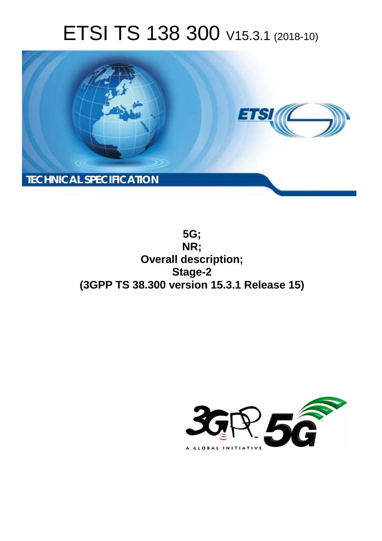# ETSI TS 138 300 V15.3.1 (2018-10)



**5G; NR; Overall description; Stage-2 (3GPP TS 38.300 version 15.3.1 Release 15)** 

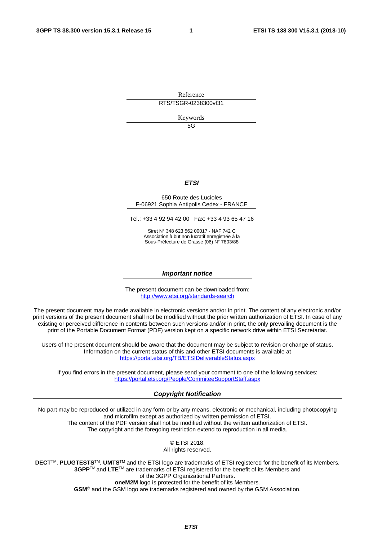Reference RTS/TSGR-0238300vf31

Keywords

5G

#### *ETSI*

#### 650 Route des Lucioles F-06921 Sophia Antipolis Cedex - FRANCE

Tel.: +33 4 92 94 42 00 Fax: +33 4 93 65 47 16

Siret N° 348 623 562 00017 - NAF 742 C Association à but non lucratif enregistrée à la Sous-Préfecture de Grasse (06) N° 7803/88

#### *Important notice*

The present document can be downloaded from: <http://www.etsi.org/standards-search>

The present document may be made available in electronic versions and/or in print. The content of any electronic and/or print versions of the present document shall not be modified without the prior written authorization of ETSI. In case of any existing or perceived difference in contents between such versions and/or in print, the only prevailing document is the print of the Portable Document Format (PDF) version kept on a specific network drive within ETSI Secretariat.

Users of the present document should be aware that the document may be subject to revision or change of status. Information on the current status of this and other ETSI documents is available at <https://portal.etsi.org/TB/ETSIDeliverableStatus.aspx>

If you find errors in the present document, please send your comment to one of the following services: <https://portal.etsi.org/People/CommiteeSupportStaff.aspx>

#### *Copyright Notification*

No part may be reproduced or utilized in any form or by any means, electronic or mechanical, including photocopying and microfilm except as authorized by written permission of ETSI. The content of the PDF version shall not be modified without the written authorization of ETSI. The copyright and the foregoing restriction extend to reproduction in all media.

> © ETSI 2018. All rights reserved.

**DECT**TM, **PLUGTESTS**TM, **UMTS**TM and the ETSI logo are trademarks of ETSI registered for the benefit of its Members. **3GPP**TM and **LTE**TM are trademarks of ETSI registered for the benefit of its Members and of the 3GPP Organizational Partners. **oneM2M** logo is protected for the benefit of its Members.

**GSM**® and the GSM logo are trademarks registered and owned by the GSM Association.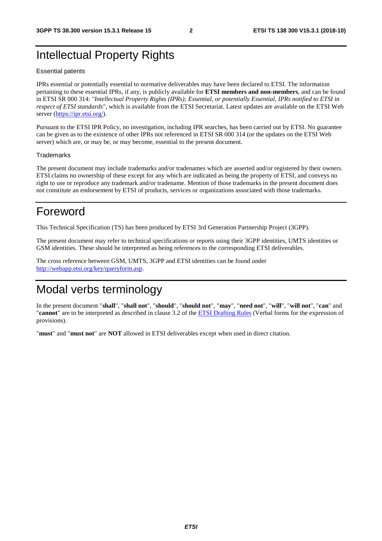# Intellectual Property Rights

#### Essential patents

IPRs essential or potentially essential to normative deliverables may have been declared to ETSI. The information pertaining to these essential IPRs, if any, is publicly available for **ETSI members and non-members**, and can be found in ETSI SR 000 314: *"Intellectual Property Rights (IPRs); Essential, or potentially Essential, IPRs notified to ETSI in respect of ETSI standards"*, which is available from the ETSI Secretariat. Latest updates are available on the ETSI Web server ([https://ipr.etsi.org/\)](https://ipr.etsi.org/).

Pursuant to the ETSI IPR Policy, no investigation, including IPR searches, has been carried out by ETSI. No guarantee can be given as to the existence of other IPRs not referenced in ETSI SR 000 314 (or the updates on the ETSI Web server) which are, or may be, or may become, essential to the present document.

#### **Trademarks**

The present document may include trademarks and/or tradenames which are asserted and/or registered by their owners. ETSI claims no ownership of these except for any which are indicated as being the property of ETSI, and conveys no right to use or reproduce any trademark and/or tradename. Mention of those trademarks in the present document does not constitute an endorsement by ETSI of products, services or organizations associated with those trademarks.

## Foreword

This Technical Specification (TS) has been produced by ETSI 3rd Generation Partnership Project (3GPP).

The present document may refer to technical specifications or reports using their 3GPP identities, UMTS identities or GSM identities. These should be interpreted as being references to the corresponding ETSI deliverables.

The cross reference between GSM, UMTS, 3GPP and ETSI identities can be found under [http://webapp.etsi.org/key/queryform.asp.](http://webapp.etsi.org/key/queryform.asp)

# Modal verbs terminology

In the present document "**shall**", "**shall not**", "**should**", "**should not**", "**may**", "**need not**", "**will**", "**will not**", "**can**" and "**cannot**" are to be interpreted as described in clause 3.2 of the [ETSI Drafting Rules](https://portal.etsi.org/Services/editHelp!/Howtostart/ETSIDraftingRules.aspx) (Verbal forms for the expression of provisions).

"**must**" and "**must not**" are **NOT** allowed in ETSI deliverables except when used in direct citation.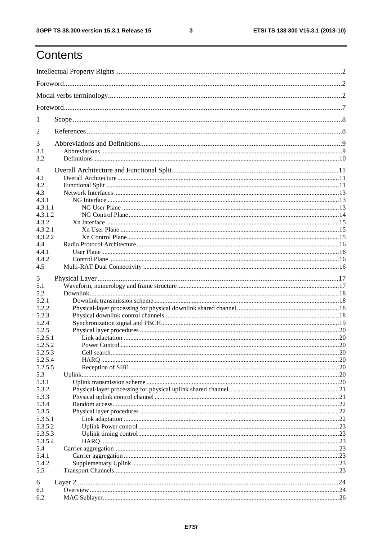$\mathbf{3}$ 

# Contents

| 1              |  |
|----------------|--|
| $\overline{2}$ |  |
| 3              |  |
| 3.1<br>3.2     |  |
| $\overline{4}$ |  |
| 4.1            |  |
| 4.2            |  |
| 4.3            |  |
| 4.3.1          |  |
| 4.3.1.1        |  |
| 4.3.1.2        |  |
| 4.3.2          |  |
| 4.3.2.1        |  |
| 4.3.2.2        |  |
| 4.4            |  |
| 4.4.1          |  |
| 4.4.2          |  |
| 4.5            |  |
|                |  |
| 5              |  |
| 5.1            |  |
| 5.2            |  |
| 5.2.1          |  |
| 5.2.2          |  |
| 5.2.3          |  |
| 5.2.4          |  |
| 5.2.5          |  |
| 5.2.5.1        |  |
|                |  |
| 5.2.5.2        |  |
| 5.2.5.3        |  |
| 5.2.5.4        |  |
| 5.2.5.5        |  |
| 5.3            |  |
| 5.3.1          |  |
| 5.3.2          |  |
| 5.3.3          |  |
| 5.3.4          |  |
| 5.3.5          |  |
| 5.3.5.1        |  |
| 5.3.5.2        |  |
| 5.3.5.3        |  |
| 5.3.5.4        |  |
| 5.4            |  |
| 5.4.1          |  |
| 5.4.2          |  |
| 5.5            |  |
|                |  |
| 6              |  |
| 6.1            |  |
| 6.2            |  |
|                |  |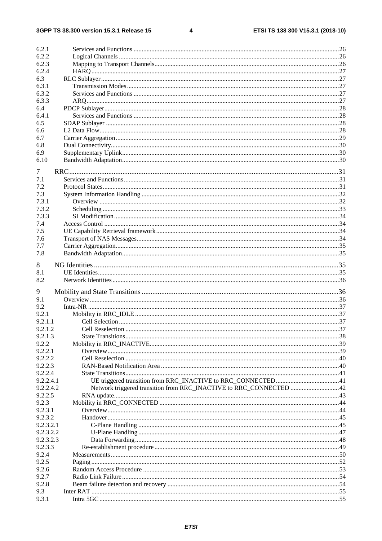$\overline{\mathbf{4}}$ 

| 6.2.1     |  |
|-----------|--|
| 6.2.2     |  |
| 6.2.3     |  |
| 6.2.4     |  |
| 6.3       |  |
| 6.3.1     |  |
| 6.3.2     |  |
| 6.3.3     |  |
| 6.4       |  |
| 6.4.1     |  |
| 6.5       |  |
| 6.6       |  |
| 6.7       |  |
| 6.8       |  |
| 6.9       |  |
| 6.10      |  |
| 7         |  |
| 7.1       |  |
| 7.2       |  |
| 7.3       |  |
| 7.3.1     |  |
| 7.3.2     |  |
| 7.3.3     |  |
| 7.4       |  |
| 7.5       |  |
| 7.6       |  |
| 7.7       |  |
| 7.8       |  |
|           |  |
| 8         |  |
| 8.1       |  |
| 8.2       |  |
| 9         |  |
| 9.1       |  |
| 9.2       |  |
| 9.2.1     |  |
| 9.2.1.1   |  |
| 9.2.1.2   |  |
| 9.2.1.3   |  |
| 9.2.2     |  |
| 9.2.2.1   |  |
| 9.2.2.2   |  |
| 9.2.2.3   |  |
| 9.2.2.4   |  |
| 9.2.2.4.1 |  |
| 9.2.2.4.2 |  |
| 9.2.2.5   |  |
| 9.2.3     |  |
| 9.2.3.1   |  |
| 9.2.3.2   |  |
| 9.2.3.2.1 |  |
| 9.2.3.2.2 |  |
| 9.2.3.2.3 |  |
| 9.2.3.3   |  |
| 9.2.4     |  |
| 9.2.5     |  |
| 9.2.6     |  |
| 9.2.7     |  |
| 9.2.8     |  |
| 9.3       |  |
| 9.3.1     |  |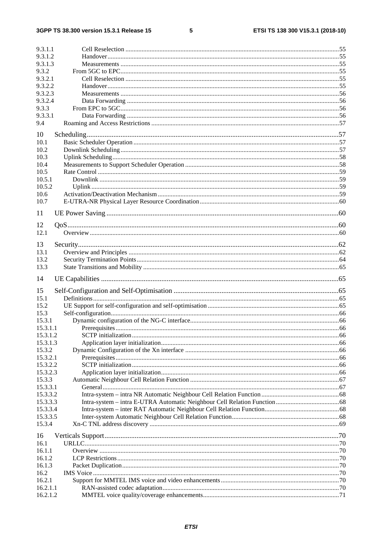#### $5\phantom{a}$

| 9.3.1.1  |  |
|----------|--|
| 9.3.1.2  |  |
| 9.3.1.3  |  |
| 9.3.2    |  |
|          |  |
| 9.3.2.1  |  |
| 9.3.2.2  |  |
| 9.3.2.3  |  |
| 9.3.2.4  |  |
|          |  |
| 9.3.3    |  |
| 9.3.3.1  |  |
| 9.4      |  |
|          |  |
| 10       |  |
| 10.1     |  |
| 10.2     |  |
|          |  |
| 10.3     |  |
| 10.4     |  |
| 10.5     |  |
| 10.5.1   |  |
| 10.5.2   |  |
|          |  |
| 10.6     |  |
| 10.7     |  |
|          |  |
| 11       |  |
|          |  |
| 12       |  |
| 12.1     |  |
|          |  |
| 13       |  |
| 13.1     |  |
| 13.2     |  |
|          |  |
|          |  |
| 13.3     |  |
|          |  |
| 14       |  |
|          |  |
| 15       |  |
| 15.1     |  |
| 15.2     |  |
|          |  |
| 15.3     |  |
| 15.3.1   |  |
| 15.3.1.1 |  |
| 15.3.1.2 |  |
|          |  |
| 15.3.1.3 |  |
| 15.3.2   |  |
| 15.3.2.1 |  |
| 15.3.2.2 |  |
| 15.3.2.3 |  |
|          |  |
| 15.3.3   |  |
| 15.3.3.1 |  |
| 15.3.3.2 |  |
| 15.3.3.3 |  |
|          |  |
| 15.3.3.4 |  |
| 15.3.3.5 |  |
| 15.3.4   |  |
|          |  |
| 16       |  |
| 16.1     |  |
| 16.1.1   |  |
| 16.1.2   |  |
|          |  |
| 16.1.3   |  |
| 16.2     |  |
| 16.2.1   |  |
| 16.2.1.1 |  |
| 16.2.1.2 |  |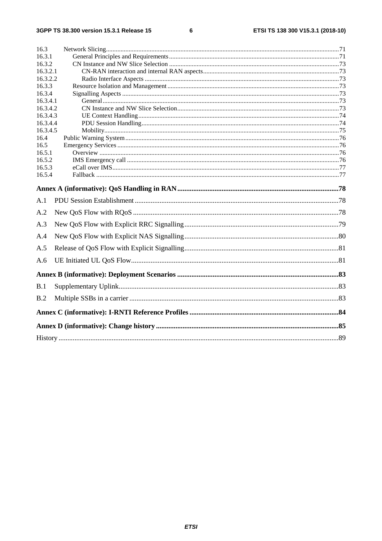#### $\bf 6$

| 16.3     |  |  |
|----------|--|--|
| 16.3.1   |  |  |
| 16.3.2   |  |  |
| 16.3.2.1 |  |  |
| 16.3.2.2 |  |  |
| 16.3.3   |  |  |
| 16.3.4   |  |  |
| 16.3.4.1 |  |  |
| 16.3.4.2 |  |  |
| 16.3.4.3 |  |  |
| 16.3.4.4 |  |  |
| 16.3.4.5 |  |  |
| 16.4     |  |  |
| 16.5     |  |  |
| 16.5.1   |  |  |
| 16.5.2   |  |  |
| 16.5.3   |  |  |
| 16.5.4   |  |  |
|          |  |  |
| A.1      |  |  |
| A.2      |  |  |
| A.3      |  |  |
| A.4      |  |  |
| A.5      |  |  |
| A.6      |  |  |
|          |  |  |
| B.1      |  |  |
| B.2      |  |  |
|          |  |  |
|          |  |  |
|          |  |  |
|          |  |  |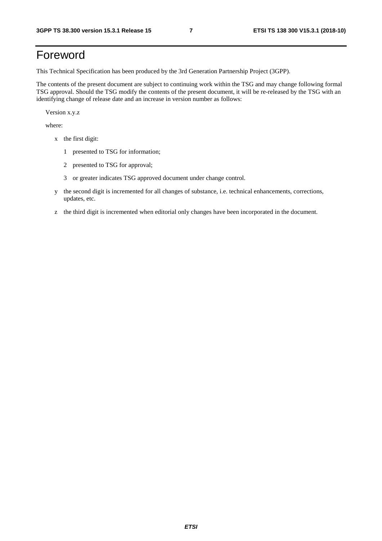# Foreword

This Technical Specification has been produced by the 3rd Generation Partnership Project (3GPP).

The contents of the present document are subject to continuing work within the TSG and may change following formal TSG approval. Should the TSG modify the contents of the present document, it will be re-released by the TSG with an identifying change of release date and an increase in version number as follows:

Version x.y.z

where:

- x the first digit:
	- 1 presented to TSG for information;
	- 2 presented to TSG for approval;
	- 3 or greater indicates TSG approved document under change control.
- y the second digit is incremented for all changes of substance, i.e. technical enhancements, corrections, updates, etc.
- z the third digit is incremented when editorial only changes have been incorporated in the document.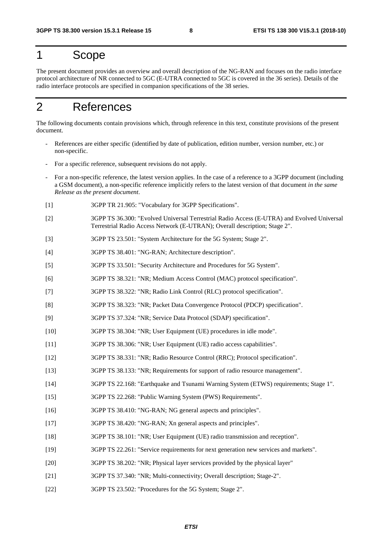# 1 Scope

The present document provides an overview and overall description of the NG-RAN and focuses on the radio interface protocol architecture of NR connected to 5GC (E-UTRA connected to 5GC is covered in the 36 series). Details of the radio interface protocols are specified in companion specifications of the 38 series.

# 2 References

The following documents contain provisions which, through reference in this text, constitute provisions of the present document.

- References are either specific (identified by date of publication, edition number, version number, etc.) or non-specific.
- For a specific reference, subsequent revisions do not apply.
- For a non-specific reference, the latest version applies. In the case of a reference to a 3GPP document (including a GSM document), a non-specific reference implicitly refers to the latest version of that document *in the same Release as the present document*.
- [1] 3GPP TR 21.905: "Vocabulary for 3GPP Specifications".
- [2] 3GPP TS 36.300: "Evolved Universal Terrestrial Radio Access (E-UTRA) and Evolved Universal Terrestrial Radio Access Network (E-UTRAN); Overall description; Stage 2".
- [3] 3GPP TS 23.501: "System Architecture for the 5G System; Stage 2".
- [4] 3GPP TS 38.401: "NG-RAN; Architecture description".
- [5] 3GPP TS 33.501: "Security Architecture and Procedures for 5G System".
- [6] 3GPP TS 38.321: "NR; Medium Access Control (MAC) protocol specification".
- [7] 3GPP TS 38.322: "NR; Radio Link Control (RLC) protocol specification".
- [8] 3GPP TS 38.323: "NR; Packet Data Convergence Protocol (PDCP) specification".
- [9] 3GPP TS 37.324: "NR; Service Data Protocol (SDAP) specification".
- [10] 3GPP TS 38.304: "NR; User Equipment (UE) procedures in idle mode".
- [11] 3GPP TS 38.306: "NR; User Equipment (UE) radio access capabilities".
- [12] 3GPP TS 38.331: "NR; Radio Resource Control (RRC); Protocol specification".
- [13] 3GPP TS 38.133: "NR; Requirements for support of radio resource management".
- [14] 3GPP TS 22.168: "Earthquake and Tsunami Warning System (ETWS) requirements; Stage 1".
- [15] 3GPP TS 22.268: "Public Warning System (PWS) Requirements".
- [16] 3GPP TS 38.410: "NG-RAN; NG general aspects and principles".
- [17] 3GPP TS 38.420: "NG-RAN; Xn general aspects and principles".
- [18] 3GPP TS 38.101: "NR; User Equipment (UE) radio transmission and reception".
- [19] 3GPP TS 22.261: "Service requirements for next generation new services and markets".
- [20] 3GPP TS 38.202: "NR; Physical layer services provided by the physical layer"
- [21] 3GPP TS 37.340: "NR; Multi-connectivity; Overall description; Stage-2".
- [22] 3GPP TS 23.502: "Procedures for the 5G System; Stage 2".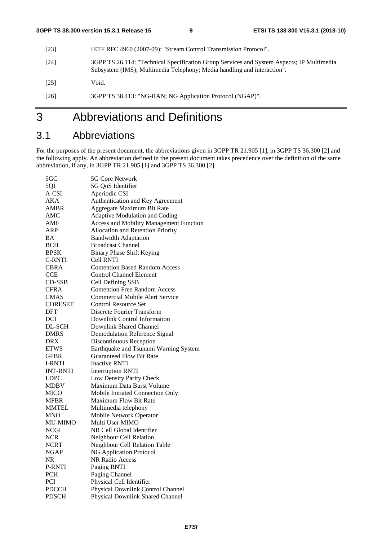- [23] IETF RFC 4960 (2007-09): "Stream Control Transmission Protocol".
- [24] 3GPP TS 26.114: "Technical Specification Group Services and System Aspects; IP Multimedia Subsystem (IMS); Multimedia Telephony; Media handling and interaction".

[25] Void.

[26] 3GPP TS 38.413: "NG-RAN; NG Application Protocol (NGAP)".

# 3 Abbreviations and Definitions

### 3.1 Abbreviations

For the purposes of the present document, the abbreviations given in 3GPP TR 21.905 [1], in 3GPP TS 36.300 [2] and the following apply. An abbreviation defined in the present document takes precedence over the definition of the same abbreviation, if any, in 3GPP TR 21.905 [1] and 3GPP TS 36.300 [2].

| 5QI<br>5G OoS Identifier<br>A-CSI<br>Aperiodic CSI<br>AKA<br>Authentication and Key Agreement<br>AMBR<br>Aggregate Maximum Bit Rate<br>AMC<br>Adaptive Modulation and Coding<br><b>Access and Mobility Management Function</b><br>AMF<br>ARP<br>Allocation and Retention Priority<br>BA<br><b>Bandwidth Adaptation</b><br>BCH<br><b>Broadcast Channel</b><br><b>BPSK</b><br><b>Binary Phase Shift Keying</b><br><b>C-RNTI</b><br><b>Cell RNTI</b><br><b>Contention Based Random Access</b><br>CBRA<br><b>Control Channel Element</b><br>CCE<br>CD-SSB<br>Cell Defining SSB<br><b>Contention Free Random Access</b><br><b>CFRA</b><br><b>CMAS</b><br>Commercial Mobile Alert Service<br><b>CORESET</b><br><b>Control Resource Set</b><br>Discrete Fourier Transform<br>DFT<br>Downlink Control Information<br>DCI<br>DL-SCH<br>Downlink Shared Channel<br><b>DMRS</b><br><b>Demodulation Reference Signal</b><br>DRX<br>Discontinuous Reception<br><b>ETWS</b><br>Earthquake and Tsunami Warning System<br><b>Guaranteed Flow Bit Rate</b><br><b>GFBR</b><br><b>Inactive RNTI</b><br>I-RNTI<br><b>INT-RNTI</b><br><b>Interruption RNTI</b><br><b>LDPC</b><br>Low Density Parity Check<br>Maximum Data Burst Volume<br><b>MDBV</b> |
|----------------------------------------------------------------------------------------------------------------------------------------------------------------------------------------------------------------------------------------------------------------------------------------------------------------------------------------------------------------------------------------------------------------------------------------------------------------------------------------------------------------------------------------------------------------------------------------------------------------------------------------------------------------------------------------------------------------------------------------------------------------------------------------------------------------------------------------------------------------------------------------------------------------------------------------------------------------------------------------------------------------------------------------------------------------------------------------------------------------------------------------------------------------------------------------------------------------------------------|
|                                                                                                                                                                                                                                                                                                                                                                                                                                                                                                                                                                                                                                                                                                                                                                                                                                                                                                                                                                                                                                                                                                                                                                                                                                  |
|                                                                                                                                                                                                                                                                                                                                                                                                                                                                                                                                                                                                                                                                                                                                                                                                                                                                                                                                                                                                                                                                                                                                                                                                                                  |
|                                                                                                                                                                                                                                                                                                                                                                                                                                                                                                                                                                                                                                                                                                                                                                                                                                                                                                                                                                                                                                                                                                                                                                                                                                  |
|                                                                                                                                                                                                                                                                                                                                                                                                                                                                                                                                                                                                                                                                                                                                                                                                                                                                                                                                                                                                                                                                                                                                                                                                                                  |
|                                                                                                                                                                                                                                                                                                                                                                                                                                                                                                                                                                                                                                                                                                                                                                                                                                                                                                                                                                                                                                                                                                                                                                                                                                  |
|                                                                                                                                                                                                                                                                                                                                                                                                                                                                                                                                                                                                                                                                                                                                                                                                                                                                                                                                                                                                                                                                                                                                                                                                                                  |
|                                                                                                                                                                                                                                                                                                                                                                                                                                                                                                                                                                                                                                                                                                                                                                                                                                                                                                                                                                                                                                                                                                                                                                                                                                  |
|                                                                                                                                                                                                                                                                                                                                                                                                                                                                                                                                                                                                                                                                                                                                                                                                                                                                                                                                                                                                                                                                                                                                                                                                                                  |
|                                                                                                                                                                                                                                                                                                                                                                                                                                                                                                                                                                                                                                                                                                                                                                                                                                                                                                                                                                                                                                                                                                                                                                                                                                  |
|                                                                                                                                                                                                                                                                                                                                                                                                                                                                                                                                                                                                                                                                                                                                                                                                                                                                                                                                                                                                                                                                                                                                                                                                                                  |
|                                                                                                                                                                                                                                                                                                                                                                                                                                                                                                                                                                                                                                                                                                                                                                                                                                                                                                                                                                                                                                                                                                                                                                                                                                  |
|                                                                                                                                                                                                                                                                                                                                                                                                                                                                                                                                                                                                                                                                                                                                                                                                                                                                                                                                                                                                                                                                                                                                                                                                                                  |
|                                                                                                                                                                                                                                                                                                                                                                                                                                                                                                                                                                                                                                                                                                                                                                                                                                                                                                                                                                                                                                                                                                                                                                                                                                  |
|                                                                                                                                                                                                                                                                                                                                                                                                                                                                                                                                                                                                                                                                                                                                                                                                                                                                                                                                                                                                                                                                                                                                                                                                                                  |
|                                                                                                                                                                                                                                                                                                                                                                                                                                                                                                                                                                                                                                                                                                                                                                                                                                                                                                                                                                                                                                                                                                                                                                                                                                  |
|                                                                                                                                                                                                                                                                                                                                                                                                                                                                                                                                                                                                                                                                                                                                                                                                                                                                                                                                                                                                                                                                                                                                                                                                                                  |
|                                                                                                                                                                                                                                                                                                                                                                                                                                                                                                                                                                                                                                                                                                                                                                                                                                                                                                                                                                                                                                                                                                                                                                                                                                  |
|                                                                                                                                                                                                                                                                                                                                                                                                                                                                                                                                                                                                                                                                                                                                                                                                                                                                                                                                                                                                                                                                                                                                                                                                                                  |
|                                                                                                                                                                                                                                                                                                                                                                                                                                                                                                                                                                                                                                                                                                                                                                                                                                                                                                                                                                                                                                                                                                                                                                                                                                  |
|                                                                                                                                                                                                                                                                                                                                                                                                                                                                                                                                                                                                                                                                                                                                                                                                                                                                                                                                                                                                                                                                                                                                                                                                                                  |
|                                                                                                                                                                                                                                                                                                                                                                                                                                                                                                                                                                                                                                                                                                                                                                                                                                                                                                                                                                                                                                                                                                                                                                                                                                  |
|                                                                                                                                                                                                                                                                                                                                                                                                                                                                                                                                                                                                                                                                                                                                                                                                                                                                                                                                                                                                                                                                                                                                                                                                                                  |
|                                                                                                                                                                                                                                                                                                                                                                                                                                                                                                                                                                                                                                                                                                                                                                                                                                                                                                                                                                                                                                                                                                                                                                                                                                  |
|                                                                                                                                                                                                                                                                                                                                                                                                                                                                                                                                                                                                                                                                                                                                                                                                                                                                                                                                                                                                                                                                                                                                                                                                                                  |
|                                                                                                                                                                                                                                                                                                                                                                                                                                                                                                                                                                                                                                                                                                                                                                                                                                                                                                                                                                                                                                                                                                                                                                                                                                  |
|                                                                                                                                                                                                                                                                                                                                                                                                                                                                                                                                                                                                                                                                                                                                                                                                                                                                                                                                                                                                                                                                                                                                                                                                                                  |
|                                                                                                                                                                                                                                                                                                                                                                                                                                                                                                                                                                                                                                                                                                                                                                                                                                                                                                                                                                                                                                                                                                                                                                                                                                  |
|                                                                                                                                                                                                                                                                                                                                                                                                                                                                                                                                                                                                                                                                                                                                                                                                                                                                                                                                                                                                                                                                                                                                                                                                                                  |
| <b>MICO</b><br>Mobile Initiated Connection Only                                                                                                                                                                                                                                                                                                                                                                                                                                                                                                                                                                                                                                                                                                                                                                                                                                                                                                                                                                                                                                                                                                                                                                                  |
| <b>Maximum Flow Bit Rate</b><br><b>MFBR</b>                                                                                                                                                                                                                                                                                                                                                                                                                                                                                                                                                                                                                                                                                                                                                                                                                                                                                                                                                                                                                                                                                                                                                                                      |
| MMTEL<br>Multimedia telephony                                                                                                                                                                                                                                                                                                                                                                                                                                                                                                                                                                                                                                                                                                                                                                                                                                                                                                                                                                                                                                                                                                                                                                                                    |
| MNO<br>Mobile Network Operator                                                                                                                                                                                                                                                                                                                                                                                                                                                                                                                                                                                                                                                                                                                                                                                                                                                                                                                                                                                                                                                                                                                                                                                                   |
| <b>MU-MIMO</b><br>Multi User MIMO                                                                                                                                                                                                                                                                                                                                                                                                                                                                                                                                                                                                                                                                                                                                                                                                                                                                                                                                                                                                                                                                                                                                                                                                |
| <b>NCGI</b><br>NR Cell Global Identifier                                                                                                                                                                                                                                                                                                                                                                                                                                                                                                                                                                                                                                                                                                                                                                                                                                                                                                                                                                                                                                                                                                                                                                                         |
| <b>NCR</b><br>Neighbour Cell Relation                                                                                                                                                                                                                                                                                                                                                                                                                                                                                                                                                                                                                                                                                                                                                                                                                                                                                                                                                                                                                                                                                                                                                                                            |
| NCRT<br>Neighbour Cell Relation Table                                                                                                                                                                                                                                                                                                                                                                                                                                                                                                                                                                                                                                                                                                                                                                                                                                                                                                                                                                                                                                                                                                                                                                                            |
| <b>NG Application Protocol</b><br><b>NGAP</b>                                                                                                                                                                                                                                                                                                                                                                                                                                                                                                                                                                                                                                                                                                                                                                                                                                                                                                                                                                                                                                                                                                                                                                                    |
| <b>NR</b><br><b>NR Radio Access</b>                                                                                                                                                                                                                                                                                                                                                                                                                                                                                                                                                                                                                                                                                                                                                                                                                                                                                                                                                                                                                                                                                                                                                                                              |
| P-RNTI<br>Paging RNTI                                                                                                                                                                                                                                                                                                                                                                                                                                                                                                                                                                                                                                                                                                                                                                                                                                                                                                                                                                                                                                                                                                                                                                                                            |
| <b>PCH</b><br>Paging Channel                                                                                                                                                                                                                                                                                                                                                                                                                                                                                                                                                                                                                                                                                                                                                                                                                                                                                                                                                                                                                                                                                                                                                                                                     |
| PCI<br>Physical Cell Identifier                                                                                                                                                                                                                                                                                                                                                                                                                                                                                                                                                                                                                                                                                                                                                                                                                                                                                                                                                                                                                                                                                                                                                                                                  |
| <b>PDCCH</b><br>Physical Downlink Control Channel                                                                                                                                                                                                                                                                                                                                                                                                                                                                                                                                                                                                                                                                                                                                                                                                                                                                                                                                                                                                                                                                                                                                                                                |
| Physical Downlink Shared Channel<br>PDSCH                                                                                                                                                                                                                                                                                                                                                                                                                                                                                                                                                                                                                                                                                                                                                                                                                                                                                                                                                                                                                                                                                                                                                                                        |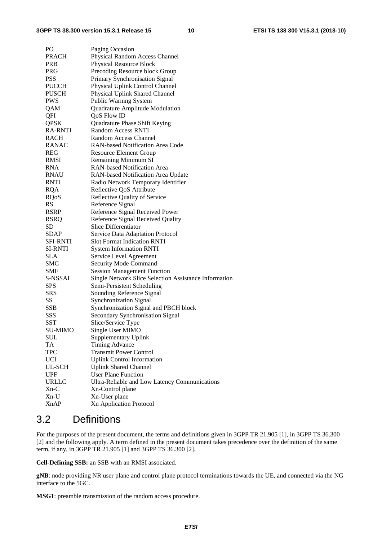#### **3GPP TS 38.300 version 15.3.1 Release 15 10 ETSI TS 138 300 V15.3.1 (2018-10)**

| PО              | Paging Occasion                                       |
|-----------------|-------------------------------------------------------|
| <b>PRACH</b>    | Physical Random Access Channel                        |
| PRB             | Physical Resource Block                               |
| PRG             | Precoding Resource block Group                        |
| <b>PSS</b>      | Primary Synchronisation Signal                        |
| <b>PUCCH</b>    | Physical Uplink Control Channel                       |
| <b>PUSCH</b>    | Physical Uplink Shared Channel                        |
| <b>PWS</b>      | Public Warning System                                 |
| QAM             | Quadrature Amplitude Modulation                       |
| QFI             | <b>QoS Flow ID</b>                                    |
| <b>QPSK</b>     | Quadrature Phase Shift Keying                         |
| <b>RA-RNTI</b>  | <b>Random Access RNTI</b>                             |
| <b>RACH</b>     | Random Access Channel                                 |
| <b>RANAC</b>    | RAN-based Notification Area Code                      |
| REG             | <b>Resource Element Group</b>                         |
| RMSI            | <b>Remaining Minimum SI</b>                           |
| <b>RNA</b>      | <b>RAN-based Notification Area</b>                    |
| <b>RNAU</b>     | RAN-based Notification Area Update                    |
| RNTI            | Radio Network Temporary Identifier                    |
| <b>RQA</b>      | Reflective QoS Attribute                              |
| <b>RQoS</b>     | Reflective Quality of Service                         |
| <b>RS</b>       | Reference Signal                                      |
| <b>RSRP</b>     | Reference Signal Received Power                       |
| <b>RSRQ</b>     | Reference Signal Received Quality                     |
| <b>SD</b>       | Slice Differentiator                                  |
| <b>SDAP</b>     | Service Data Adaptation Protocol                      |
| <b>SFI-RNTI</b> | <b>Slot Format Indication RNTI</b>                    |
| <b>SI-RNTI</b>  | <b>System Information RNTI</b>                        |
| <b>SLA</b>      | Service Level Agreement                               |
| <b>SMC</b>      | Security Mode Command                                 |
| <b>SMF</b>      | <b>Session Management Function</b>                    |
| S-NSSAI         | Single Network Slice Selection Assistance Information |
| <b>SPS</b>      | Semi-Persistent Scheduling                            |
| <b>SRS</b>      | Sounding Reference Signal                             |
| SS              | <b>Synchronization Signal</b>                         |
| <b>SSB</b>      | Synchronization Signal and PBCH block                 |
| SSS             | Secondary Synchronisation Signal                      |
| <b>SST</b>      | Slice/Service Type                                    |
| SU-MIMO         | Single User MIMO                                      |
| <b>SUL</b>      | <b>Supplementary Uplink</b>                           |
| TA              | <b>Timing Advance</b>                                 |
| <b>TPC</b>      | <b>Transmit Power Control</b>                         |
| <b>UCI</b>      | <b>Uplink Control Information</b>                     |
| UL-SCH          | <b>Uplink Shared Channel</b>                          |
| <b>UPF</b>      | <b>User Plane Function</b>                            |
| <b>URLLC</b>    | Ultra-Reliable and Low Latency Communications         |
| $Xn-C$          | Xn-Control plane                                      |
| Xn-U            | Xn-User plane                                         |
| <b>XnAP</b>     | <b>Xn Application Protocol</b>                        |

### 3.2 Definitions

For the purposes of the present document, the terms and definitions given in 3GPP TR 21.905 [1], in 3GPP TS 36.300 [2] and the following apply. A term defined in the present document takes precedence over the definition of the same term, if any, in 3GPP TR 21.905 [1] and 3GPP TS 36.300 [2].

**Cell-Defining SSB:** an SSB with an RMSI associated.

**gNB**: node providing NR user plane and control plane protocol terminations towards the UE, and connected via the NG interface to the 5GC.

**MSG1**: preamble transmission of the random access procedure.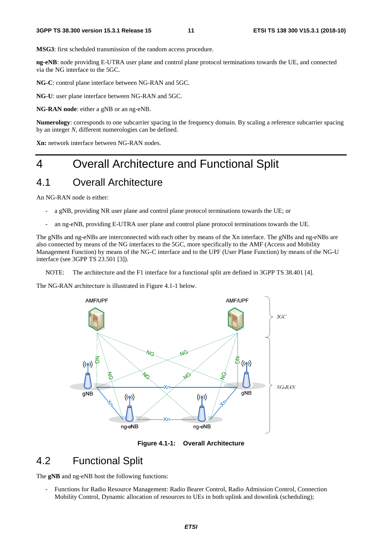**MSG3**: first scheduled transmission of the random access procedure.

**ng-eNB**: node providing E-UTRA user plane and control plane protocol terminations towards the UE, and connected via the NG interface to the 5GC.

**NG-C**: control plane interface between NG-RAN and 5GC.

**NG-U**: user plane interface between NG-RAN and 5GC.

**NG-RAN node**: either a gNB or an ng-eNB.

**Numerology**: corresponds to one subcarrier spacing in the frequency domain. By scaling a reference subcarrier spacing by an integer *N*, different numerologies can be defined.

**Xn:** network interface between NG-RAN nodes.

# 4 Overall Architecture and Functional Split

### 4.1 Overall Architecture

An NG-RAN node is either:

- a gNB, providing NR user plane and control plane protocol terminations towards the UE; or
- an ng-eNB, providing E-UTRA user plane and control plane protocol terminations towards the UE.

The gNBs and ng-eNBs are interconnected with each other by means of the Xn interface. The gNBs and ng-eNBs are also connected by means of the NG interfaces to the 5GC, more specifically to the AMF (Access and Mobility Management Function) by means of the NG-C interface and to the UPF (User Plane Function) by means of the NG-U interface (see 3GPP TS 23.501 [3]).

NOTE: The architecture and the F1 interface for a functional split are defined in 3GPP TS 38.401 [4].

The NG-RAN architecture is illustrated in Figure 4.1-1 below.



**Figure 4.1-1: Overall Architecture** 

### 4.2 Functional Split

The **gNB** and ng-eNB host the following functions:

- Functions for Radio Resource Management: Radio Bearer Control, Radio Admission Control, Connection Mobility Control, Dynamic allocation of resources to UEs in both uplink and downlink (scheduling);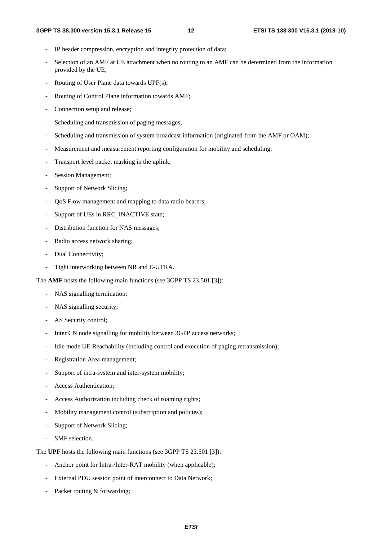- IP header compression, encryption and integrity protection of data;
- Selection of an AMF at UE attachment when no routing to an AMF can be determined from the information provided by the UE;
- Routing of User Plane data towards UPF(s);
- Routing of Control Plane information towards AMF;
- Connection setup and release;
- Scheduling and transmission of paging messages;
- Scheduling and transmission of system broadcast information (originated from the AMF or OAM);
- Measurement and measurement reporting configuration for mobility and scheduling;
- Transport level packet marking in the uplink;
- Session Management;
- Support of Network Slicing;
- QoS Flow management and mapping to data radio bearers;
- Support of UEs in RRC\_INACTIVE state;
- Distribution function for NAS messages;
- Radio access network sharing;
- Dual Connectivity;
- Tight interworking between NR and E-UTRA.

The **AMF** hosts the following main functions (see 3GPP TS 23.501 [3]):

- NAS signalling termination;
- NAS signalling security;
- AS Security control;
- Inter CN node signalling for mobility between 3GPP access networks;
- Idle mode UE Reachability (including control and execution of paging retransmission);
- Registration Area management;
- Support of intra-system and inter-system mobility;
- Access Authentication:
- Access Authorization including check of roaming rights;
- Mobility management control (subscription and policies);
- Support of Network Slicing;
- SMF selection.

The **UPF** hosts the following main functions (see 3GPP TS 23.501 [3]):

- Anchor point for Intra-/Inter-RAT mobility (when applicable);
- External PDU session point of interconnect to Data Network;
- Packet routing  $&$  forwarding;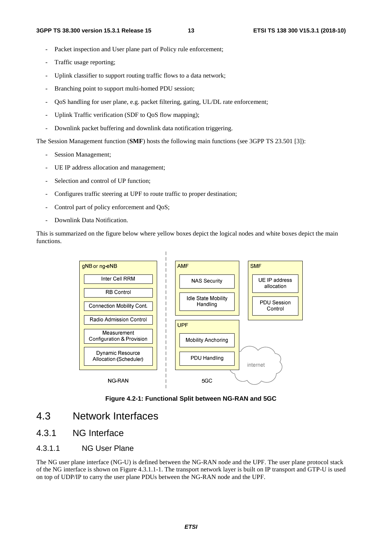- Packet inspection and User plane part of Policy rule enforcement:
- Traffic usage reporting;
- Uplink classifier to support routing traffic flows to a data network;
- Branching point to support multi-homed PDU session;
- QoS handling for user plane, e.g. packet filtering, gating, UL/DL rate enforcement;
- Uplink Traffic verification (SDF to QoS flow mapping);
- Downlink packet buffering and downlink data notification triggering.

The Session Management function (**SMF**) hosts the following main functions (see 3GPP TS 23.501 [3]):

- Session Management;
- UE IP address allocation and management;
- Selection and control of UP function;
- Configures traffic steering at UPF to route traffic to proper destination;
- Control part of policy enforcement and QoS;
- Downlink Data Notification.

This is summarized on the figure below where yellow boxes depict the logical nodes and white boxes depict the main functions.



**Figure 4.2-1: Functional Split between NG-RAN and 5GC** 

### 4.3 Network Interfaces

### 4.3.1 NG Interface

#### 4.3.1.1 NG User Plane

The NG user plane interface (NG-U) is defined between the NG-RAN node and the UPF. The user plane protocol stack of the NG interface is shown on Figure 4.3.1.1-1. The transport network layer is built on IP transport and GTP-U is used on top of UDP/IP to carry the user plane PDUs between the NG-RAN node and the UPF.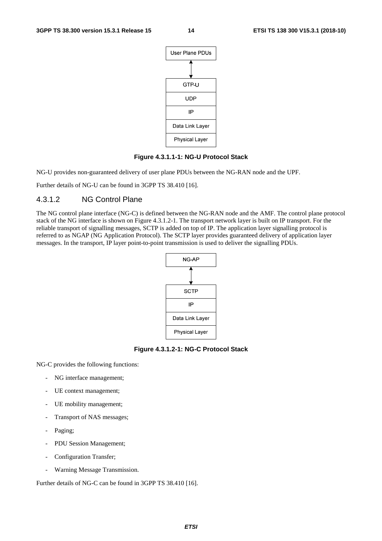

**Figure 4.3.1.1-1: NG-U Protocol Stack** 

NG-U provides non-guaranteed delivery of user plane PDUs between the NG-RAN node and the UPF.

Further details of NG-U can be found in 3GPP TS 38.410 [16].

#### 4.3.1.2 NG Control Plane

The NG control plane interface (NG-C) is defined between the NG-RAN node and the AMF. The control plane protocol stack of the NG interface is shown on Figure 4.3.1.2-1. The transport network layer is built on IP transport. For the reliable transport of signalling messages, SCTP is added on top of IP. The application layer signalling protocol is referred to as NGAP (NG Application Protocol). The SCTP layer provides guaranteed delivery of application layer messages. In the transport, IP layer point-to-point transmission is used to deliver the signalling PDUs.



**Figure 4.3.1.2-1: NG-C Protocol Stack** 

NG-C provides the following functions:

- NG interface management;
- UE context management;
- UE mobility management;
- Transport of NAS messages;
- Paging;
- PDU Session Management;
- Configuration Transfer;
- Warning Message Transmission.

Further details of NG-C can be found in 3GPP TS 38.410 [16].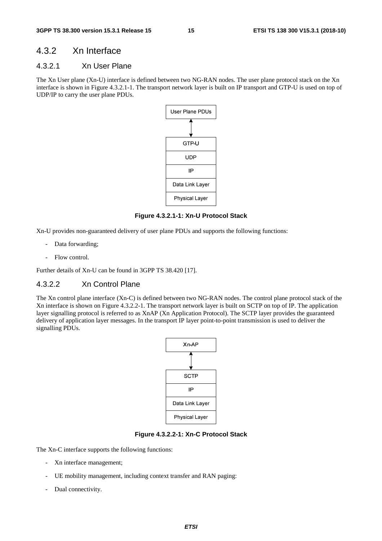#### 4.3.2 Xn Interface

#### 4.3.2.1 Xn User Plane

The Xn User plane (Xn-U) interface is defined between two NG-RAN nodes. The user plane protocol stack on the Xn interface is shown in Figure 4.3.2.1-1. The transport network layer is built on IP transport and GTP-U is used on top of UDP/IP to carry the user plane PDUs.



**Figure 4.3.2.1-1: Xn-U Protocol Stack** 

Xn-U provides non-guaranteed delivery of user plane PDUs and supports the following functions:

- Data forwarding;
- Flow control.

Further details of Xn-U can be found in 3GPP TS 38.420 [17].

#### 4.3.2.2 Xn Control Plane

The Xn control plane interface (Xn-C) is defined between two NG-RAN nodes. The control plane protocol stack of the Xn interface is shown on Figure 4.3.2.2-1. The transport network layer is built on SCTP on top of IP. The application layer signalling protocol is referred to as XnAP (Xn Application Protocol). The SCTP layer provides the guaranteed delivery of application layer messages. In the transport IP layer point-to-point transmission is used to deliver the signalling PDUs.



**Figure 4.3.2.2-1: Xn-C Protocol Stack** 

The Xn-C interface supports the following functions:

- Xn interface management;
- UE mobility management, including context transfer and RAN paging:
- Dual connectivity.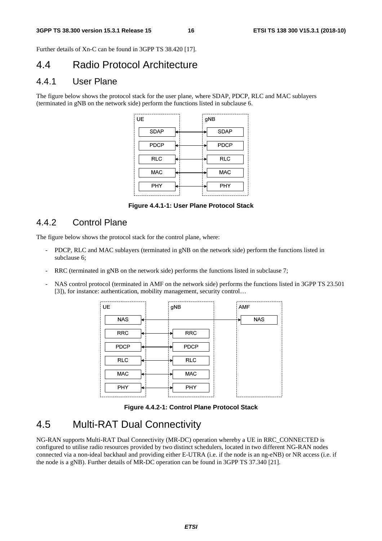Further details of Xn-C can be found in 3GPP TS 38.420 [17].

### 4.4 Radio Protocol Architecture

### 4.4.1 User Plane

The figure below shows the protocol stack for the user plane, where SDAP, PDCP, RLC and MAC sublayers (terminated in gNB on the network side) perform the functions listed in subclause 6.

| UE          | gNB         |
|-------------|-------------|
| <b>SDAP</b> | <b>SDAP</b> |
| <b>PDCP</b> | <b>PDCP</b> |
| <b>RLC</b>  | <b>RLC</b>  |
| <b>MAC</b>  | <b>MAC</b>  |
| PHY         | PHY         |

**Figure 4.4.1-1: User Plane Protocol Stack** 

### 4.4.2 Control Plane

The figure below shows the protocol stack for the control plane, where:

- PDCP, RLC and MAC sublayers (terminated in gNB on the network side) perform the functions listed in subclause 6;
- RRC (terminated in gNB on the network side) performs the functions listed in subclause 7;
- NAS control protocol (terminated in AMF on the network side) performs the functions listed in 3GPP TS 23.501 [3]), for instance: authentication, mobility management, security control…

| UE          | gNB         | AMF        |
|-------------|-------------|------------|
| <b>NAS</b>  |             | <b>NAS</b> |
| <b>RRC</b>  | <b>RRC</b>  |            |
| <b>PDCP</b> | <b>PDCP</b> |            |
| <b>RLC</b>  | <b>RLC</b>  |            |
| MAC         | <b>MAC</b>  |            |
| <b>PHY</b>  | PHY         |            |

**Figure 4.4.2-1: Control Plane Protocol Stack** 

### 4.5 Multi-RAT Dual Connectivity

NG-RAN supports Multi-RAT Dual Connectivity (MR-DC) operation whereby a UE in RRC\_CONNECTED is configured to utilise radio resources provided by two distinct schedulers, located in two different NG-RAN nodes connected via a non-ideal backhaul and providing either E-UTRA (i.e. if the node is an ng-eNB) or NR access (i.e. if the node is a gNB). Further details of MR-DC operation can be found in 3GPP TS 37.340 [21].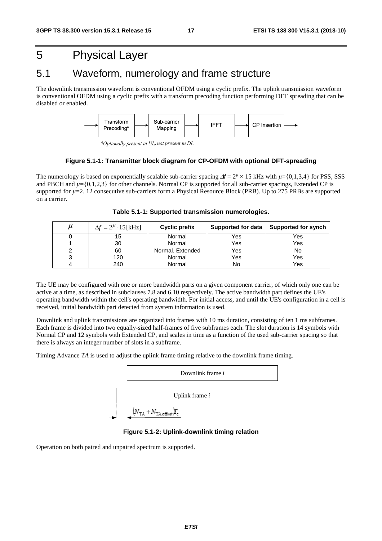# 5 Physical Layer

### 5.1 Waveform, numerology and frame structure

The downlink transmission waveform is conventional OFDM using a cyclic prefix. The uplink transmission waveform is conventional OFDM using a cyclic prefix with a transform precoding function performing DFT spreading that can be disabled or enabled.



\*Optionally present in UL, not present in DL

#### **Figure 5.1-1: Transmitter block diagram for CP-OFDM with optional DFT-spreading**

The numerology is based on exponentially scalable sub-carrier spacing  $\Delta f = 2^{\mu} \times 15$  kHz with  $\mu = \{0, 1, 3, 4\}$  for PSS, SSS and PBCH and  $\mu$ ={0,1,2,3} for other channels. Normal CP is supported for all sub-carrier spacings, Extended CP is supported for  $\mu$ =2. 12 consecutive sub-carriers form a Physical Resource Block (PRB). Up to 275 PRBs are supported on a carrier.

| $\mu$ | $\Delta f = 2^{\mu} \cdot 15 \text{ [kHz]}$ | Cyclic prefix    | Supported for data | Supported for synch |
|-------|---------------------------------------------|------------------|--------------------|---------------------|
|       |                                             | Normal           | Yes                | Yes                 |
|       | 30                                          | Normal           | Yes                | Yes                 |
|       | 60                                          | Normal, Extended | Yes                | No                  |
|       | 120                                         | Normal           | Yes                | Yes                 |
|       | 240                                         | Normal           | No                 | Yes                 |

**Table 5.1-1: Supported transmission numerologies.** 

The UE may be configured with one or more bandwidth parts on a given component carrier, of which only one can be active at a time, as described in subclauses 7.8 and 6.10 respectively. The active bandwidth part defines the UE's operating bandwidth within the cell's operating bandwidth. For initial access, and until the UE's configuration in a cell is received, initial bandwidth part detected from system information is used.

Downlink and uplink transmissions are organized into frames with 10 ms duration, consisting of ten 1 ms subframes. Each frame is divided into two equally-sized half-frames of five subframes each. The slot duration is 14 symbols with Normal CP and 12 symbols with Extended CP, and scales in time as a function of the used sub-carrier spacing so that there is always an integer number of slots in a subframe.

Timing Advance *TA* is used to adjust the uplink frame timing relative to the downlink frame timing.



**Figure 5.1-2: Uplink-downlink timing relation** 

Operation on both paired and unpaired spectrum is supported.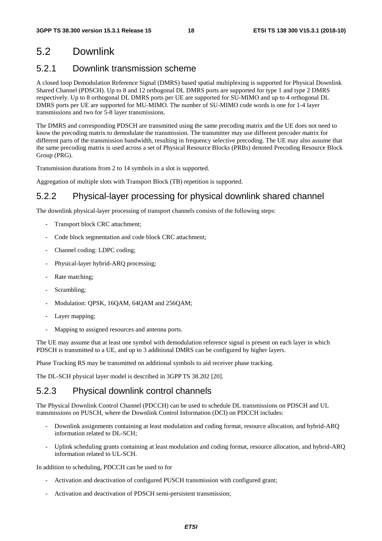### 5.2 Downlink

### 5.2.1 Downlink transmission scheme

A closed loop Demodulation Reference Signal (DMRS) based spatial multiplexing is supported for Physical Downlink Shared Channel (PDSCH). Up to 8 and 12 orthogonal DL DMRS ports are supported for type 1 and type 2 DMRS respectively. Up to 8 orthogonal DL DMRS ports per UE are supported for SU-MIMO and up to 4 orthogonal DL DMRS ports per UE are supported for MU-MIMO. The number of SU-MIMO code words is one for 1-4 layer transmissions and two for 5-8 layer transmissions.

The DMRS and corresponding PDSCH are transmitted using the same precoding matrix and the UE does not need to know the precoding matrix to demodulate the transmission. The transmitter may use different precoder matrix for different parts of the transmission bandwidth, resulting in frequency selective precoding. The UE may also assume that the same precoding matrix is used across a set of Physical Resource Blocks (PRBs) denoted Precoding Resource Block Group (PRG).

Transmission durations from 2 to 14 symbols in a slot is supported.

Aggregation of multiple slots with Transport Block (TB) repetition is supported.

### 5.2.2 Physical-layer processing for physical downlink shared channel

The downlink physical-layer processing of transport channels consists of the following steps:

- Transport block CRC attachment:
- Code block segmentation and code block CRC attachment;
- Channel coding: LDPC coding;
- Physical-layer hybrid-ARQ processing;
- Rate matching;
- Scrambling;
- Modulation: OPSK, 16OAM, 64OAM and 256OAM;
- Layer mapping;
- Mapping to assigned resources and antenna ports.

The UE may assume that at least one symbol with demodulation reference signal is present on each layer in which PDSCH is transmitted to a UE, and up to 3 additional DMRS can be configured by higher layers.

Phase Tracking RS may be transmitted on additional symbols to aid receiver phase tracking.

The DL-SCH physical layer model is described in 3GPP TS 38.202 [20].

### 5.2.3 Physical downlink control channels

The Physical Downlink Control Channel (PDCCH) can be used to schedule DL transmissions on PDSCH and UL transmissions on PUSCH, where the Downlink Control Information (DCI) on PDCCH includes:

- Downlink assignments containing at least modulation and coding format, resource allocation, and hybrid-ARQ information related to DL-SCH;
- Uplink scheduling grants containing at least modulation and coding format, resource allocation, and hybrid-ARQ information related to UL-SCH.

In addition to scheduling, PDCCH can be used to for

- Activation and deactivation of configured PUSCH transmission with configured grant;
- Activation and deactivation of PDSCH semi-persistent transmission;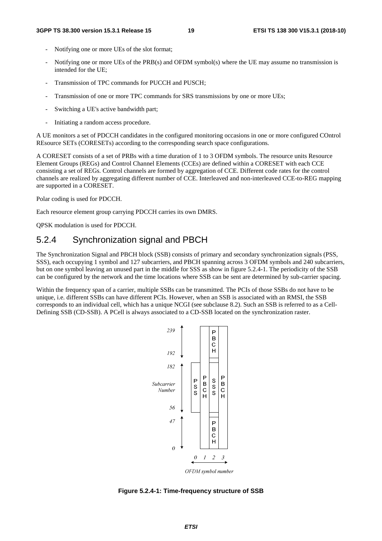- Notifying one or more UEs of the slot format;
- Notifying one or more UEs of the PRB(s) and OFDM symbol(s) where the UE may assume no transmission is intended for the UE;
- Transmission of TPC commands for PUCCH and PUSCH;
- Transmission of one or more TPC commands for SRS transmissions by one or more UEs;
- Switching a UE's active bandwidth part;
- Initiating a random access procedure.

A UE monitors a set of PDCCH candidates in the configured monitoring occasions in one or more configured COntrol REsource SETs (CORESETs) according to the corresponding search space configurations.

A CORESET consists of a set of PRBs with a time duration of 1 to 3 OFDM symbols. The resource units Resource Element Groups (REGs) and Control Channel Elements (CCEs) are defined within a CORESET with each CCE consisting a set of REGs. Control channels are formed by aggregation of CCE. Different code rates for the control channels are realized by aggregating different number of CCE. Interleaved and non-interleaved CCE-to-REG mapping are supported in a CORESET.

Polar coding is used for PDCCH.

Each resource element group carrying PDCCH carries its own DMRS.

QPSK modulation is used for PDCCH.

#### 5.2.4 Synchronization signal and PBCH

The Synchronization Signal and PBCH block (SSB) consists of primary and secondary synchronization signals (PSS, SSS), each occupying 1 symbol and 127 subcarriers, and PBCH spanning across 3 OFDM symbols and 240 subcarriers, but on one symbol leaving an unused part in the middle for SSS as show in figure 5.2.4-1. The periodicity of the SSB can be configured by the network and the time locations where SSB can be sent are determined by sub-carrier spacing.

Within the frequency span of a carrier, multiple SSBs can be transmitted. The PCIs of those SSBs do not have to be unique, i.e. different SSBs can have different PCIs. However, when an SSB is associated with an RMSI, the SSB corresponds to an individual cell, which has a unique NCGI (see subclause 8.2). Such an SSB is referred to as a Cell-Defining SSB (CD-SSB). A PCell is always associated to a CD-SSB located on the synchronization raster.



**Figure 5.2.4-1: Time-frequency structure of SSB**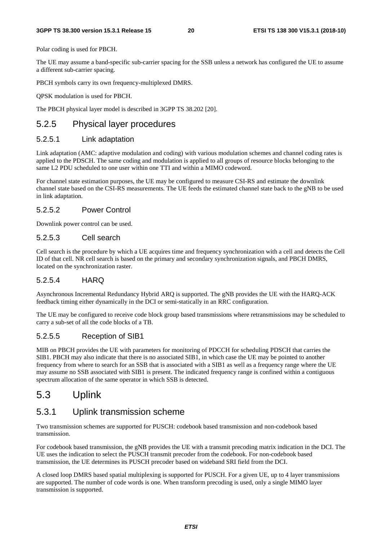Polar coding is used for PBCH.

The UE may assume a band-specific sub-carrier spacing for the SSB unless a network has configured the UE to assume a different sub-carrier spacing.

PBCH symbols carry its own frequency-multiplexed DMRS.

QPSK modulation is used for PBCH.

The PBCH physical layer model is described in 3GPP TS 38.202 [20].

### 5.2.5 Physical layer procedures

#### 5.2.5.1 Link adaptation

Link adaptation (AMC: adaptive modulation and coding) with various modulation schemes and channel coding rates is applied to the PDSCH. The same coding and modulation is applied to all groups of resource blocks belonging to the same L2 PDU scheduled to one user within one TTI and within a MIMO codeword.

For channel state estimation purposes, the UE may be configured to measure CSI-RS and estimate the downlink channel state based on the CSI-RS measurements. The UE feeds the estimated channel state back to the gNB to be used in link adaptation.

#### 5.2.5.2 Power Control

Downlink power control can be used.

#### 5.2.5.3 Cell search

Cell search is the procedure by which a UE acquires time and frequency synchronization with a cell and detects the Cell ID of that cell. NR cell search is based on the primary and secondary synchronization signals, and PBCH DMRS, located on the synchronization raster.

#### 5.2.5.4 HARQ

Asynchronous Incremental Redundancy Hybrid ARQ is supported. The gNB provides the UE with the HARQ-ACK feedback timing either dynamically in the DCI or semi-statically in an RRC configuration.

The UE may be configured to receive code block group based transmissions where retransmissions may be scheduled to carry a sub-set of all the code blocks of a TB.

#### 5.2.5.5 Reception of SIB1

MIB on PBCH provides the UE with parameters for monitoring of PDCCH for scheduling PDSCH that carries the SIB1. PBCH may also indicate that there is no associated SIB1, in which case the UE may be pointed to another frequency from where to search for an SSB that is associated with a SIB1 as well as a frequency range where the UE may assume no SSB associated with SIB1 is present. The indicated frequency range is confined within a contiguous spectrum allocation of the same operator in which SSB is detected.

### 5.3 Uplink

### 5.3.1 Uplink transmission scheme

Two transmission schemes are supported for PUSCH: codebook based transmission and non-codebook based transmission.

For codebook based transmission, the gNB provides the UE with a transmit precoding matrix indication in the DCI. The UE uses the indication to select the PUSCH transmit precoder from the codebook. For non-codebook based transmission, the UE determines its PUSCH precoder based on wideband SRI field from the DCI.

A closed loop DMRS based spatial multiplexing is supported for PUSCH. For a given UE, up to 4 layer transmissions are supported. The number of code words is one. When transform precoding is used, only a single MIMO layer transmission is supported.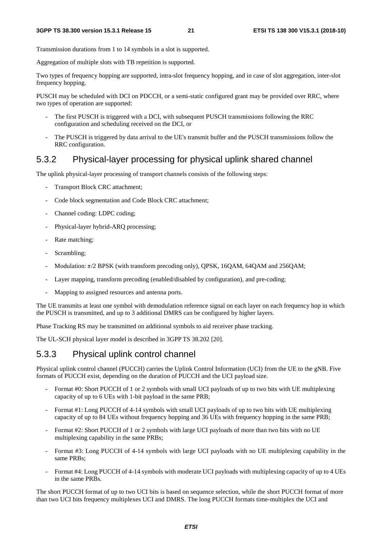Transmission durations from 1 to 14 symbols in a slot is supported.

Aggregation of multiple slots with TB repetition is supported.

Two types of frequency hopping are supported, intra-slot frequency hopping, and in case of slot aggregation, inter-slot frequency hopping.

PUSCH may be scheduled with DCI on PDCCH, or a semi-static configured grant may be provided over RRC, where two types of operation are supported:

- The first PUSCH is triggered with a DCI, with subsequent PUSCH transmissions following the RRC configuration and scheduling received on the DCI, or
- The PUSCH is triggered by data arrival to the UE's transmit buffer and the PUSCH transmissions follow the RRC configuration.

#### 5.3.2 Physical-layer processing for physical uplink shared channel

The uplink physical-layer processing of transport channels consists of the following steps:

- Transport Block CRC attachment;
- Code block segmentation and Code Block CRC attachment;
- Channel coding: LDPC coding;
- Physical-layer hybrid-ARQ processing;
- Rate matching;
- Scrambling;
- Modulation:  $\pi/2$  BPSK (with transform precoding only), QPSK, 16QAM, 64QAM and 256QAM;
- Layer mapping, transform precoding (enabled/disabled by configuration), and pre-coding;
- Mapping to assigned resources and antenna ports.

The UE transmits at least one symbol with demodulation reference signal on each layer on each frequency hop in which the PUSCH is transmitted, and up to 3 additional DMRS can be configured by higher layers.

Phase Tracking RS may be transmitted on additional symbols to aid receiver phase tracking.

The UL-SCH physical layer model is described in 3GPP TS 38.202 [20].

#### 5.3.3 Physical uplink control channel

Physical uplink control channel (PUCCH) carries the Uplink Control Information (UCI) from the UE to the gNB. Five formats of PUCCH exist, depending on the duration of PUCCH and the UCI payload size.

- Format #0: Short PUCCH of 1 or 2 symbols with small UCI payloads of up to two bits with UE multiplexing capacity of up to 6 UEs with 1-bit payload in the same PRB;
- Format #1: Long PUCCH of 4-14 symbols with small UCI payloads of up to two bits with UE multiplexing capacity of up to 84 UEs without frequency hopping and 36 UEs with frequency hopping in the same PRB;
- Format #2: Short PUCCH of 1 or 2 symbols with large UCI payloads of more than two bits with no UE multiplexing capability in the same PRBs;
- Format #3: Long PUCCH of 4-14 symbols with large UCI payloads with no UE multiplexing capability in the same PRBs;
- Format #4: Long PUCCH of 4-14 symbols with moderate UCI payloads with multiplexing capacity of up to 4 UEs in the same PRBs.

The short PUCCH format of up to two UCI bits is based on sequence selection, while the short PUCCH format of more than two UCI bits frequency multiplexes UCI and DMRS. The long PUCCH formats time-multiplex the UCI and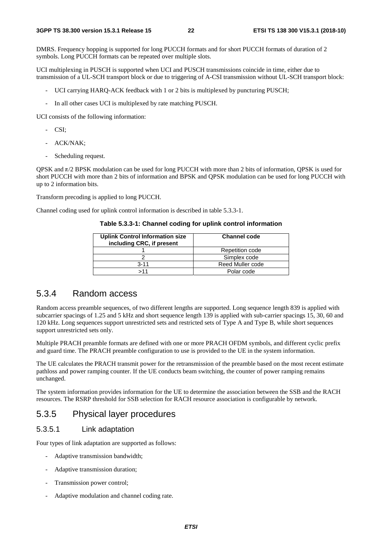DMRS. Frequency hopping is supported for long PUCCH formats and for short PUCCH formats of duration of 2 symbols. Long PUCCH formats can be repeated over multiple slots.

UCI multiplexing in PUSCH is supported when UCI and PUSCH transmissions coincide in time, either due to transmission of a UL-SCH transport block or due to triggering of A-CSI transmission without UL-SCH transport block:

- UCI carrying HARQ-ACK feedback with 1 or 2 bits is multiplexed by puncturing PUSCH;
- In all other cases UCI is multiplexed by rate matching PUSCH.

UCI consists of the following information:

- CSI;
- ACK/NAK;
- Scheduling request.

QPSK and  $π/2$  BPSK modulation can be used for long PUCCH with more than 2 bits of information, QPSK is used for short PUCCH with more than 2 bits of information and BPSK and QPSK modulation can be used for long PUCCH with up to 2 information bits.

Transform precoding is applied to long PUCCH.

Channel coding used for uplink control information is described in table 5.3.3-1.

**Table 5.3.3-1: Channel coding for uplink control information** 

| <b>Uplink Control Information size</b><br>including CRC, if present | <b>Channel code</b> |
|---------------------------------------------------------------------|---------------------|
|                                                                     | Repetition code     |
|                                                                     | Simplex code        |
| $3 - 11$                                                            | Reed Muller code    |
| >11                                                                 | Polar code          |

#### 5.3.4 Random access

Random access preamble sequences, of two different lengths are supported. Long sequence length 839 is applied with subcarrier spacings of 1.25 and 5 kHz and short sequence length 139 is applied with sub-carrier spacings 15, 30, 60 and 120 kHz. Long sequences support unrestricted sets and restricted sets of Type A and Type B, while short sequences support unrestricted sets only.

Multiple PRACH preamble formats are defined with one or more PRACH OFDM symbols, and different cyclic prefix and guard time. The PRACH preamble configuration to use is provided to the UE in the system information.

The UE calculates the PRACH transmit power for the retransmission of the preamble based on the most recent estimate pathloss and power ramping counter. If the UE conducts beam switching, the counter of power ramping remains unchanged.

The system information provides information for the UE to determine the association between the SSB and the RACH resources. The RSRP threshold for SSB selection for RACH resource association is configurable by network.

#### 5.3.5 Physical layer procedures

#### 5.3.5.1 Link adaptation

Four types of link adaptation are supported as follows:

- Adaptive transmission bandwidth;
- Adaptive transmission duration;
- Transmission power control:
- Adaptive modulation and channel coding rate.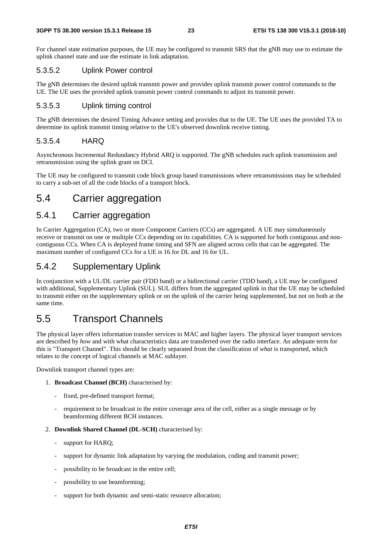For channel state estimation purposes, the UE may be configured to transmit SRS that the gNB may use to estimate the uplink channel state and use the estimate in link adaptation.

#### 5.3.5.2 Uplink Power control

The gNB determines the desired uplink transmit power and provides uplink transmit power control commands to the UE. The UE uses the provided uplink transmit power control commands to adjust its transmit power.

#### 5.3.5.3 Uplink timing control

The gNB determines the desired Timing Advance setting and provides that to the UE. The UE uses the provided TA to determine its uplink transmit timing relative to the UE's observed downlink receive timing.

#### 5.3.5.4 HARQ

Asynchronous Incremental Redundancy Hybrid ARQ is supported. The gNB schedules each uplink transmission and retransmission using the uplink grant on DCI.

The UE may be configured to transmit code block group based transmissions where retransmissions may be scheduled to carry a sub-set of all the code blocks of a transport block.

### 5.4 Carrier aggregation

### 5.4.1 Carrier aggregation

In Carrier Aggregation (CA), two or more Component Carriers (CCs) are aggregated. A UE may simultaneously receive or transmit on one or multiple CCs depending on its capabilities. CA is supported for both contiguous and noncontiguous CCs. When CA is deployed frame timing and SFN are aligned across cells that can be aggregated. The maximum number of configured CCs for a UE is 16 for DL and 16 for UL.

### 5.4.2 Supplementary Uplink

In conjunction with a UL/DL carrier pair (FDD band) or a bidirectional carrier (TDD band), a UE may be configured with additional, Supplementary Uplink (SUL). SUL differs from the aggregated uplink in that the UE may be scheduled to transmit either on the supplementary uplink or on the uplink of the carrier being supplemented, but not on both at the same time.

### 5.5 Transport Channels

The physical layer offers information transfer services to MAC and higher layers. The physical layer transport services are described by *how* and with what characteristics data are transferred over the radio interface. An adequate term for this is "Transport Channel". This should be clearly separated from the classification of *what* is transported, which relates to the concept of logical channels at MAC sublayer.

Downlink transport channel types are:

- 1. **Broadcast Channel (BCH)** characterised by:
	- fixed, pre-defined transport format;
	- requirement to be broadcast in the entire coverage area of the cell, either as a single message or by beamforming different BCH instances.
- 2. **Downlink Shared Channel (DL-SCH)** characterised by:
	- support for HARQ;
	- support for dynamic link adaptation by varying the modulation, coding and transmit power;
	- possibility to be broadcast in the entire cell;
	- possibility to use beamforming:
	- support for both dynamic and semi-static resource allocation;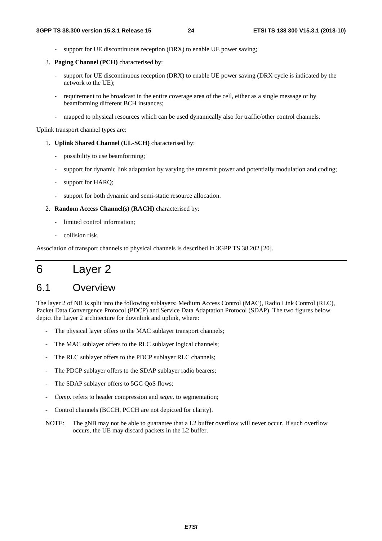- support for UE discontinuous reception (DRX) to enable UE power saving:
- 3. **Paging Channel (PCH)** characterised by:
	- support for UE discontinuous reception (DRX) to enable UE power saving (DRX cycle is indicated by the network to the UE);
	- requirement to be broadcast in the entire coverage area of the cell, either as a single message or by beamforming different BCH instances;
	- mapped to physical resources which can be used dynamically also for traffic/other control channels.

Uplink transport channel types are:

- 1. **Uplink Shared Channel (UL-SCH)** characterised by:
	- possibility to use beamforming;
	- support for dynamic link adaptation by varying the transmit power and potentially modulation and coding;
	- support for HARO;
	- support for both dynamic and semi-static resource allocation.
- 2. **Random Access Channel(s) (RACH)** characterised by:
	- limited control information:
	- collision risk.

Association of transport channels to physical channels is described in 3GPP TS 38.202 [20].

# 6 Layer 2

### 6.1 Overview

The layer 2 of NR is split into the following sublayers: Medium Access Control (MAC), Radio Link Control (RLC), Packet Data Convergence Protocol (PDCP) and Service Data Adaptation Protocol (SDAP). The two figures below depict the Layer 2 architecture for downlink and uplink, where:

- The physical layer offers to the MAC sublayer transport channels;
- The MAC sublayer offers to the RLC sublayer logical channels;
- The RLC sublayer offers to the PDCP sublayer RLC channels;
- The PDCP sublayer offers to the SDAP sublayer radio bearers;
- The SDAP sublayer offers to 5GC OoS flows;
- *Comp.* refers to header compression and *segm.* to segmentation;
- Control channels (BCCH, PCCH are not depicted for clarity).
- NOTE: The gNB may not be able to guarantee that a L2 buffer overflow will never occur. If such overflow occurs, the UE may discard packets in the L2 buffer.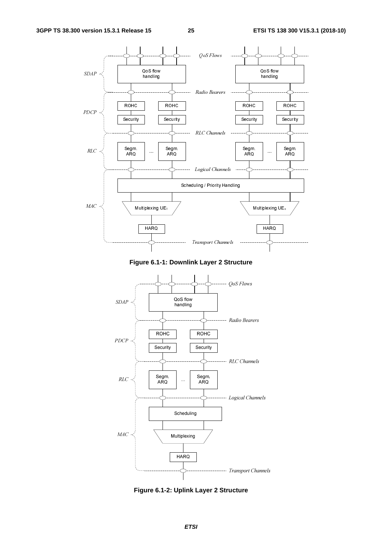

**Figure 6.1-1: Downlink Layer 2 Structure** 



**Figure 6.1-2: Uplink Layer 2 Structure**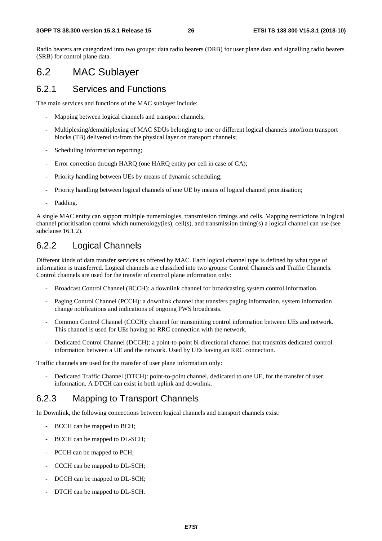Radio bearers are categorized into two groups: data radio bearers (DRB) for user plane data and signalling radio bearers (SRB) for control plane data.

### 6.2 MAC Sublayer

#### 6.2.1 Services and Functions

The main services and functions of the MAC sublayer include:

- Mapping between logical channels and transport channels;
- Multiplexing/demultiplexing of MAC SDUs belonging to one or different logical channels into/from transport blocks (TB) delivered to/from the physical layer on transport channels;
- Scheduling information reporting;
- Error correction through HARQ (one HARQ entity per cell in case of CA);
- Priority handling between UEs by means of dynamic scheduling;
- Priority handling between logical channels of one UE by means of logical channel prioritisation;
- Padding.

A single MAC entity can support multiple numerologies, transmission timings and cells. Mapping restrictions in logical channel prioritisation control which numerology(ies), cell(s), and transmission timing(s) a logical channel can use (see subclause 16.1.2).

### 6.2.2 Logical Channels

Different kinds of data transfer services as offered by MAC. Each logical channel type is defined by what type of information is transferred. Logical channels are classified into two groups: Control Channels and Traffic Channels. Control channels are used for the transfer of control plane information only:

- Broadcast Control Channel (BCCH): a downlink channel for broadcasting system control information.
- Paging Control Channel (PCCH): a downlink channel that transfers paging information, system information change notifications and indications of ongoing PWS broadcasts.
- Common Control Channel (CCCH): channel for transmitting control information between UEs and network. This channel is used for UEs having no RRC connection with the network.
- Dedicated Control Channel (DCCH): a point-to-point bi-directional channel that transmits dedicated control information between a UE and the network. Used by UEs having an RRC connection.

Traffic channels are used for the transfer of user plane information only:

**-** Dedicated Traffic Channel (DTCH): point-to-point channel, dedicated to one UE, for the transfer of user information. A DTCH can exist in both uplink and downlink.

### 6.2.3 Mapping to Transport Channels

In Downlink, the following connections between logical channels and transport channels exist:

- BCCH can be mapped to BCH;
- BCCH can be mapped to DL-SCH;
- PCCH can be mapped to PCH;
- CCCH can be mapped to DL-SCH;
- DCCH can be mapped to DL-SCH;
- DTCH can be mapped to DL-SCH.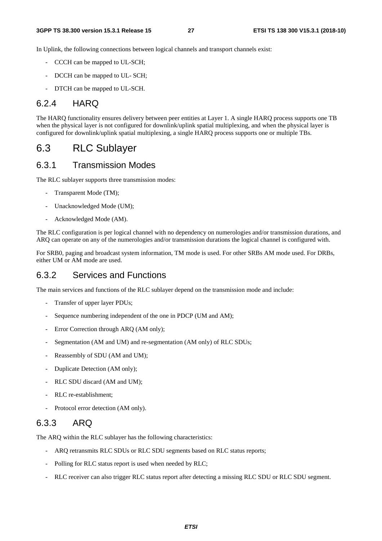In Uplink, the following connections between logical channels and transport channels exist:

- CCCH can be mapped to UL-SCH;
- DCCH can be mapped to UL-SCH;
- DTCH can be mapped to UL-SCH.

#### 6.2.4 HARQ

The HARQ functionality ensures delivery between peer entities at Layer 1. A single HARQ process supports one TB when the physical layer is not configured for downlink/uplink spatial multiplexing, and when the physical layer is configured for downlink/uplink spatial multiplexing, a single HARQ process supports one or multiple TBs.

### 6.3 RLC Sublayer

#### 6.3.1 Transmission Modes

The RLC sublayer supports three transmission modes:

- Transparent Mode (TM);
- Unacknowledged Mode (UM);
- Acknowledged Mode (AM).

The RLC configuration is per logical channel with no dependency on numerologies and/or transmission durations, and ARQ can operate on any of the numerologies and/or transmission durations the logical channel is configured with.

For SRB0, paging and broadcast system information, TM mode is used. For other SRBs AM mode used. For DRBs, either UM or AM mode are used.

#### 6.3.2 Services and Functions

The main services and functions of the RLC sublayer depend on the transmission mode and include:

- Transfer of upper layer PDUs;
- Sequence numbering independent of the one in PDCP (UM and AM);
- Error Correction through ARQ (AM only);
- Segmentation (AM and UM) and re-segmentation (AM only) of RLC SDUs;
- Reassembly of SDU (AM and UM);
- Duplicate Detection (AM only);
- RLC SDU discard (AM and UM);
- RLC re-establishment:
- Protocol error detection (AM only).

#### 6.3.3 ARQ

The ARQ within the RLC sublayer has the following characteristics:

- ARQ retransmits RLC SDUs or RLC SDU segments based on RLC status reports;
- Polling for RLC status report is used when needed by RLC;
- RLC receiver can also trigger RLC status report after detecting a missing RLC SDU or RLC SDU segment.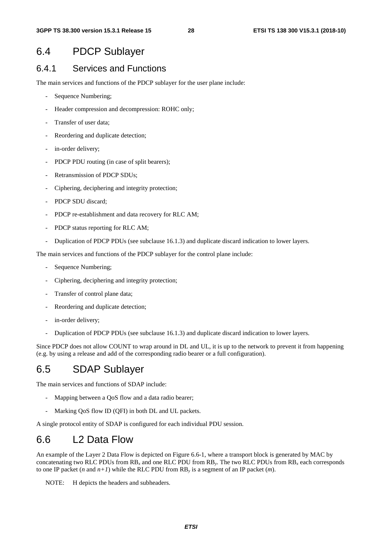### 6.4 PDCP Sublayer

#### 6.4.1 Services and Functions

The main services and functions of the PDCP sublayer for the user plane include:

- Sequence Numbering;
- Header compression and decompression: ROHC only;
- Transfer of user data;
- Reordering and duplicate detection;
- in-order delivery;
- PDCP PDU routing (in case of split bearers);
- Retransmission of PDCP SDUs:
- Ciphering, deciphering and integrity protection;
- PDCP SDU discard:
- PDCP re-establishment and data recovery for RLC AM;
- PDCP status reporting for RLC AM;
- Duplication of PDCP PDUs (see subclause 16.1.3) and duplicate discard indication to lower layers.

The main services and functions of the PDCP sublayer for the control plane include:

- Sequence Numbering;
- Ciphering, deciphering and integrity protection;
- Transfer of control plane data;
- Reordering and duplicate detection:
- in-order delivery;
- Duplication of PDCP PDUs (see subclause 16.1.3) and duplicate discard indication to lower layers.

Since PDCP does not allow COUNT to wrap around in DL and UL, it is up to the network to prevent it from happening (e.g. by using a release and add of the corresponding radio bearer or a full configuration).

### 6.5 SDAP Sublayer

The main services and functions of SDAP include:

- Mapping between a QoS flow and a data radio bearer;
- Marking QoS flow ID (QFI) in both DL and UL packets.

A single protocol entity of SDAP is configured for each individual PDU session.

### 6.6 L2 Data Flow

An example of the Layer 2 Data Flow is depicted on Figure 6.6-1, where a transport block is generated by MAC by concatenating two RLC PDUs from RB*x* and one RLC PDU from RB*y*. The two RLC PDUs from RB*x* each corresponds to one IP packet (*n* and  $n+1$ ) while the RLC PDU from  $RB_y$  is a segment of an IP packet (*m*).

NOTE: H depicts the headers and subheaders.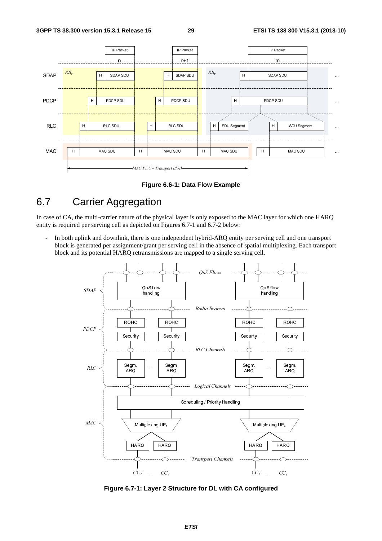

**Figure 6.6-1: Data Flow Example** 

# 6.7 Carrier Aggregation

In case of CA, the multi-carrier nature of the physical layer is only exposed to the MAC layer for which one HARQ entity is required per serving cell as depicted on Figures 6.7-1 and 6.7-2 below:

In both uplink and downlink, there is one independent hybrid-ARQ entity per serving cell and one transport block is generated per assignment/grant per serving cell in the absence of spatial multiplexing. Each transport block and its potential HARQ retransmissions are mapped to a single serving cell.



**Figure 6.7-1: Layer 2 Structure for DL with CA configured**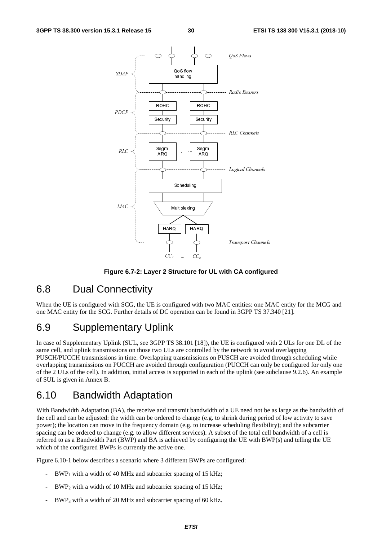

**Figure 6.7-2: Layer 2 Structure for UL with CA configured** 

### 6.8 Dual Connectivity

When the UE is configured with SCG, the UE is configured with two MAC entities: one MAC entity for the MCG and one MAC entity for the SCG. Further details of DC operation can be found in 3GPP TS 37.340 [21].

### 6.9 Supplementary Uplink

In case of Supplementary Uplink (SUL, see 3GPP TS 38.101 [18]), the UE is configured with 2 ULs for one DL of the same cell, and uplink transmissions on those two ULs are controlled by the network to avoid overlapping PUSCH/PUCCH transmissions in time. Overlapping transmissions on PUSCH are avoided through scheduling while overlapping transmissions on PUCCH are avoided through configuration (PUCCH can only be configured for only one of the 2 ULs of the cell). In addition, initial access is supported in each of the uplink (see subclause 9.2.6). An example of SUL is given in Annex B.

### 6.10 Bandwidth Adaptation

With Bandwidth Adaptation (BA), the receive and transmit bandwidth of a UE need not be as large as the bandwidth of the cell and can be adjusted: the width can be ordered to change (e.g. to shrink during period of low activity to save power); the location can move in the frequency domain (e.g. to increase scheduling flexibility); and the subcarrier spacing can be ordered to change (e.g. to allow different services). A subset of the total cell bandwidth of a cell is referred to as a Bandwidth Part (BWP) and BA is achieved by configuring the UE with BWP(s) and telling the UE which of the configured BWPs is currently the active one.

Figure 6.10-1 below describes a scenario where 3 different BWPs are configured:

- $BWP<sub>1</sub>$  with a width of 40 MHz and subcarrier spacing of 15 kHz;
- $BWP_2$  with a width of 10 MHz and subcarrier spacing of 15 kHz;
- BWP<sub>3</sub> with a width of 20 MHz and subcarrier spacing of 60 kHz.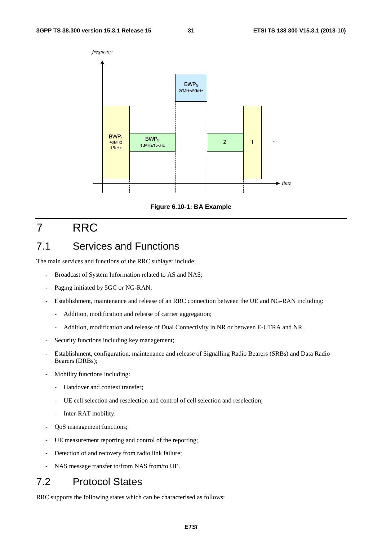



# 7 RRC

### 7.1 Services and Functions

The main services and functions of the RRC sublayer include:

- Broadcast of System Information related to AS and NAS;
- Paging initiated by 5GC or NG-RAN;
- Establishment, maintenance and release of an RRC connection between the UE and NG-RAN including:
	- Addition, modification and release of carrier aggregation;
	- Addition, modification and release of Dual Connectivity in NR or between E-UTRA and NR.
- Security functions including key management;
- Establishment, configuration, maintenance and release of Signalling Radio Bearers (SRBs) and Data Radio Bearers (DRBs);
- Mobility functions including:
	- Handover and context transfer;
	- UE cell selection and reselection and control of cell selection and reselection;
	- Inter-RAT mobility.
- QoS management functions;
- UE measurement reporting and control of the reporting;
- Detection of and recovery from radio link failure;
- NAS message transfer to/from NAS from/to UE.

# 7.2 Protocol States

RRC supports the following states which can be characterised as follows: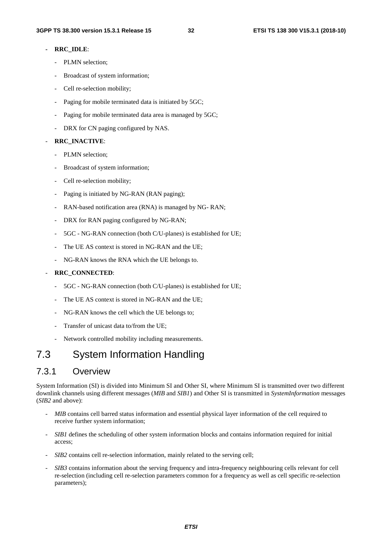#### **- RRC\_IDLE**:

- PLMN selection;
- Broadcast of system information;
- Cell re-selection mobility;
- Paging for mobile terminated data is initiated by 5GC;
- Paging for mobile terminated data area is managed by 5GC;
- DRX for CN paging configured by NAS.

#### - **RRC\_INACTIVE**:

- PLMN selection;
- Broadcast of system information;
- Cell re-selection mobility;
- Paging is initiated by NG-RAN (RAN paging);
- RAN-based notification area (RNA) is managed by NG- RAN;
- DRX for RAN paging configured by NG-RAN;
- 5GC NG-RAN connection (both C/U-planes) is established for UE;
- The UE AS context is stored in NG-RAN and the UE;
- NG-RAN knows the RNA which the UE belongs to.

#### - **RRC\_CONNECTED**:

- 5GC NG-RAN connection (both C/U-planes) is established for UE;
- The UE AS context is stored in NG-RAN and the UE;
- NG-RAN knows the cell which the UE belongs to:
- Transfer of unicast data to/from the UE;
- Network controlled mobility including measurements.

### 7.3 System Information Handling

#### 7.3.1 Overview

System Information (SI) is divided into Minimum SI and Other SI, where Minimum SI is transmitted over two different downlink channels using different messages (*MIB* and *SIB1*) and Other SI is transmitted in *SystemInformation* messages (*SIB2* and above):

- *MIB* contains cell barred status information and essential physical layer information of the cell required to receive further system information;
- *SIB1* defines the scheduling of other system information blocks and contains information required for initial access;
- *SIB2* contains cell re-selection information, mainly related to the serving cell;
- *SIB3* contains information about the serving frequency and intra-frequency neighbouring cells relevant for cell re-selection (including cell re-selection parameters common for a frequency as well as cell specific re-selection parameters);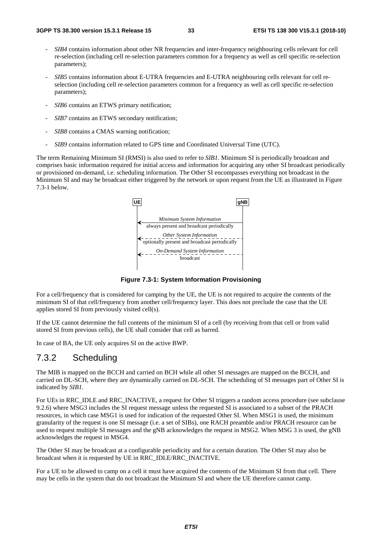- *SIB4* contains information about other NR frequencies and inter-frequency neighbouring cells relevant for cell re-selection (including cell re-selection parameters common for a frequency as well as cell specific re-selection parameters);
- *SIB5* contains information about E-UTRA frequencies and E-UTRA neighbouring cells relevant for cell reselection (including cell re-selection parameters common for a frequency as well as cell specific re-selection parameters);
- *SIB6* contains an ETWS primary notification;
- *SIB7* contains an ETWS secondary notification;
- *SIB8* contains a CMAS warning notification;
- *SIB9* contains information related to GPS time and Coordinated Universal Time (UTC).

The term Remaining Minimum SI (RMSI) is also used to refer to *SIB1*. Minimum SI is periodically broadcast and comprises basic information required for initial access and information for acquiring any other SI broadcast periodically or provisioned on-demand, i.e. scheduling information. The Other SI encompasses everything not broadcast in the Minimum SI and may be broadcast either triggered by the network or upon request from the UE as illustrated in Figure 7.3-1 below.



**Figure 7.3-1: System Information Provisioning**

For a cell/frequency that is considered for camping by the UE, the UE is not required to acquire the contents of the minimum SI of that cell/frequency from another cell/frequency layer. This does not preclude the case that the UE applies stored SI from previously visited cell(s).

If the UE cannot determine the full contents of the minimum SI of a cell (by receiving from that cell or from valid stored SI from previous cells), the UE shall consider that cell as barred.

In case of BA, the UE only acquires SI on the active BWP.

#### 7.3.2 Scheduling

The MIB is mapped on the BCCH and carried on BCH while all other SI messages are mapped on the BCCH, and carried on DL-SCH, where they are dynamically carried on DL-SCH. The scheduling of SI messages part of Other SI is indicated by *SIB1*.

For UEs in RRC\_IDLE and RRC\_INACTIVE, a request for Other SI triggers a random access procedure (see subclause 9.2.6) where MSG3 includes the SI request message unless the requested SI is associated to a subset of the PRACH resources, in which case MSG1 is used for indication of the requested Other SI. When MSG1 is used, the minimum granularity of the request is one SI message (i.e. a set of SIBs), one RACH preamble and/or PRACH resource can be used to request multiple SI messages and the gNB acknowledges the request in MSG2. When MSG 3 is used, the gNB acknowledges the request in MSG4.

The Other SI may be broadcast at a configurable periodicity and for a certain duration. The Other SI may also be broadcast when it is requested by UE in RRC\_IDLE/RRC\_INACTIVE.

For a UE to be allowed to camp on a cell it must have acquired the contents of the Minimum SI from that cell. There may be cells in the system that do not broadcast the Minimum SI and where the UE therefore cannot camp.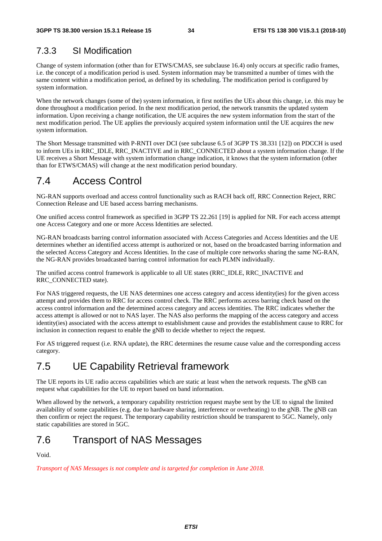### 7.3.3 SI Modification

Change of system information (other than for ETWS/CMAS, see subclause 16.4) only occurs at specific radio frames, i.e. the concept of a modification period is used. System information may be transmitted a number of times with the same content within a modification period, as defined by its scheduling. The modification period is configured by system information.

When the network changes (some of the) system information, it first notifies the UEs about this change, i.e. this may be done throughout a modification period. In the next modification period, the network transmits the updated system information. Upon receiving a change notification, the UE acquires the new system information from the start of the next modification period. The UE applies the previously acquired system information until the UE acquires the new system information.

The Short Message transmitted with P-RNTI over DCI (see subclause 6.5 of 3GPP TS 38.331 [12]) on PDCCH is used to inform UEs in RRC\_IDLE, RRC\_INACTIVE and in RRC\_CONNECTED about a system information change. If the UE receives a Short Message with system information change indication, it knows that the system information (other than for ETWS/CMAS) will change at the next modification period boundary.

# 7.4 Access Control

NG-RAN supports overload and access control functionality such as RACH back off, RRC Connection Reject, RRC Connection Release and UE based access barring mechanisms.

One unified access control framework as specified in 3GPP TS 22.261 [19] is applied for NR. For each access attempt one Access Category and one or more Access Identities are selected.

NG-RAN broadcasts barring control information associated with Access Categories and Access Identities and the UE determines whether an identified access attempt is authorized or not, based on the broadcasted barring information and the selected Access Category and Access Identities. In the case of multiple core networks sharing the same NG-RAN, the NG-RAN provides broadcasted barring control information for each PLMN individually.

The unified access control framework is applicable to all UE states (RRC\_IDLE, RRC\_INACTIVE and RRC\_CONNECTED state).

For NAS triggered requests, the UE NAS determines one access category and access identity(ies) for the given access attempt and provides them to RRC for access control check. The RRC performs access barring check based on the access control information and the determined access category and access identities. The RRC indicates whether the access attempt is allowed or not to NAS layer. The NAS also performs the mapping of the access category and access identity(ies) associated with the access attempt to establishment cause and provides the establishment cause to RRC for inclusion in connection request to enable the gNB to decide whether to reject the request.

For AS triggered request (i.e. RNA update), the RRC determines the resume cause value and the corresponding access category.

# 7.5 UE Capability Retrieval framework

The UE reports its UE radio access capabilities which are static at least when the network requests. The gNB can request what capabilities for the UE to report based on band information.

When allowed by the network, a temporary capability restriction request maybe sent by the UE to signal the limited availability of some capabilities (e.g. due to hardware sharing, interference or overheating) to the gNB. The gNB can then confirm or reject the request. The temporary capability restriction should be transparent to 5GC. Namely, only static capabilities are stored in 5GC.

### 7.6 Transport of NAS Messages

Void.

*Transport of NAS Messages is not complete and is targeted for completion in June 2018.*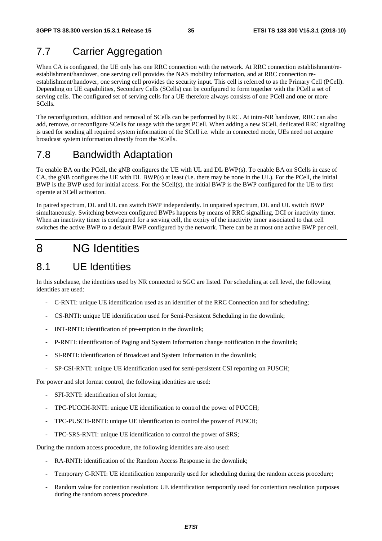# 7.7 Carrier Aggregation

When CA is configured, the UE only has one RRC connection with the network. At RRC connection establishment/reestablishment/handover, one serving cell provides the NAS mobility information, and at RRC connection reestablishment/handover, one serving cell provides the security input. This cell is referred to as the Primary Cell (PCell). Depending on UE capabilities, Secondary Cells (SCells) can be configured to form together with the PCell a set of serving cells. The configured set of serving cells for a UE therefore always consists of one PCell and one or more SCells.

The reconfiguration, addition and removal of SCells can be performed by RRC. At intra-NR handover, RRC can also add, remove, or reconfigure SCells for usage with the target PCell. When adding a new SCell, dedicated RRC signalling is used for sending all required system information of the SCell i.e. while in connected mode, UEs need not acquire broadcast system information directly from the SCells.

### 7.8 Bandwidth Adaptation

To enable BA on the PCell, the gNB configures the UE with UL and DL BWP(s). To enable BA on SCells in case of CA, the gNB configures the UE with DL BWP(s) at least (i.e. there may be none in the UL). For the PCell, the initial BWP is the BWP used for initial access. For the SCell(s), the initial BWP is the BWP configured for the UE to first operate at SCell activation.

In paired spectrum, DL and UL can switch BWP independently. In unpaired spectrum, DL and UL switch BWP simultaneously. Switching between configured BWPs happens by means of RRC signalling, DCI or inactivity timer. When an inactivity timer is configured for a serving cell, the expiry of the inactivity timer associated to that cell switches the active BWP to a default BWP configured by the network. There can be at most one active BWP per cell.

# 8 NG Identities

### 8.1 UE Identities

In this subclause, the identities used by NR connected to 5GC are listed. For scheduling at cell level, the following identities are used:

- C-RNTI: unique UE identification used as an identifier of the RRC Connection and for scheduling;
- CS-RNTI: unique UE identification used for Semi-Persistent Scheduling in the downlink;
- INT-RNTI: identification of pre-emption in the downlink;
- P-RNTI: identification of Paging and System Information change notification in the downlink;
- SI-RNTI: identification of Broadcast and System Information in the downlink;
- SP-CSI-RNTI: unique UE identification used for semi-persistent CSI reporting on PUSCH;

For power and slot format control, the following identities are used:

- SFI-RNTI: identification of slot format;
- TPC-PUCCH-RNTI: unique UE identification to control the power of PUCCH;
- TPC-PUSCH-RNTI: unique UE identification to control the power of PUSCH;
- TPC-SRS-RNTI: unique UE identification to control the power of SRS;

During the random access procedure, the following identities are also used:

- RA-RNTI: identification of the Random Access Response in the downlink;
- Temporary C-RNTI: UE identification temporarily used for scheduling during the random access procedure;
- Random value for contention resolution: UE identification temporarily used for contention resolution purposes during the random access procedure.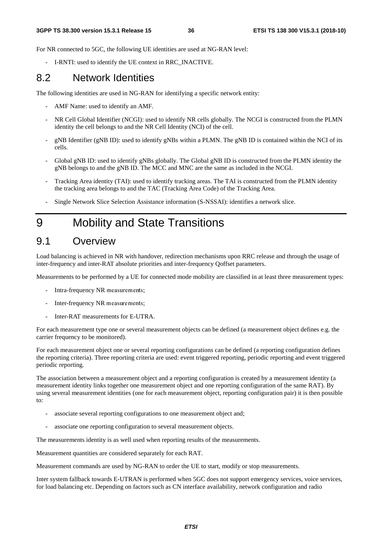For NR connected to 5GC, the following UE identities are used at NG-RAN level:

- I-RNTI: used to identify the UE context in RRC\_INACTIVE.

## 8.2 Network Identities

The following identities are used in NG-RAN for identifying a specific network entity:

- AMF Name: used to identify an AMF.
- NR Cell Global Identifier (NCGI): used to identify NR cells globally. The NCGI is constructed from the PLMN identity the cell belongs to and the NR Cell Identity (NCI) of the cell.
- gNB Identifier (gNB ID): used to identify gNBs within a PLMN. The gNB ID is contained within the NCI of its cells.
- Global gNB ID: used to identify gNBs globally. The Global gNB ID is constructed from the PLMN identity the gNB belongs to and the gNB ID. The MCC and MNC are the same as included in the NCGI.
- Tracking Area identity (TAI): used to identify tracking areas. The TAI is constructed from the PLMN identity the tracking area belongs to and the TAC (Tracking Area Code) of the Tracking Area.
- Single Network Slice Selection Assistance information (S-NSSAI): identifies a network slice.

# 9 Mobility and State Transitions

# 9.1 Overview

Load balancing is achieved in NR with handover, redirection mechanisms upon RRC release and through the usage of inter-frequency and inter-RAT absolute priorities and inter-frequency Qoffset parameters.

Measurements to be performed by a UE for connected mode mobility are classified in at least three measurement types:

- Intra-frequency NR measurements;
- Inter-frequency NR measurements;
- Inter-RAT measurements for E-UTRA.

For each measurement type one or several measurement objects can be defined (a measurement object defines e.g. the carrier frequency to be monitored).

For each measurement object one or several reporting configurations can be defined (a reporting configuration defines the reporting criteria). Three reporting criteria are used: event triggered reporting, periodic reporting and event triggered periodic reporting.

The association between a measurement object and a reporting configuration is created by a measurement identity (a measurement identity links together one measurement object and one reporting configuration of the same RAT). By using several measurement identities (one for each measurement object, reporting configuration pair) it is then possible to:

- associate several reporting configurations to one measurement object and;
- associate one reporting configuration to several measurement objects.

The measurements identity is as well used when reporting results of the measurements.

Measurement quantities are considered separately for each RAT.

Measurement commands are used by NG-RAN to order the UE to start, modify or stop measurements.

Inter system fallback towards E-UTRAN is performed when 5GC does not support emergency services, voice services, for load balancing etc. Depending on factors such as CN interface availability, network configuration and radio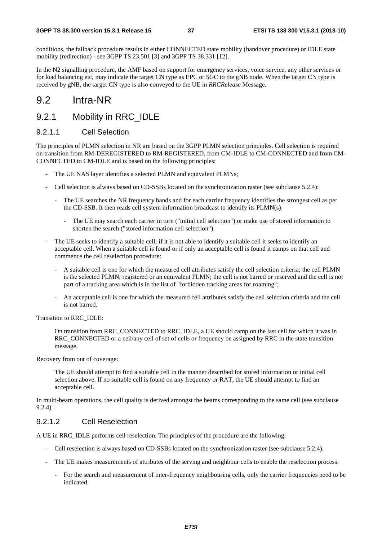conditions, the fallback procedure results in either CONNECTED state mobility (handover procedure) or IDLE state mobility (redirection) - see 3GPP TS 23.501 [3] and 3GPP TS 38.331 [12].

In the N2 signalling procedure, the AMF based on support for emergency services, voice service, any other services or for load balancing etc, may indicate the target CN type as EPC or 5GC to the gNB node. When the target CN type is received by gNB, the target CN type is also conveyed to the UE in *RRCRelease* Message.

## 9.2 Intra-NR

## 9.2.1 Mobility in RRC\_IDLE

### 9.2.1.1 Cell Selection

The principles of PLMN selection in NR are based on the 3GPP PLMN selection principles. Cell selection is required on transition from RM-DEREGISTERED to RM-REGISTERED, from CM-IDLE to CM-CONNECTED and from CM-CONNECTED to CM-IDLE and is based on the following principles:

- The UE NAS layer identifies a selected PLMN and equivalent PLMNs;
- Cell selection is always based on CD-SSBs located on the synchronization raster (see subclause 5.2.4):
	- The UE searches the NR frequency bands and for each carrier frequency identifies the strongest cell as per the CD-SSB. It then reads cell system information broadcast to identify its PLMN(s):
		- The UE may search each carrier in turn ("initial cell selection") or make use of stored information to shorten the search ("stored information cell selection").
- The UE seeks to identify a suitable cell; if it is not able to identify a suitable cell it seeks to identify an acceptable cell. When a suitable cell is found or if only an acceptable cell is found it camps on that cell and commence the cell reselection procedure:
	- A suitable cell is one for which the measured cell attributes satisfy the cell selection criteria; the cell PLMN is the selected PLMN, registered or an equivalent PLMN; the cell is not barred or reserved and the cell is not part of a tracking area which is in the list of "forbidden tracking areas for roaming";
	- An acceptable cell is one for which the measured cell attributes satisfy the cell selection criteria and the cell is not barred.

Transition to RRC\_IDLE:

 On transition from RRC\_CONNECTED to RRC\_IDLE, a UE should camp on the last cell for which it was in RRC\_CONNECTED or a cell/any cell of set of cells or frequency be assigned by RRC in the state transition message.

Recovery from out of coverage:

 The UE should attempt to find a suitable cell in the manner described for stored information or initial cell selection above. If no suitable cell is found on any frequency or RAT, the UE should attempt to find an acceptable cell.

In multi-beam operations, the cell quality is derived amongst the beams corresponding to the same cell (see subclause 9.2.4).

### 9.2.1.2 Cell Reselection

A UE in RRC\_IDLE performs cell reselection. The principles of the procedure are the following:

- Cell reselection is always based on CD-SSBs located on the synchronization raster (see subclause 5.2.4).
- The UE makes measurements of attributes of the serving and neighbour cells to enable the reselection process:
	- For the search and measurement of inter-frequency neighbouring cells, only the carrier frequencies need to be indicated.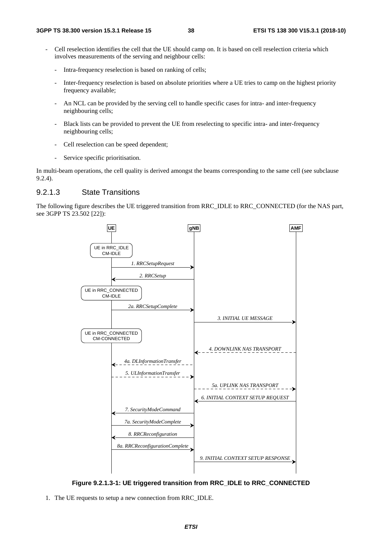- Cell reselection identifies the cell that the UE should camp on. It is based on cell reselection criteria which involves measurements of the serving and neighbour cells:
	- Intra-frequency reselection is based on ranking of cells;
	- Inter-frequency reselection is based on absolute priorities where a UE tries to camp on the highest priority frequency available;
	- An NCL can be provided by the serving cell to handle specific cases for intra- and inter-frequency neighbouring cells;
	- Black lists can be provided to prevent the UE from reselecting to specific intra- and inter-frequency neighbouring cells;
	- Cell reselection can be speed dependent;
	- Service specific prioritisation.

In multi-beam operations, the cell quality is derived amongst the beams corresponding to the same cell (see subclause 9.2.4).

### 9.2.1.3 State Transitions

The following figure describes the UE triggered transition from RRC\_IDLE to RRC\_CONNECTED (for the NAS part, see 3GPP TS 23.502 [22]):



**Figure 9.2.1.3-1: UE triggered transition from RRC\_IDLE to RRC\_CONNECTED** 

1. The UE requests to setup a new connection from RRC\_IDLE.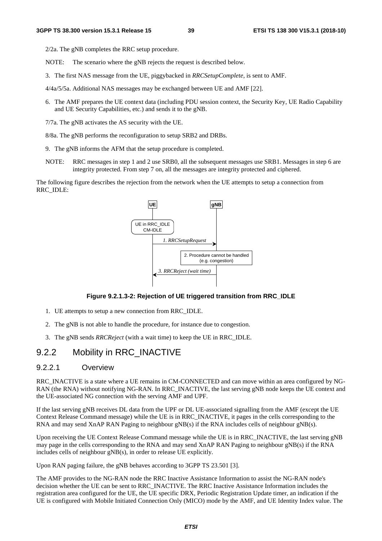2/2a. The gNB completes the RRC setup procedure.

- NOTE: The scenario where the gNB rejects the request is described below.
- 3. The first NAS message from the UE, piggybacked in *RRCSetupComplete*, is sent to AMF.
- 4/4a/5/5a. Additional NAS messages may be exchanged between UE and AMF [22].
- 6. The AMF prepares the UE context data (including PDU session context, the Security Key, UE Radio Capability and UE Security Capabilities, etc.) and sends it to the gNB.
- 7/7a. The gNB activates the AS security with the UE.
- 8/8a. The gNB performs the reconfiguration to setup SRB2 and DRBs.
- 9. The gNB informs the AFM that the setup procedure is completed.
- NOTE: RRC messages in step 1 and 2 use SRB0, all the subsequent messages use SRB1. Messages in step 6 are integrity protected. From step 7 on, all the messages are integrity protected and ciphered.

The following figure describes the rejection from the network when the UE attempts to setup a connection from RRC\_IDLE:



#### **Figure 9.2.1.3-2: Rejection of UE triggered transition from RRC\_IDLE**

- 1. UE attempts to setup a new connection from RRC\_IDLE.
- 2. The gNB is not able to handle the procedure, for instance due to congestion.
- 3. The gNB sends *RRCReject* (with a wait time) to keep the UE in RRC\_IDLE.

## 9.2.2 Mobility in RRC\_INACTIVE

### 9.2.2.1 Overview

RRC\_INACTIVE is a state where a UE remains in CM-CONNECTED and can move within an area configured by NG-RAN (the RNA) without notifying NG-RAN. In RRC\_INACTIVE, the last serving gNB node keeps the UE context and the UE-associated NG connection with the serving AMF and UPF.

If the last serving gNB receives DL data from the UPF or DL UE-associated signalling from the AMF (except the UE Context Release Command message) while the UE is in RRC\_INACTIVE, it pages in the cells corresponding to the RNA and may send XnAP RAN Paging to neighbour gNB(s) if the RNA includes cells of neighbour gNB(s).

Upon receiving the UE Context Release Command message while the UE is in RRC\_INACTIVE, the last serving gNB may page in the cells corresponding to the RNA and may send XnAP RAN Paging to neighbour gNB(s) if the RNA includes cells of neighbour gNB(s), in order to release UE explicitly.

Upon RAN paging failure, the gNB behaves according to 3GPP TS 23.501 [3].

The AMF provides to the NG-RAN node the RRC Inactive Assistance Information to assist the NG-RAN node's decision whether the UE can be sent to RRC\_INACTIVE. The RRC Inactive Assistance Information includes the registration area configured for the UE, the UE specific DRX, Periodic Registration Update timer, an indication if the UE is configured with Mobile Initiated Connection Only (MICO) mode by the AMF, and UE Identity Index value. The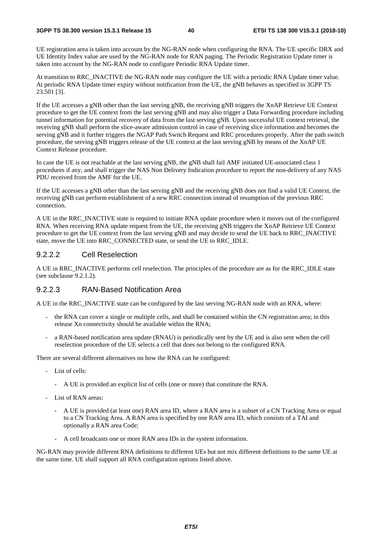UE registration area is taken into account by the NG-RAN node when configuring the RNA. The UE specific DRX and UE Identity Index value are used by the NG-RAN node for RAN paging. The Periodic Registration Update timer is taken into account by the NG-RAN node to configure Periodic RNA Update timer.

At transition to RRC\_INACTIVE the NG-RAN node may configure the UE with a periodic RNA Update timer value. At periodic RNA Update timer expiry without notification from the UE, the gNB behaves as specified in 3GPP TS 23.501 [3].

If the UE accesses a gNB other than the last serving gNB, the receiving gNB triggers the XnAP Retrieve UE Context procedure to get the UE context from the last serving gNB and may also trigger a Data Forwarding procedure including tunnel information for potential recovery of data from the last serving gNB. Upon successful UE context retrieval, the receiving gNB shall perform the slice-aware admission control in case of receiving slice information and becomes the serving gNB and it further triggers the NGAP Path Switch Request and RRC procedures properly. After the path switch procedure, the serving gNB triggers release of the UE context at the last serving gNB by means of the XnAP UE Context Release procedure.

In case the UE is not reachable at the last serving gNB, the gNB shall fail AMF initiated UE-associated class 1 procedures if any, and shall trigger the NAS Non Delivery Indication procedure to report the non-delivery of any NAS PDU received from the AMF for the UE.

If the UE accesses a gNB other than the last serving gNB and the receiving gNB does not find a valid UE Context, the receiving gNB can perform establishment of a new RRC connection instead of resumption of the previous RRC connection.

A UE in the RRC\_INACTIVE state is required to initiate RNA update procedure when it moves out of the configured RNA. When receiving RNA update request from the UE, the receiving gNB triggers the XnAP Retrieve UE Context procedure to get the UE context from the last serving gNB and may decide to send the UE back to RRC\_INACTIVE state, move the UE into RRC\_CONNECTED state, or send the UE to RRC\_IDLE.

#### 9.2.2.2 Cell Reselection

A UE in RRC\_INACTIVE performs cell reselection. The principles of the procedure are as for the RRC\_IDLE state (see subclause 9.2.1.2).

### 9.2.2.3 RAN-Based Notification Area

A UE in the RRC\_INACTIVE state can be configured by the last serving NG-RAN node with an RNA, where:

- the RNA can cover a single or multiple cells, and shall be contained within the CN registration area; in this release Xn connectivity should be available within the RNA;
- a RAN-based notification area update (RNAU) is periodically sent by the UE and is also sent when the cell reselection procedure of the UE selects a cell that does not belong to the configured RNA.

There are several different alternatives on how the RNA can be configured:

- List of cells:
	- A UE is provided an explicit list of cells (one or more) that constitute the RNA.
- List of RAN areas:
	- A UE is provided (at least one) RAN area ID, where a RAN area is a subset of a CN Tracking Area or equal to a CN Tracking Area. A RAN area is specified by one RAN area ID, which consists of a TAI and optionally a RAN area Code;
	- A cell broadcasts one or more RAN area IDs in the system information.

NG-RAN may provide different RNA definitions to different UEs but not mix different definitions to the same UE at the same time. UE shall support all RNA configuration options listed above.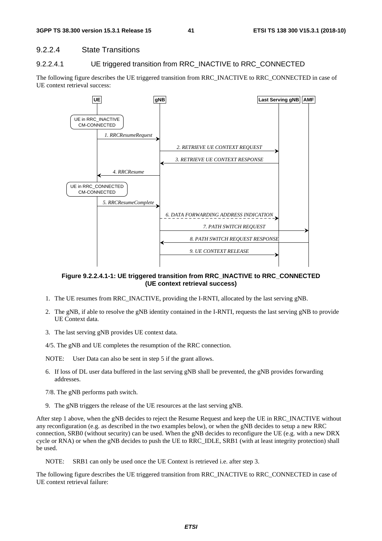### 9.2.2.4 State Transitions

### 9.2.2.4.1 UE triggered transition from RRC\_INACTIVE to RRC\_CONNECTED

The following figure describes the UE triggered transition from RRC\_INACTIVE to RRC\_CONNECTED in case of UE context retrieval success:



#### **Figure 9.2.2.4.1-1: UE triggered transition from RRC\_INACTIVE to RRC\_CONNECTED (UE context retrieval success)**

- 1. The UE resumes from RRC\_INACTIVE, providing the I-RNTI, allocated by the last serving gNB.
- 2. The gNB, if able to resolve the gNB identity contained in the I-RNTI, requests the last serving gNB to provide UE Context data.
- 3. The last serving gNB provides UE context data.
- 4/5. The gNB and UE completes the resumption of the RRC connection.

NOTE: User Data can also be sent in step 5 if the grant allows.

- 6. If loss of DL user data buffered in the last serving gNB shall be prevented, the gNB provides forwarding addresses.
- 7/8. The gNB performs path switch.
- 9. The gNB triggers the release of the UE resources at the last serving gNB.

After step 1 above, when the gNB decides to reject the Resume Request and keep the UE in RRC\_INACTIVE without any reconfiguration (e.g. as described in the two examples below), or when the gNB decides to setup a new RRC connection, SRB0 (without security) can be used. When the gNB decides to reconfigure the UE (e.g. with a new DRX cycle or RNA) or when the gNB decides to push the UE to RRC\_IDLE, SRB1 (with at least integrity protection) shall be used.

NOTE: SRB1 can only be used once the UE Context is retrieved i.e. after step 3.

The following figure describes the UE triggered transition from RRC\_INACTIVE to RRC\_CONNECTED in case of UE context retrieval failure: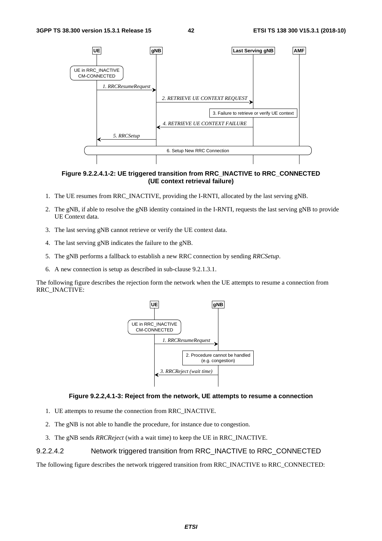

**Figure 9.2.2.4.1-2: UE triggered transition from RRC\_INACTIVE to RRC\_CONNECTED (UE context retrieval failure)** 

- 1. The UE resumes from RRC\_INACTIVE, providing the I-RNTI, allocated by the last serving gNB.
- 2. The gNB, if able to resolve the gNB identity contained in the I-RNTI, requests the last serving gNB to provide UE Context data.
- 3. The last serving gNB cannot retrieve or verify the UE context data.
- 4. The last serving gNB indicates the failure to the gNB.
- 5. The gNB performs a fallback to establish a new RRC connection by sending *RRCSetup*.
- 6. A new connection is setup as described in sub-clause 9.2.1.3.1.

The following figure describes the rejection form the network when the UE attempts to resume a connection from RRC\_INACTIVE:



#### **Figure 9.2.2,4.1-3: Reject from the network, UE attempts to resume a connection**

- 1. UE attempts to resume the connection from RRC\_INACTIVE.
- 2. The gNB is not able to handle the procedure, for instance due to congestion.
- 3. The gNB sends *RRCReject* (with a wait time) to keep the UE in RRC\_INACTIVE.

#### 9.2.2.4.2 Network triggered transition from RRC\_INACTIVE to RRC\_CONNECTED

The following figure describes the network triggered transition from RRC\_INACTIVE to RRC\_CONNECTED: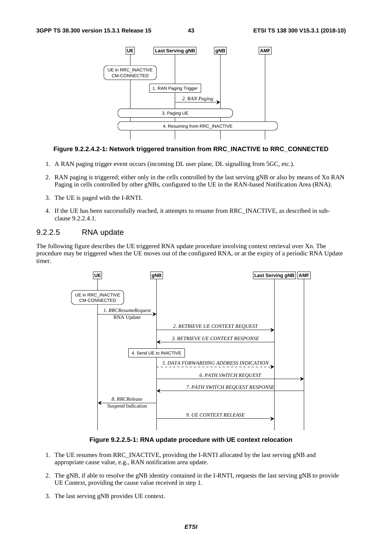

#### **Figure 9.2.2.4.2-1: Network triggered transition from RRC\_INACTIVE to RRC\_CONNECTED**

- 1. A RAN paging trigger event occurs (incoming DL user plane, DL signalling from 5GC, etc.).
- 2. RAN paging is triggered; either only in the cells controlled by the last serving gNB or also by means of Xn RAN Paging in cells controlled by other gNBs, configured to the UE in the RAN-based Notification Area (RNA).
- 3. The UE is paged with the I-RNTI.
- 4. If the UE has been successfully reached, it attempts to resume from RRC\_INACTIVE, as described in subclause 9.2.2.4.1.

### 9.2.2.5 RNA update

The following figure describes the UE triggered RNA update procedure involving context retrieval over Xn. The procedure may be triggered when the UE moves out of the configured RNA, or at the expiry of a periodic RNA Update timer.



**Figure 9.2.2.5-1: RNA update procedure with UE context relocation** 

- 1. The UE resumes from RRC\_INACTIVE, providing the I-RNTI allocated by the last serving gNB and appropriate cause value, e.g., RAN notification area update.
- 2. The gNB, if able to resolve the gNB identity contained in the I-RNTI, requests the last serving gNB to provide UE Context, providing the cause value received in step 1.
- 3. The last serving gNB provides UE context.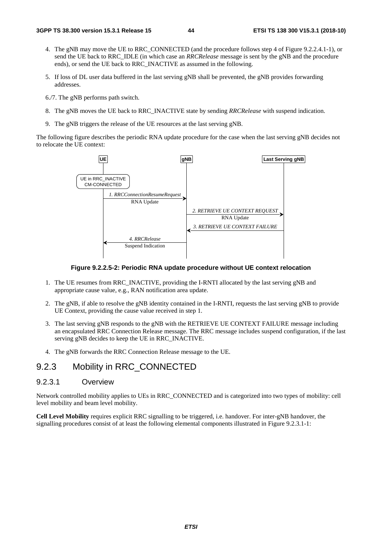- 4. The gNB may move the UE to RRC\_CONNECTED (and the procedure follows step 4 of Figure 9.2.2.4.1-1), or send the UE back to RRC\_IDLE (in which case an *RRCRelease* message is sent by the gNB and the procedure ends), or send the UE back to RRC\_INACTIVE as assumed in the following.
- 5. If loss of DL user data buffered in the last serving gNB shall be prevented, the gNB provides forwarding addresses.
- 6./7. The gNB performs path switch.
- 8. The gNB moves the UE back to RRC\_INACTIVE state by sending *RRCRelease* with suspend indication.
- 9. The gNB triggers the release of the UE resources at the last serving gNB.

The following figure describes the periodic RNA update procedure for the case when the last serving gNB decides not to relocate the UE context:



#### **Figure 9.2.2.5-2: Periodic RNA update procedure without UE context relocation**

- 1. The UE resumes from RRC\_INACTIVE, providing the I-RNTI allocated by the last serving gNB and appropriate cause value, e.g., RAN notification area update.
- 2. The gNB, if able to resolve the gNB identity contained in the I-RNTI, requests the last serving gNB to provide UE Context, providing the cause value received in step 1.
- 3. The last serving gNB responds to the gNB with the RETRIEVE UE CONTEXT FAILURE message including an encapsulated RRC Connection Release message. The RRC message includes suspend configuration, if the last serving gNB decides to keep the UE in RRC\_INACTIVE.
- 4. The gNB forwards the RRC Connection Release message to the UE.

### 9.2.3 Mobility in RRC\_CONNECTED

### 9.2.3.1 Overview

Network controlled mobility applies to UEs in RRC\_CONNECTED and is categorized into two types of mobility: cell level mobility and beam level mobility.

**Cell Level Mobility** requires explicit RRC signalling to be triggered, i.e. handover. For inter-gNB handover, the signalling procedures consist of at least the following elemental components illustrated in Figure 9.2.3.1-1: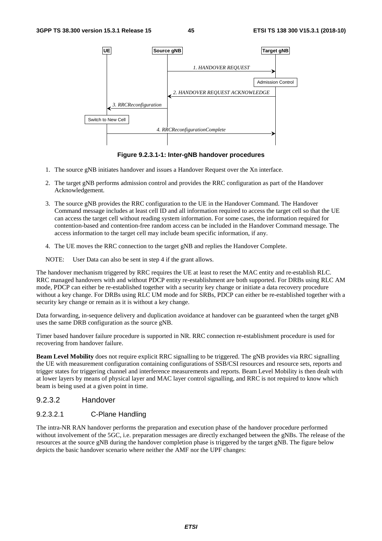

**Figure 9.2.3.1-1: Inter-gNB handover procedures** 

- 1. The source gNB initiates handover and issues a Handover Request over the Xn interface.
- 2. The target gNB performs admission control and provides the RRC configuration as part of the Handover Acknowledgement.
- 3. The source gNB provides the RRC configuration to the UE in the Handover Command. The Handover Command message includes at least cell ID and all information required to access the target cell so that the UE can access the target cell without reading system information. For some cases, the information required for contention-based and contention-free random access can be included in the Handover Command message. The access information to the target cell may include beam specific information, if any.
- 4. The UE moves the RRC connection to the target gNB and replies the Handover Complete.

NOTE: User Data can also be sent in step 4 if the grant allows.

The handover mechanism triggered by RRC requires the UE at least to reset the MAC entity and re-establish RLC. RRC managed handovers with and without PDCP entity re-establishment are both supported. For DRBs using RLC AM mode, PDCP can either be re-established together with a security key change or initiate a data recovery procedure without a key change. For DRBs using RLC UM mode and for SRBs, PDCP can either be re-established together with a security key change or remain as it is without a key change.

Data forwarding, in-sequence delivery and duplication avoidance at handover can be guaranteed when the target gNB uses the same DRB configuration as the source gNB.

Timer based handover failure procedure is supported in NR. RRC connection re-establishment procedure is used for recovering from handover failure.

**Beam Level Mobility** does not require explicit RRC signalling to be triggered. The gNB provides via RRC signalling the UE with measurement configuration containing configurations of SSB/CSI resources and resource sets, reports and trigger states for triggering channel and interference measurements and reports. Beam Level Mobility is then dealt with at lower layers by means of physical layer and MAC layer control signalling, and RRC is not required to know which beam is being used at a given point in time.

### 9.2.3.2 Handover

### 9.2.3.2.1 C-Plane Handling

The intra-NR RAN handover performs the preparation and execution phase of the handover procedure performed without involvement of the 5GC, i.e. preparation messages are directly exchanged between the gNBs. The release of the resources at the source gNB during the handover completion phase is triggered by the target gNB. The figure below depicts the basic handover scenario where neither the AMF nor the UPF changes: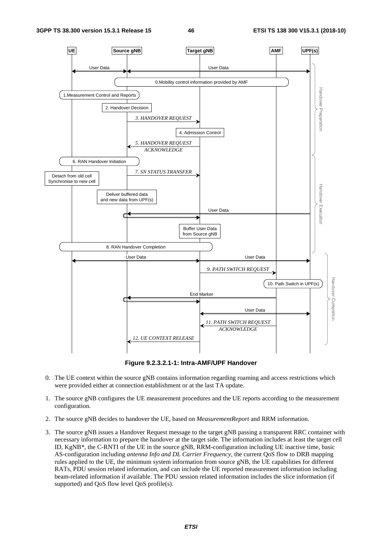

**Figure 9.2.3.2.1-1: Intra-AMF/UPF Handover** 

- 0. The UE context within the source gNB contains information regarding roaming and access restrictions which were provided either at connection establishment or at the last TA update.
- 1. The source gNB configures the UE measurement procedures and the UE reports according to the measurement configuration.
- 2. The source gNB decides to handover the UE, based on *MeasurementReport* and RRM information.
- 3. The source gNB issues a Handover Request message to the target gNB passing a transparent RRC container with necessary information to prepare the handover at the target side. The information includes at least the target cell ID, KgNB\*, the C-RNTI of the UE in the source gNB, RRM-configuration including UE inactive time, basic AS-configuration including *antenna Info and DL Carrier Frequency*, the current QoS flow to DRB mapping rules applied to the UE, the minimum system information from source gNB, the UE capabilities for different RATs, PDU session related information, and can include the UE reported measurement information including beam-related information if available. The PDU session related information includes the slice information (if supported) and QoS flow level QoS profile(s).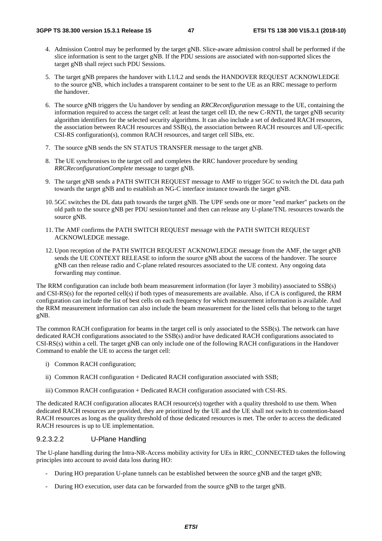- 4. Admission Control may be performed by the target gNB. Slice-aware admission control shall be performed if the slice information is sent to the target gNB. If the PDU sessions are associated with non-supported slices the target gNB shall reject such PDU Sessions.
- 5. The target gNB prepares the handover with L1/L2 and sends the HANDOVER REQUEST ACKNOWLEDGE to the source gNB, which includes a transparent container to be sent to the UE as an RRC message to perform the handover.
- 6. The source gNB triggers the Uu handover by sending an *RRCReconfiguration* message to the UE, containing the information required to access the target cell: at least the target cell ID, the new C-RNTI, the target gNB security algorithm identifiers for the selected security algorithms. It can also include a set of dedicated RACH resources, the association between RACH resources and SSB(s), the association between RACH resources and UE-specific CSI-RS configuration(s), common RACH resources, and target cell SIBs, etc.
- 7. The source gNB sends the SN STATUS TRANSFER message to the target gNB.
- 8. The UE synchronises to the target cell and completes the RRC handover procedure by sending *RRCReconfigurationComplete* message to target gNB.
- 9. The target gNB sends a PATH SWITCH REQUEST message to AMF to trigger 5GC to switch the DL data path towards the target gNB and to establish an NG-C interface instance towards the target gNB.
- 10. 5GC switches the DL data path towards the target gNB. The UPF sends one or more "end marker" packets on the old path to the source gNB per PDU session/tunnel and then can release any U-plane/TNL resources towards the source gNB.
- 11. The AMF confirms the PATH SWITCH REQUEST message with the PATH SWITCH REQUEST ACKNOWLEDGE message.
- 12. Upon reception of the PATH SWITCH REQUEST ACKNOWLEDGE message from the AMF, the target gNB sends the UE CONTEXT RELEASE to inform the source gNB about the success of the handover. The source gNB can then release radio and C-plane related resources associated to the UE context. Any ongoing data forwarding may continue.

The RRM configuration can include both beam measurement information (for layer 3 mobility) associated to SSB(s) and CSI-RS(s) for the reported cell(s) if both types of measurements are available. Also, if CA is configured, the RRM configuration can include the list of best cells on each frequency for which measurement information is available. And the RRM measurement information can also include the beam measurement for the listed cells that belong to the target gNB.

The common RACH configuration for beams in the target cell is only associated to the SSB(s). The network can have dedicated RACH configurations associated to the SSB(s) and/or have dedicated RACH configurations associated to CSI-RS(s) within a cell. The target gNB can only include one of the following RACH configurations in the Handover Command to enable the UE to access the target cell:

- i) Common RACH configuration;
- ii) Common RACH configuration + Dedicated RACH configuration associated with SSB;
- iii) Common RACH configuration + Dedicated RACH configuration associated with CSI-RS.

The dedicated RACH configuration allocates RACH resource(s) together with a quality threshold to use them. When dedicated RACH resources are provided, they are prioritized by the UE and the UE shall not switch to contention-based RACH resources as long as the quality threshold of those dedicated resources is met. The order to access the dedicated RACH resources is up to UE implementation.

#### 9.2.3.2.2 U-Plane Handling

The U-plane handling during the Intra-NR-Access mobility activity for UEs in RRC\_CONNECTED takes the following principles into account to avoid data loss during HO:

- During HO preparation U-plane tunnels can be established between the source gNB and the target gNB;
- During HO execution, user data can be forwarded from the source gNB to the target gNB.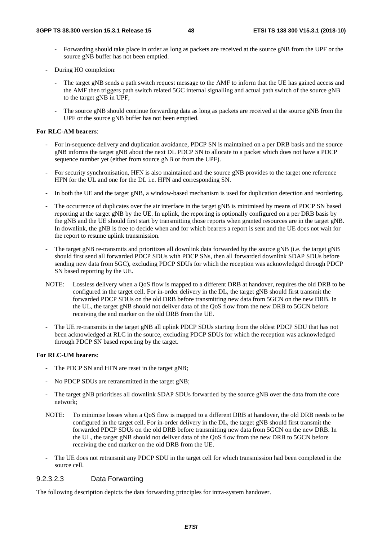- Forwarding should take place in order as long as packets are received at the source gNB from the UPF or the source gNB buffer has not been emptied.
- During HO completion:
	- The target gNB sends a path switch request message to the AMF to inform that the UE has gained access and the AMF then triggers path switch related 5GC internal signalling and actual path switch of the source gNB to the target gNB in UPF;
	- The source gNB should continue forwarding data as long as packets are received at the source gNB from the UPF or the source gNB buffer has not been emptied.

#### **For RLC-AM bearers**:

- For in-sequence delivery and duplication avoidance, PDCP SN is maintained on a per DRB basis and the source gNB informs the target gNB about the next DL PDCP SN to allocate to a packet which does not have a PDCP sequence number yet (either from source gNB or from the UPF).
- For security synchronisation, HFN is also maintained and the source gNB provides to the target one reference HFN for the UL and one for the DL i.e. HFN and corresponding SN.
- In both the UE and the target gNB, a window-based mechanism is used for duplication detection and reordering.
- The occurrence of duplicates over the air interface in the target gNB is minimised by means of PDCP SN based reporting at the target gNB by the UE. In uplink, the reporting is optionally configured on a per DRB basis by the gNB and the UE should first start by transmitting those reports when granted resources are in the target gNB. In downlink, the gNB is free to decide when and for which bearers a report is sent and the UE does not wait for the report to resume uplink transmission.
- The target gNB re-transmits and prioritizes all downlink data forwarded by the source gNB (i.e. the target gNB should first send all forwarded PDCP SDUs with PDCP SNs, then all forwarded downlink SDAP SDUs before sending new data from 5GC), excluding PDCP SDUs for which the reception was acknowledged through PDCP SN based reporting by the UE.
- NOTE: Lossless delivery when a QoS flow is mapped to a different DRB at handover, requires the old DRB to be configured in the target cell. For in-order delivery in the DL, the target gNB should first transmit the forwarded PDCP SDUs on the old DRB before transmitting new data from 5GCN on the new DRB. In the UL, the target gNB should not deliver data of the QoS flow from the new DRB to 5GCN before receiving the end marker on the old DRB from the UE.
- The UE re-transmits in the target gNB all uplink PDCP SDUs starting from the oldest PDCP SDU that has not been acknowledged at RLC in the source, excluding PDCP SDUs for which the reception was acknowledged through PDCP SN based reporting by the target.

#### **For RLC-UM bearers**:

- The PDCP SN and HFN are reset in the target gNB;
- No PDCP SDUs are retransmitted in the target gNB;
- The target gNB prioritises all downlink SDAP SDUs forwarded by the source gNB over the data from the core network;
- NOTE: To minimise losses when a QoS flow is mapped to a different DRB at handover, the old DRB needs to be configured in the target cell. For in-order delivery in the DL, the target gNB should first transmit the forwarded PDCP SDUs on the old DRB before transmitting new data from 5GCN on the new DRB. In the UL, the target gNB should not deliver data of the QoS flow from the new DRB to 5GCN before receiving the end marker on the old DRB from the UE.
- The UE does not retransmit any PDCP SDU in the target cell for which transmission had been completed in the source cell.

#### 9.2.3.2.3 Data Forwarding

The following description depicts the data forwarding principles for intra-system handover.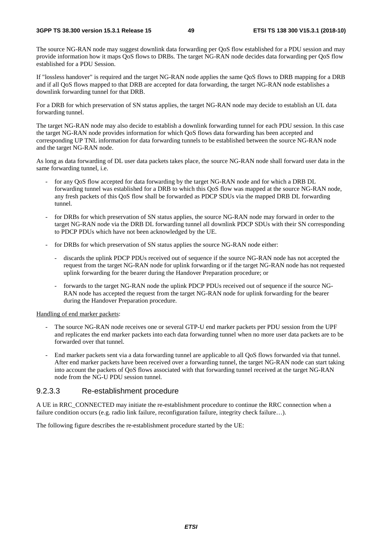The source NG-RAN node may suggest downlink data forwarding per QoS flow established for a PDU session and may provide information how it maps QoS flows to DRBs. The target NG-RAN node decides data forwarding per QoS flow established for a PDU Session.

If "lossless handover" is required and the target NG-RAN node applies the same QoS flows to DRB mapping for a DRB and if all QoS flows mapped to that DRB are accepted for data forwarding, the target NG-RAN node establishes a downlink forwarding tunnel for that DRB.

For a DRB for which preservation of SN status applies, the target NG-RAN node may decide to establish an UL data forwarding tunnel.

The target NG-RAN node may also decide to establish a downlink forwarding tunnel for each PDU session. In this case the target NG-RAN node provides information for which QoS flows data forwarding has been accepted and corresponding UP TNL information for data forwarding tunnels to be established between the source NG-RAN node and the target NG-RAN node.

As long as data forwarding of DL user data packets takes place, the source NG-RAN node shall forward user data in the same forwarding tunnel, i.e.

- for any QoS flow accepted for data forwarding by the target NG-RAN node and for which a DRB DL forwarding tunnel was established for a DRB to which this QoS flow was mapped at the source NG-RAN node, any fresh packets of this QoS flow shall be forwarded as PDCP SDUs via the mapped DRB DL forwarding tunnel.
- for DRBs for which preservation of SN status applies, the source NG-RAN node may forward in order to the target NG-RAN node via the DRB DL forwarding tunnel all downlink PDCP SDUs with their SN corresponding to PDCP PDUs which have not been acknowledged by the UE.
- for DRBs for which preservation of SN status applies the source NG-RAN node either:
	- discards the uplink PDCP PDUs received out of sequence if the source NG-RAN node has not accepted the request from the target NG-RAN node for uplink forwarding or if the target NG-RAN node has not requested uplink forwarding for the bearer during the Handover Preparation procedure; or
	- forwards to the target NG-RAN node the uplink PDCP PDUs received out of sequence if the source NG-RAN node has accepted the request from the target NG-RAN node for uplink forwarding for the bearer during the Handover Preparation procedure.

Handling of end marker packets:

- The source NG-RAN node receives one or several GTP-U end marker packets per PDU session from the UPF and replicates the end marker packets into each data forwarding tunnel when no more user data packets are to be forwarded over that tunnel.
- End marker packets sent via a data forwarding tunnel are applicable to all QoS flows forwarded via that tunnel. After end marker packets have been received over a forwarding tunnel, the target NG-RAN node can start taking into account the packets of QoS flows associated with that forwarding tunnel received at the target NG-RAN node from the NG-U PDU session tunnel.

### 9.2.3.3 Re-establishment procedure

A UE in RRC\_CONNECTED may initiate the re-establishment procedure to continue the RRC connection when a failure condition occurs (e.g. radio link failure, reconfiguration failure, integrity check failure…).

The following figure describes the re-establishment procedure started by the UE: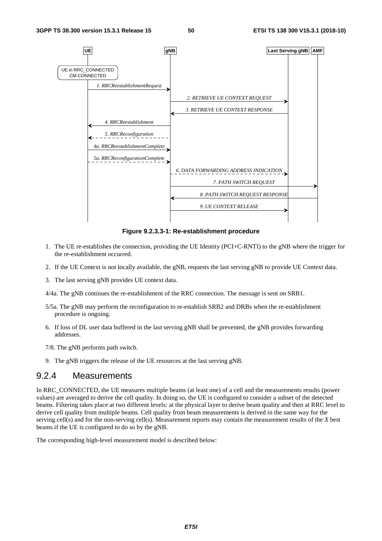

**Figure 9.2.3.3-1: Re-establishment procedure** 

- 1. The UE re-establishes the connection, providing the UE Identity (PCI+C-RNTI) to the gNB where the trigger for the re-establishment occurred.
- 2. If the UE Context is not locally available, the gNB, requests the last serving gNB to provide UE Context data.
- 3. The last serving gNB provides UE context data.

4/4a. The gNB continues the re-establishment of the RRC connection. The message is sent on SRB1.

- 5/5a. The gNB may perform the reconfiguration to re-establish SRB2 and DRBs when the re-establishment procedure is ongoing.
- 6. If loss of DL user data buffered in the last serving gNB shall be prevented, the gNB provides forwarding addresses.
- 7/8. The gNB performs path switch.
- 9. The gNB triggers the release of the UE resources at the last serving gNB.

### 9.2.4 Measurements

In RRC\_CONNECTED, the UE measures multiple beams (at least one) of a cell and the measurements results (power values) are averaged to derive the cell quality. In doing so, the UE is configured to consider a subset of the detected beams. Filtering takes place at two different levels: at the physical layer to derive beam quality and then at RRC level to derive cell quality from multiple beams. Cell quality from beam measurements is derived in the same way for the serving cell(s) and for the non-serving cell(s). Measurement reports may contain the measurement results of the *X* best beams if the UE is configured to do so by the gNB.

The corresponding high-level measurement model is described below: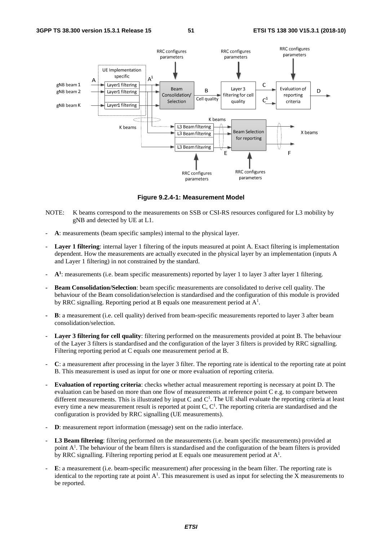

**Figure 9.2.4-1: Measurement Model** 

- NOTE: K beams correspond to the measurements on SSB or CSI-RS resources configured for L3 mobility by gNB and detected by UE at L1.
- A: measurements (beam specific samples) internal to the physical layer.
- Layer 1 filtering: internal layer 1 filtering of the inputs measured at point A. Exact filtering is implementation dependent. How the measurements are actually executed in the physical layer by an implementation (inputs A and Layer 1 filtering) in not constrained by the standard.
- $A<sup>1</sup>$ : measurements (i.e. beam specific measurements) reported by layer 1 to layer 3 after layer 1 filtering.
- **Beam Consolidation/Selection**: beam specific measurements are consolidated to derive cell quality. The behaviour of the Beam consolidation/selection is standardised and the configuration of this module is provided by RRC signalling. Reporting period at B equals one measurement period at  $A^1$ .
- **B**: a measurement (i.e. cell quality) derived from beam-specific measurements reported to layer 3 after beam consolidation/selection.
- Layer 3 filtering for cell quality: filtering performed on the measurements provided at point B. The behaviour of the Layer 3 filters is standardised and the configuration of the layer 3 filters is provided by RRC signalling. Filtering reporting period at C equals one measurement period at B.
- **C**: a measurement after processing in the layer 3 filter. The reporting rate is identical to the reporting rate at point B. This measurement is used as input for one or more evaluation of reporting criteria.
- **Evaluation of reporting criteria**: checks whether actual measurement reporting is necessary at point D. The evaluation can be based on more than one flow of measurements at reference point C e.g. to compare between different measurements. This is illustrated by input C and  $C<sup>1</sup>$ . The UE shall evaluate the reporting criteria at least every time a new measurement result is reported at point C,  $C<sup>1</sup>$ . The reporting criteria are standardised and the configuration is provided by RRC signalling (UE measurements).
- **D**: measurement report information (message) sent on the radio interface.
- L3 Beam filtering: filtering performed on the measurements (i.e. beam specific measurements) provided at point  $A<sup>1</sup>$ . The behaviour of the beam filters is standardised and the configuration of the beam filters is provided by RRC signalling. Filtering reporting period at E equals one measurement period at  $A^1$ .
- **E**: a measurement (i.e. beam-specific measurement) after processing in the beam filter. The reporting rate is identical to the reporting rate at point  $A^1$ . This measurement is used as input for selecting the X measurements to be reported.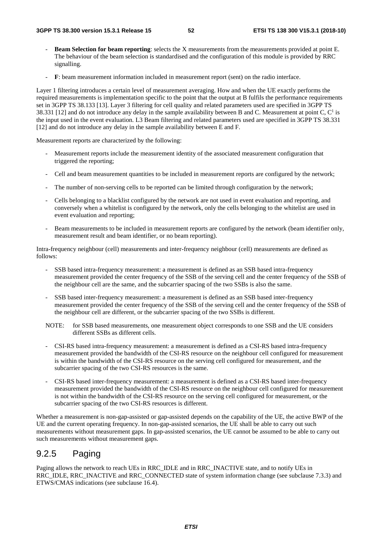- **Beam Selection for beam reporting**: selects the X measurements from the measurements provided at point E. The behaviour of the beam selection is standardised and the configuration of this module is provided by RRC signalling.
- **F**: beam measurement information included in measurement report (sent) on the radio interface.

Layer 1 filtering introduces a certain level of measurement averaging. How and when the UE exactly performs the required measurements is implementation specific to the point that the output at B fulfils the performance requirements set in 3GPP TS 38.133 [13]. Layer 3 filtering for cell quality and related parameters used are specified in 3GPP TS 38.331 [12] and do not introduce any delay in the sample availability between B and C. Measurement at point C,  $C<sup>1</sup>$  is the input used in the event evaluation. L3 Beam filtering and related parameters used are specified in 3GPP TS 38.331 [12] and do not introduce any delay in the sample availability between E and F.

Measurement reports are characterized by the following:

- Measurement reports include the measurement identity of the associated measurement configuration that triggered the reporting;
- Cell and beam measurement quantities to be included in measurement reports are configured by the network;
- The number of non-serving cells to be reported can be limited through configuration by the network;
- Cells belonging to a blacklist configured by the network are not used in event evaluation and reporting, and conversely when a whitelist is configured by the network, only the cells belonging to the whitelist are used in event evaluation and reporting;
- Beam measurements to be included in measurement reports are configured by the network (beam identifier only, measurement result and beam identifier, or no beam reporting).

Intra-frequency neighbour (cell) measurements and inter-frequency neighbour (cell) measurements are defined as follows:

- SSB based intra-frequency measurement: a measurement is defined as an SSB based intra-frequency measurement provided the center frequency of the SSB of the serving cell and the center frequency of the SSB of the neighbour cell are the same, and the subcarrier spacing of the two SSBs is also the same.
- SSB based inter-frequency measurement: a measurement is defined as an SSB based inter-frequency measurement provided the center frequency of the SSB of the serving cell and the center frequency of the SSB of the neighbour cell are different, or the subcarrier spacing of the two SSBs is different.
- NOTE: for SSB based measurements, one measurement object corresponds to one SSB and the UE considers different SSBs as different cells.
- CSI-RS based intra-frequency measurement: a measurement is defined as a CSI-RS based intra-frequency measurement provided the bandwidth of the CSI-RS resource on the neighbour cell configured for measurement is within the bandwidth of the CSI-RS resource on the serving cell configured for measurement, and the subcarrier spacing of the two CSI-RS resources is the same.
- CSI-RS based inter-frequency measurement: a measurement is defined as a CSI-RS based inter-frequency measurement provided the bandwidth of the CSI-RS resource on the neighbour cell configured for measurement is not within the bandwidth of the CSI-RS resource on the serving cell configured for measurement, or the subcarrier spacing of the two CSI-RS resources is different.

Whether a measurement is non-gap-assisted or gap-assisted depends on the capability of the UE, the active BWP of the UE and the current operating frequency. In non-gap-assisted scenarios, the UE shall be able to carry out such measurements without measurement gaps. In gap-assisted scenarios, the UE cannot be assumed to be able to carry out such measurements without measurement gaps.

## 9.2.5 Paging

Paging allows the network to reach UEs in RRC\_IDLE and in RRC\_INACTIVE state, and to notify UEs in RRC\_IDLE, RRC\_INACTIVE and RRC\_CONNECTED state of system information change (see subclause 7.3.3) and ETWS/CMAS indications (see subclause 16.4).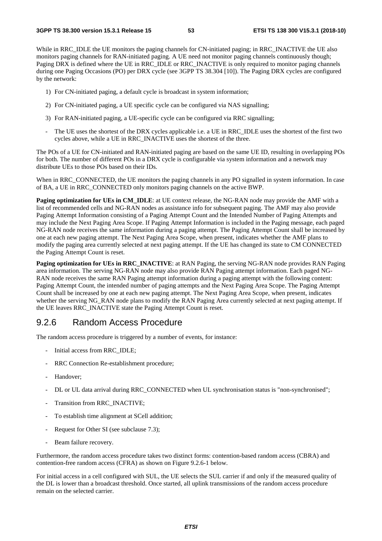While in RRC\_IDLE the UE monitors the paging channels for CN-initiated paging; in RRC\_INACTIVE the UE also monitors paging channels for RAN-initiated paging. A UE need not monitor paging channels continuously though; Paging DRX is defined where the UE in RRC\_IDLE or RRC\_INACTIVE is only required to monitor paging channels during one Paging Occasions (PO) per DRX cycle (see 3GPP TS 38.304 [10]). The Paging DRX cycles are configured by the network:

- 1) For CN-initiated paging, a default cycle is broadcast in system information;
- 2) For CN-initiated paging, a UE specific cycle can be configured via NAS signalling;
- 3) For RAN-initiated paging, a UE-specific cycle can be configured via RRC signalling;
- The UE uses the shortest of the DRX cycles applicable i.e. a UE in RRC\_IDLE uses the shortest of the first two cycles above, while a UE in RRC\_INACTIVE uses the shortest of the three.

The POs of a UE for CN-initiated and RAN-initiated paging are based on the same UE ID, resulting in overlapping POs for both. The number of different POs in a DRX cycle is configurable via system information and a network may distribute UEs to those POs based on their IDs.

When in RRC\_CONNECTED, the UE monitors the paging channels in any PO signalled in system information. In case of BA, a UE in RRC\_CONNECTED only monitors paging channels on the active BWP.

**Paging optimization for UEs in CM\_IDLE:** at UE context release, the NG-RAN node may provide the AMF with a list of recommended cells and NG-RAN nodes as assistance info for subsequent paging. The AMF may also provide Paging Attempt Information consisting of a Paging Attempt Count and the Intended Number of Paging Attempts and may include the Next Paging Area Scope. If Paging Attempt Information is included in the Paging message, each paged NG-RAN node receives the same information during a paging attempt. The Paging Attempt Count shall be increased by one at each new paging attempt. The Next Paging Area Scope, when present, indicates whether the AMF plans to modify the paging area currently selected at next paging attempt. If the UE has changed its state to CM CONNECTED the Paging Attempt Count is reset.

**Paging optimization for UEs in RRC\_INACTIVE**: at RAN Paging, the serving NG-RAN node provides RAN Paging area information. The serving NG-RAN node may also provide RAN Paging attempt information. Each paged NG-RAN node receives the same RAN Paging attempt information during a paging attempt with the following content: Paging Attempt Count, the intended number of paging attempts and the Next Paging Area Scope. The Paging Attempt Count shall be increased by one at each new paging attempt. The Next Paging Area Scope, when present, indicates whether the serving NG\_RAN node plans to modify the RAN Paging Area currently selected at next paging attempt. If the UE leaves RRC\_INACTIVE state the Paging Attempt Count is reset.

### 9.2.6 Random Access Procedure

The random access procedure is triggered by a number of events, for instance:

- Initial access from RRC\_IDLE;
- RRC Connection Re-establishment procedure;
- Handover;
- DL or UL data arrival during RRC\_CONNECTED when UL synchronisation status is "non-synchronised";
- Transition from RRC\_INACTIVE;
- To establish time alignment at SCell addition;
- Request for Other SI (see subclause 7.3);
- Beam failure recovery.

Furthermore, the random access procedure takes two distinct forms: contention-based random access (CBRA) and contention-free random access (CFRA) as shown on Figure 9.2.6-1 below.

For initial access in a cell configured with SUL, the UE selects the SUL carrier if and only if the measured quality of the DL is lower than a broadcast threshold. Once started, all uplink transmissions of the random access procedure remain on the selected carrier.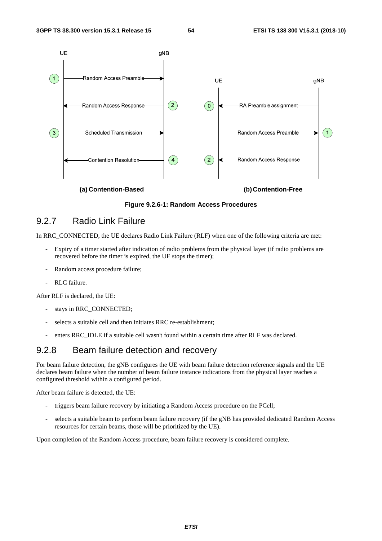

**Figure 9.2.6-1: Random Access Procedures** 

## 9.2.7 Radio Link Failure

In RRC CONNECTED, the UE declares Radio Link Failure (RLF) when one of the following criteria are met:

- Expiry of a timer started after indication of radio problems from the physical layer (if radio problems are recovered before the timer is expired, the UE stops the timer);
- Random access procedure failure;
- RLC failure.

After RLF is declared, the UE:

- stays in RRC\_CONNECTED;
- selects a suitable cell and then initiates RRC re-establishment;
- enters RRC\_IDLE if a suitable cell wasn't found within a certain time after RLF was declared.

## 9.2.8 Beam failure detection and recovery

For beam failure detection, the gNB configures the UE with beam failure detection reference signals and the UE declares beam failure when the number of beam failure instance indications from the physical layer reaches a configured threshold within a configured period.

After beam failure is detected, the UE:

- triggers beam failure recovery by initiating a Random Access procedure on the PCell;
- selects a suitable beam to perform beam failure recovery (if the gNB has provided dedicated Random Access resources for certain beams, those will be prioritized by the UE).

Upon completion of the Random Access procedure, beam failure recovery is considered complete.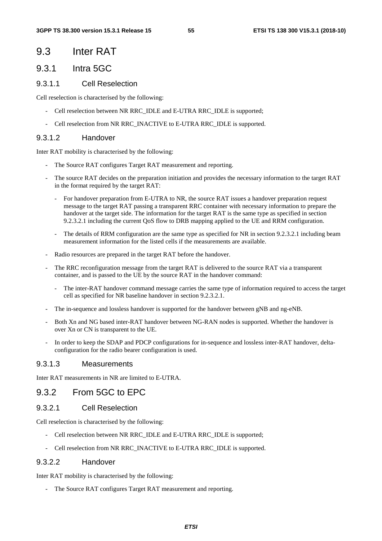## 9.3 Inter RAT

## 9.3.1 Intra 5GC

### 9.3.1.1 Cell Reselection

Cell reselection is characterised by the following:

- Cell reselection between NR RRC\_IDLE and E-UTRA RRC\_IDLE is supported;
- Cell reselection from NR RRC\_INACTIVE to E-UTRA RRC\_IDLE is supported.

### 9.3.1.2 Handover

Inter RAT mobility is characterised by the following:

- The Source RAT configures Target RAT measurement and reporting.
- The source RAT decides on the preparation initiation and provides the necessary information to the target RAT in the format required by the target RAT:
	- For handover preparation from E-UTRA to NR, the source RAT issues a handover preparation request message to the target RAT passing a transparent RRC container with necessary information to prepare the handover at the target side. The information for the target RAT is the same type as specified in section 9.2.3.2.1 including the current QoS flow to DRB mapping applied to the UE and RRM configuration.
	- The details of RRM configuration are the same type as specified for NR in section 9.2.3.2.1 including beam measurement information for the listed cells if the measurements are available.
- Radio resources are prepared in the target RAT before the handover.
- The RRC reconfiguration message from the target RAT is delivered to the source RAT via a transparent container, and is passed to the UE by the source RAT in the handover command:
	- The inter-RAT handover command message carries the same type of information required to access the target cell as specified for NR baseline handover in section 9.2.3.2.1.
- The in-sequence and lossless handover is supported for the handover between gNB and ng-eNB.
- Both Xn and NG based inter-RAT handover between NG-RAN nodes is supported. Whether the handover is over Xn or CN is transparent to the UE.
- In order to keep the SDAP and PDCP configurations for in-sequence and lossless inter-RAT handover, deltaconfiguration for the radio bearer configuration is used.

### 9.3.1.3 Measurements

Inter RAT measurements in NR are limited to E-UTRA.

### 9.3.2 From 5GC to EPC

### 9.3.2.1 Cell Reselection

Cell reselection is characterised by the following:

- Cell reselection between NR RRC\_IDLE and E-UTRA RRC\_IDLE is supported;
- Cell reselection from NR RRC\_INACTIVE to E-UTRA RRC\_IDLE is supported.

### 9.3.2.2 Handover

Inter RAT mobility is characterised by the following:

The Source RAT configures Target RAT measurement and reporting.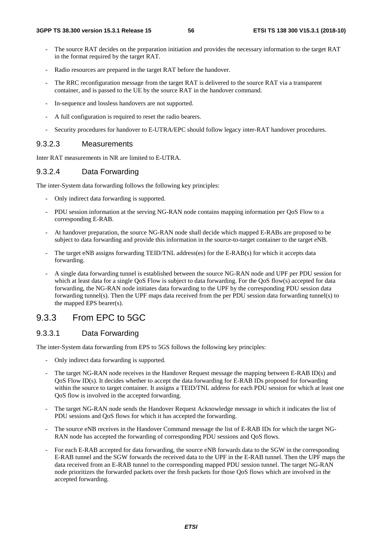- The source RAT decides on the preparation initiation and provides the necessary information to the target RAT in the format required by the target RAT.
- Radio resources are prepared in the target RAT before the handover.
- The RRC reconfiguration message from the target RAT is delivered to the source RAT via a transparent container, and is passed to the UE by the source RAT in the handover command.
- In-sequence and lossless handovers are not supported.
- A full configuration is required to reset the radio bearers.
- Security procedures for handover to E-UTRA/EPC should follow legacy inter-RAT handover procedures.

### 9.3.2.3 Measurements

Inter RAT measurements in NR are limited to E-UTRA.

### 9.3.2.4 Data Forwarding

The inter-System data forwarding follows the following key principles:

- Only indirect data forwarding is supported.
- PDU session information at the serving NG-RAN node contains mapping information per QoS Flow to a corresponding E-RAB.
- At handover preparation, the source NG-RAN node shall decide which mapped E-RABs are proposed to be subject to data forwarding and provide this information in the source-to-target container to the target eNB.
- The target eNB assigns forwarding TEID/TNL address(es) for the E-RAB(s) for which it accepts data forwarding.
- A single data forwarding tunnel is established between the source NG-RAN node and UPF per PDU session for which at least data for a single QoS Flow is subject to data forwarding. For the QoS flow(s) accepted for data forwarding, the NG-RAN node initiates data forwarding to the UPF by the corresponding PDU session data forwarding tunnel(s). Then the UPF maps data received from the per PDU session data forwarding tunnel(s) to the mapped EPS bearer(s).

### 9.3.3 From EPC to 5GC

### 9.3.3.1 Data Forwarding

The inter-System data forwarding from EPS to 5GS follows the following key principles:

- Only indirect data forwarding is supported.
- The target NG-RAN node receives in the Handover Request message the mapping between E-RAB ID(s) and QoS Flow ID(s). It decides whether to accept the data forwarding for E-RAB IDs proposed for forwarding within the source to target container. It assigns a TEID/TNL address for each PDU session for which at least one QoS flow is involved in the accepted forwarding.
- The target NG-RAN node sends the Handover Request Acknowledge message in which it indicates the list of PDU sessions and QoS flows for which it has accepted the forwarding.
- The source eNB receives in the Handover Command message the list of E-RAB IDs for which the target NG-RAN node has accepted the forwarding of corresponding PDU sessions and QoS flows.
- For each E-RAB accepted for data forwarding, the source eNB forwards data to the SGW in the corresponding E-RAB tunnel and the SGW forwards the received data to the UPF in the E-RAB tunnel. Then the UPF maps the data received from an E-RAB tunnel to the corresponding mapped PDU session tunnel. The target NG-RAN node prioritizes the forwarded packets over the fresh packets for those QoS flows which are involved in the accepted forwarding.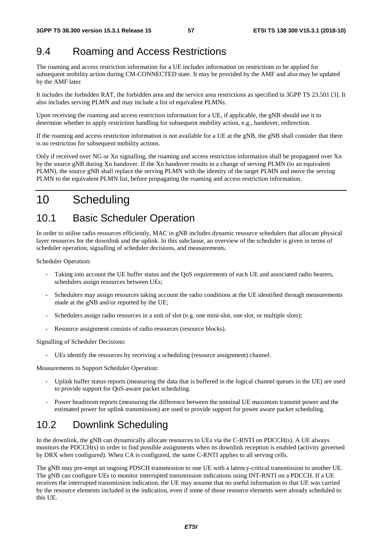# 9.4 Roaming and Access Restrictions

The roaming and access restriction information for a UE includes information on restrictions to be applied for subsequent mobility action during CM-CONNECTED state. It may be provided by the AMF and also may be updated by the AMF later.

It includes the forbidden RAT, the forbidden area and the service area restrictions as specified in 3GPP TS 23.501 [3]. It also includes serving PLMN and may include a list of equivalent PLMNs.

Upon receiving the roaming and access restriction information for a UE, if applicable, the gNB should use it to determine whether to apply restriction handling for subsequent mobility action, e.g., handover, redirection.

If the roaming and access restriction information is not available for a UE at the gNB, the gNB shall consider that there is no restriction for subsequent mobility actions.

Only if received over NG or Xn signalling, the roaming and access restriction information shall be propagated over Xn by the source gNB during Xn handover. If the Xn handover results in a change of serving PLMN (to an equivalent PLMN), the source gNB shall replace the serving PLMN with the identity of the target PLMN and move the serving PLMN to the equivalent PLMN list, before propagating the roaming and access restriction information.

# 10 Scheduling

# 10.1 Basic Scheduler Operation

In order to utilise radio resources efficiently, MAC in gNB includes dynamic resource schedulers that allocate physical layer resources for the downlink and the uplink. In this subclause, an overview of the scheduler is given in terms of scheduler operation, signalling of scheduler decisions, and measurements.

Scheduler Operation:

- Taking into account the UE buffer status and the QoS requirements of each UE and associated radio bearers, schedulers assign resources between UEs;
- Schedulers may assign resources taking account the radio conditions at the UE identified through measurements made at the gNB and/or reported by the UE;
- Schedulers assign radio resources in a unit of slot (e.g. one mini-slot, one slot, or multiple slots);
- Resource assignment consists of radio resources (resource blocks).

Signalling of Scheduler Decisions:

- UEs identify the resources by receiving a scheduling (resource assignment) channel.

Measurements to Support Scheduler Operation:

- Uplink buffer status reports (measuring the data that is buffered in the logical channel queues in the UE) are used to provide support for QoS-aware packet scheduling.
- Power headroom reports (measuring the difference between the nominal UE maximum transmit power and the estimated power for uplink transmission) are used to provide support for power aware packet scheduling.

# 10.2 Downlink Scheduling

In the downlink, the gNB can dynamically allocate resources to UEs via the C-RNTI on PDCCH(s). A UE always monitors the PDCCH(s) in order to find possible assignments when its downlink reception is enabled (activity governed by DRX when configured). When CA is configured, the same C-RNTI applies to all serving cells.

The gNB may pre-empt an ongoing PDSCH transmission to one UE with a latency-critical transmission to another UE. The gNB can configure UEs to monitor interrupted transmission indications using INT-RNTI on a PDCCH. If a UE receives the interrupted transmission indication, the UE may assume that no useful information to that UE was carried by the resource elements included in the indication, even if some of those resource elements were already scheduled to this UE.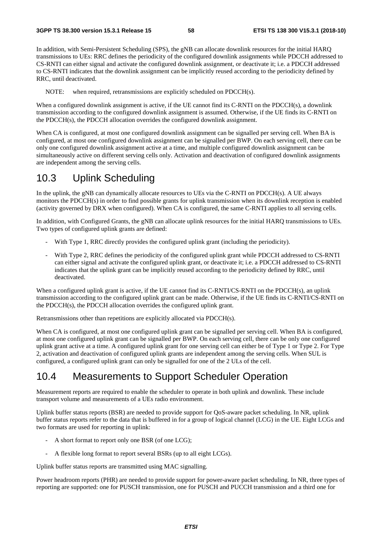In addition, with Semi-Persistent Scheduling (SPS), the gNB can allocate downlink resources for the initial HARQ transmissions to UEs: RRC defines the periodicity of the configured downlink assignments while PDCCH addressed to CS-RNTI can either signal and activate the configured downlink assignment, or deactivate it; i.e. a PDCCH addressed to CS-RNTI indicates that the downlink assignment can be implicitly reused according to the periodicity defined by RRC, until deactivated.

NOTE: when required, retransmissions are explicitly scheduled on PDCCH(s).

When a configured downlink assignment is active, if the UE cannot find its C-RNTI on the PDCCH(s), a downlink transmission according to the configured downlink assignment is assumed. Otherwise, if the UE finds its C-RNTI on the PDCCH(s), the PDCCH allocation overrides the configured downlink assignment.

When CA is configured, at most one configured downlink assignment can be signalled per serving cell. When BA is configured, at most one configured downlink assignment can be signalled per BWP. On each serving cell, there can be only one configured downlink assignment active at a time, and multiple configured downlink assignment can be simultaneously active on different serving cells only. Activation and deactivation of configured downlink assignments are independent among the serving cells.

# 10.3 Uplink Scheduling

In the uplink, the gNB can dynamically allocate resources to UEs via the C-RNTI on PDCCH(s). A UE always monitors the PDCCH(s) in order to find possible grants for uplink transmission when its downlink reception is enabled (activity governed by DRX when configured). When CA is configured, the same C-RNTI applies to all serving cells.

In addition, with Configured Grants, the gNB can allocate uplink resources for the initial HARQ transmissions to UEs. Two types of configured uplink grants are defined:

- With Type 1, RRC directly provides the configured uplink grant (including the periodicity).
- With Type 2, RRC defines the periodicity of the configured uplink grant while PDCCH addressed to CS-RNTI can either signal and activate the configured uplink grant, or deactivate it; i.e. a PDCCH addressed to CS-RNTI indicates that the uplink grant can be implicitly reused according to the periodicity defined by RRC, until deactivated.

When a configured uplink grant is active, if the UE cannot find its C-RNTI/CS-RNTI on the PDCCH(s), an uplink transmission according to the configured uplink grant can be made. Otherwise, if the UE finds its C-RNTI/CS-RNTI on the PDCCH(s), the PDCCH allocation overrides the configured uplink grant.

Retransmissions other than repetitions are explicitly allocated via PDCCH(s).

When CA is configured, at most one configured uplink grant can be signalled per serving cell. When BA is configured, at most one configured uplink grant can be signalled per BWP. On each serving cell, there can be only one configured uplink grant active at a time. A configured uplink grant for one serving cell can either be of Type 1 or Type 2. For Type 2, activation and deactivation of configured uplink grants are independent among the serving cells. When SUL is configured, a configured uplink grant can only be signalled for one of the 2 ULs of the cell.

# 10.4 Measurements to Support Scheduler Operation

Measurement reports are required to enable the scheduler to operate in both uplink and downlink. These include transport volume and measurements of a UEs radio environment.

Uplink buffer status reports (BSR) are needed to provide support for QoS-aware packet scheduling. In NR, uplink buffer status reports refer to the data that is buffered in for a group of logical channel (LCG) in the UE. Eight LCGs and two formats are used for reporting in uplink:

- A short format to report only one BSR (of one LCG);
- A flexible long format to report several BSRs (up to all eight LCGs).

Uplink buffer status reports are transmitted using MAC signalling.

Power headroom reports (PHR) are needed to provide support for power-aware packet scheduling. In NR, three types of reporting are supported: one for PUSCH transmission, one for PUSCH and PUCCH transmission and a third one for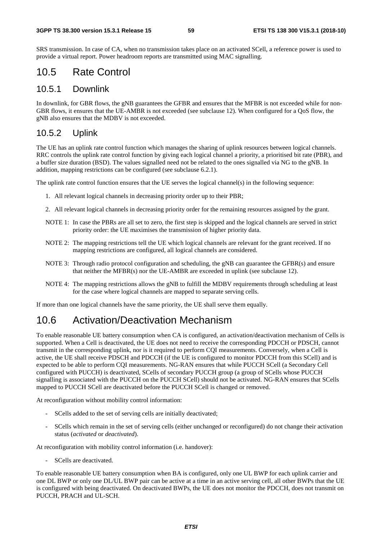SRS transmission. In case of CA, when no transmission takes place on an activated SCell, a reference power is used to provide a virtual report. Power headroom reports are transmitted using MAC signalling.

# 10.5 Rate Control

### 10.5.1 Downlink

In downlink, for GBR flows, the gNB guarantees the GFBR and ensures that the MFBR is not exceeded while for non-GBR flows, it ensures that the UE-AMBR is not exceeded (see subclause 12). When configured for a QoS flow, the gNB also ensures that the MDBV is not exceeded.

### 10.5.2 Uplink

The UE has an uplink rate control function which manages the sharing of uplink resources between logical channels. RRC controls the uplink rate control function by giving each logical channel a priority, a prioritised bit rate (PBR), and a buffer size duration (BSD). The values signalled need not be related to the ones signalled via NG to the gNB. In addition, mapping restrictions can be configured (see subclause 6.2.1).

The uplink rate control function ensures that the UE serves the logical channel(s) in the following sequence:

- 1. All relevant logical channels in decreasing priority order up to their PBR;
- 2. All relevant logical channels in decreasing priority order for the remaining resources assigned by the grant.
- NOTE 1: In case the PBRs are all set to zero, the first step is skipped and the logical channels are served in strict priority order: the UE maximises the transmission of higher priority data.
- NOTE 2: The mapping restrictions tell the UE which logical channels are relevant for the grant received. If no mapping restrictions are configured, all logical channels are considered.
- NOTE 3: Through radio protocol configuration and scheduling, the gNB can guarantee the GFBR(s) and ensure that neither the MFBR(s) nor the UE-AMBR are exceeded in uplink (see subclause 12).
- NOTE 4: The mapping restrictions allows the gNB to fulfill the MDBV requirements through scheduling at least for the case where logical channels are mapped to separate serving cells.

If more than one logical channels have the same priority, the UE shall serve them equally.

# 10.6 Activation/Deactivation Mechanism

To enable reasonable UE battery consumption when CA is configured, an activation/deactivation mechanism of Cells is supported. When a Cell is deactivated, the UE does not need to receive the corresponding PDCCH or PDSCH, cannot transmit in the corresponding uplink, nor is it required to perform CQI measurements. Conversely, when a Cell is active, the UE shall receive PDSCH and PDCCH (if the UE is configured to monitor PDCCH from this SCell) and is expected to be able to perform CQI measurements. NG-RAN ensures that while PUCCH SCell (a Secondary Cell configured with PUCCH) is deactivated, SCells of secondary PUCCH group (a group of SCells whose PUCCH signalling is associated with the PUCCH on the PUCCH SCell) should not be activated. NG-RAN ensures that SCells mapped to PUCCH SCell are deactivated before the PUCCH SCell is changed or removed.

At reconfiguration without mobility control information:

- SCells added to the set of serving cells are initially deactivated;
- SCells which remain in the set of serving cells (either unchanged or reconfigured) do not change their activation status (*activated* or *deactivated*).

At reconfiguration with mobility control information (i.e. handover):

SCells are deactivated.

To enable reasonable UE battery consumption when BA is configured, only one UL BWP for each uplink carrier and one DL BWP or only one DL/UL BWP pair can be active at a time in an active serving cell, all other BWPs that the UE is configured with being deactivated. On deactivated BWPs, the UE does not monitor the PDCCH, does not transmit on PUCCH, PRACH and UL-SCH.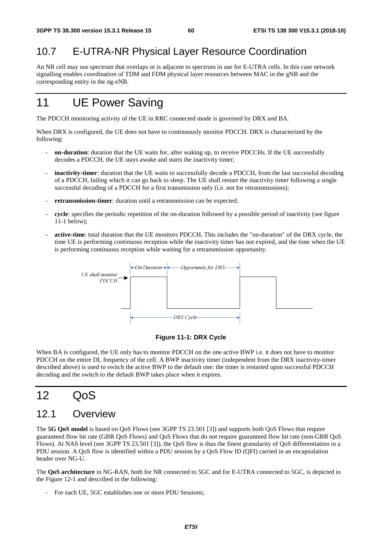# 10.7 E-UTRA-NR Physical Layer Resource Coordination

An NR cell may use spectrum that overlaps or is adjacent to spectrum in use for E-UTRA cells. In this case network signalling enables coordination of TDM and FDM physical layer resources between MAC in the gNB and the corresponding entity in the ng-eNB.

# 11 UE Power Saving

The PDCCH monitoring activity of the UE in RRC connected mode is governed by DRX and BA.

When DRX is configured, the UE does not have to continuously monitor PDCCH. DRX is characterized by the following:

- **on-duration**: duration that the UE waits for, after waking up, to receive PDCCHs. If the UE successfully decodes a PDCCH, the UE stays awake and starts the inactivity timer;
- **inactivity-timer**: duration that the UE waits to successfully decode a PDCCH, from the last successful decoding of a PDCCH, failing which it can go back to sleep. The UE shall restart the inactivity timer following a single successful decoding of a PDCCH for a first transmission only (i.e. not for retransmissions);
- **retransmission-timer**: duration until a retransmission can be expected;
- **cycle**: specifies the periodic repetition of the on-duration followed by a possible period of inactivity (see figure 11-1 below);
- **active-time**: total duration that the UE monitors PDCCH. This includes the "on-duration" of the DRX cycle, the time UE is performing continuous reception while the inactivity timer has not expired, and the time when the UE is performing continuous reception while waiting for a retransmission opportunity.



#### **Figure 11-1: DRX Cycle**

When BA is configured, the UE only has to monitor PDCCH on the one active BWP i.e. it does not have to monitor PDCCH on the entire DL frequency of the cell. A BWP inactivity timer (independent from the DRX inactivity-timer described above) is used to switch the active BWP to the default one: the timer is restarted upon successful PDCCH decoding and the switch to the default BWP takes place when it expires.

# $12 \qquad \Omega$

# 12.1 Overview

The **5G QoS model** is based on QoS Flows (see 3GPP TS 23.501 [3]) and supports both QoS Flows that require guaranteed flow bit rate (GBR QoS Flows) and QoS Flows that do not require guaranteed flow bit rate (non-GBR QoS Flows). At NAS level (see 3GPP TS 23.501 [3]), the QoS flow is thus the finest granularity of QoS differentiation in a PDU session. A QoS flow is identified within a PDU session by a QoS Flow ID (QFI) carried in an encapsulation header over NG-U.

The **QoS architecture** in NG-RAN, both for NR connected to 5GC and for E-UTRA connected to 5GC, is depicted in the Figure 12-1 and described in the following:

For each UE, 5GC establishes one or more PDU Sessions;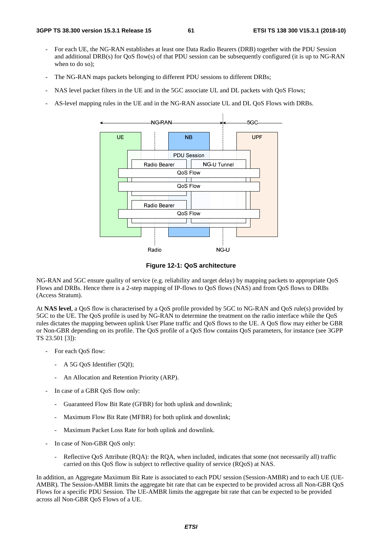- For each UE, the NG-RAN establishes at least one Data Radio Bearers (DRB) together with the PDU Session and additional DRB(s) for QoS flow(s) of that PDU session can be subsequently configured (it is up to NG-RAN when to do so);
- The NG-RAN maps packets belonging to different PDU sessions to different DRBs;
- NAS level packet filters in the UE and in the 5GC associate UL and DL packets with QoS Flows;
- AS-level mapping rules in the UE and in the NG-RAN associate UL and DL QoS Flows with DRBs.



**Figure 12-1: QoS architecture** 

NG-RAN and 5GC ensure quality of service (e.g. reliability and target delay) by mapping packets to appropriate QoS Flows and DRBs. Hence there is a 2-step mapping of IP-flows to QoS flows (NAS) and from QoS flows to DRBs (Access Stratum).

At **NAS level**, a QoS flow is characterised by a QoS profile provided by 5GC to NG-RAN and QoS rule(s) provided by 5GC to the UE. The QoS profile is used by NG-RAN to determine the treatment on the radio interface while the QoS rules dictates the mapping between uplink User Plane traffic and QoS flows to the UE. A QoS flow may either be GBR or Non-GBR depending on its profile. The QoS profile of a QoS flow contains QoS parameters, for instance (see 3GPP TS 23.501 [3]):

- For each QoS flow:
	- A 5G OoS Identifier (5OI);
	- An Allocation and Retention Priority (ARP).
- In case of a GBR QoS flow only:
	- Guaranteed Flow Bit Rate (GFBR) for both uplink and downlink;
	- Maximum Flow Bit Rate (MFBR) for both uplink and downlink;
	- Maximum Packet Loss Rate for both uplink and downlink.
- In case of Non-GBR QoS only:
	- Reflective QoS Attribute (RQA): the RQA, when included, indicates that some (not necessarily all) traffic carried on this QoS flow is subject to reflective quality of service (RQoS) at NAS.

In addition, an Aggregate Maximum Bit Rate is associated to each PDU session (Session-AMBR) and to each UE (UE-AMBR). The Session-AMBR limits the aggregate bit rate that can be expected to be provided across all Non-GBR QoS Flows for a specific PDU Session. The UE-AMBR limits the aggregate bit rate that can be expected to be provided across all Non-GBR QoS Flows of a UE.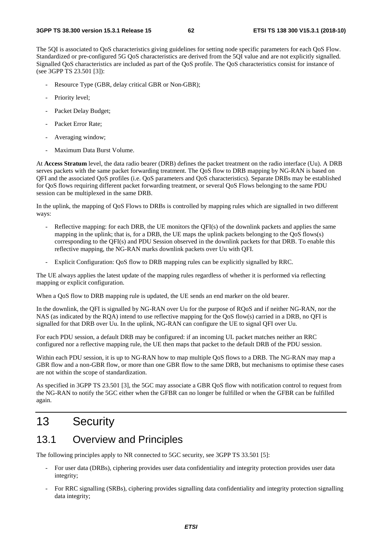The 5QI is associated to QoS characteristics giving guidelines for setting node specific parameters for each QoS Flow. Standardized or pre-configured 5G QoS characteristics are derived from the 5QI value and are not explicitly signalled. Signalled QoS characteristics are included as part of the QoS profile. The QoS characteristics consist for instance of (see 3GPP TS 23.501 [3]):

- Resource Type (GBR, delay critical GBR or Non-GBR);
- Priority level:
- Packet Delay Budget;
- Packet Error Rate;
- Averaging window;
- Maximum Data Burst Volume.

At **Access Stratum** level, the data radio bearer (DRB) defines the packet treatment on the radio interface (Uu). A DRB serves packets with the same packet forwarding treatment. The QoS flow to DRB mapping by NG-RAN is based on QFI and the associated QoS profiles (i.e. QoS parameters and QoS characteristics). Separate DRBs may be established for QoS flows requiring different packet forwarding treatment, or several QoS Flows belonging to the same PDU session can be multiplexed in the same DRB.

In the uplink, the mapping of QoS Flows to DRBs is controlled by mapping rules which are signalled in two different ways:

- Reflective mapping: for each DRB, the UE monitors the QFI(s) of the downlink packets and applies the same mapping in the uplink; that is, for a DRB, the UE maps the uplink packets belonging to the QoS flows(s) corresponding to the QFI(s) and PDU Session observed in the downlink packets for that DRB. To enable this reflective mapping, the NG-RAN marks downlink packets over Uu with QFI.
- Explicit Configuration: QoS flow to DRB mapping rules can be explicitly signalled by RRC.

The UE always applies the latest update of the mapping rules regardless of whether it is performed via reflecting mapping or explicit configuration.

When a QoS flow to DRB mapping rule is updated, the UE sends an end marker on the old bearer.

In the downlink, the QFI is signalled by NG-RAN over Uu for the purpose of RQoS and if neither NG-RAN, nor the NAS (as indicated by the RQA) intend to use reflective mapping for the QoS flow(s) carried in a DRB, no QFI is signalled for that DRB over Uu. In the uplink, NG-RAN can configure the UE to signal QFI over Uu.

For each PDU session, a default DRB may be configured: if an incoming UL packet matches neither an RRC configured nor a reflective mapping rule, the UE then maps that packet to the default DRB of the PDU session.

Within each PDU session, it is up to NG-RAN how to map multiple QoS flows to a DRB. The NG-RAN may map a GBR flow and a non-GBR flow, or more than one GBR flow to the same DRB, but mechanisms to optimise these cases are not within the scope of standardization.

As specified in 3GPP TS 23.501 [3], the 5GC may associate a GBR QoS flow with notification control to request from the NG-RAN to notify the 5GC either when the GFBR can no longer be fulfilled or when the GFBR can be fulfilled again.

# 13 Security

# 13.1 Overview and Principles

The following principles apply to NR connected to 5GC security, see 3GPP TS 33.501 [5]:

- For user data (DRBs), ciphering provides user data confidentiality and integrity protection provides user data integrity;
- For RRC signalling (SRBs), ciphering provides signalling data confidentiality and integrity protection signalling data integrity;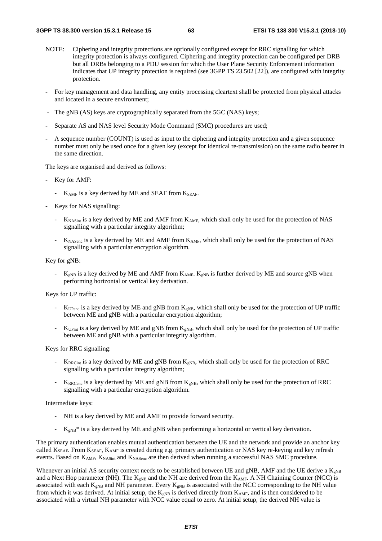- NOTE: Ciphering and integrity protections are optionally configured except for RRC signalling for which integrity protection is always configured. Ciphering and integrity protection can be configured per DRB but all DRBs belonging to a PDU session for which the User Plane Security Enforcement information indicates that UP integrity protection is required (see 3GPP TS 23.502 [22]), are configured with integrity protection.
- For key management and data handling, any entity processing cleartext shall be protected from physical attacks and located in a secure environment;
- The gNB (AS) keys are cryptographically separated from the 5GC (NAS) keys;
- Separate AS and NAS level Security Mode Command (SMC) procedures are used;
- A sequence number (COUNT) is used as input to the ciphering and integrity protection and a given sequence number must only be used once for a given key (except for identical re-transmission) on the same radio bearer in the same direction.

The keys are organised and derived as follows:

- Key for AMF:
	- $K_{AMF}$  is a key derived by ME and SEAF from  $K_{SEAF}$ .
- Keys for NAS signalling:
	- $K_{\text{NASint}}$  is a key derived by ME and AMF from  $K_{\text{AMF}}$ , which shall only be used for the protection of NAS signalling with a particular integrity algorithm;
	- K<sub>NASenc</sub> is a key derived by ME and AMF from K<sub>AMF</sub>, which shall only be used for the protection of NAS signalling with a particular encryption algorithm.

Key for gNB:

 $K_{\text{eNB}}$  is a key derived by ME and AMF from  $K_{\text{AMF}}$ .  $K_{\text{eNB}}$  is further derived by ME and source gNB when performing horizontal or vertical key derivation.

Keys for UP traffic:

- $K_{UPenc}$  is a key derived by ME and gNB from  $K_{gNB}$ , which shall only be used for the protection of UP traffic between ME and gNB with a particular encryption algorithm;
- K<sub>UPint</sub> is a key derived by ME and gNB from  $K_{\text{eNB}}$ , which shall only be used for the protection of UP traffic between ME and gNB with a particular integrity algorithm.

Keys for RRC signalling:

- $K_{\text{RRCint}}$  is a key derived by ME and gNB from  $K_{\text{gNB}}$ , which shall only be used for the protection of RRC signalling with a particular integrity algorithm;
- $K_{RRCenc}$  is a key derived by ME and gNB from  $K_{eNB}$ , which shall only be used for the protection of RRC signalling with a particular encryption algorithm.

Intermediate keys:

- NH is a key derived by ME and AMF to provide forward security.
- $K_{\text{gNB}}^*$  is a key derived by ME and gNB when performing a horizontal or vertical key derivation.

The primary authentication enables mutual authentication between the UE and the network and provide an anchor key called  $K_{SEAF}$ . From  $K_{SEAF}$ ,  $K_{AMF}$  is created during e.g. primary authentication or NAS key re-keying and key refresh events. Based on K<sub>AMF</sub>, K<sub>NASint</sub> and K<sub>NASenc</sub> are then derived when running a successful NAS SMC procedure.

Whenever an initial AS security context needs to be established between UE and gNB, AMF and the UE derive a  $K_{eNB}$ and a Next Hop parameter (NH). The  $K_{eNB}$  and the NH are derived from the  $K_{AMF}$ . A NH Chaining Counter (NCC) is associated with each  $K_{gNB}$  and NH parameter. Every  $K_{gNB}$  is associated with the NCC corresponding to the NH value from which it was derived. At initial setup, the  $K_{gNB}$  is derived directly from  $K_{AMF}$ , and is then considered to be associated with a virtual NH parameter with NCC value equal to zero. At initial setup, the derived NH value is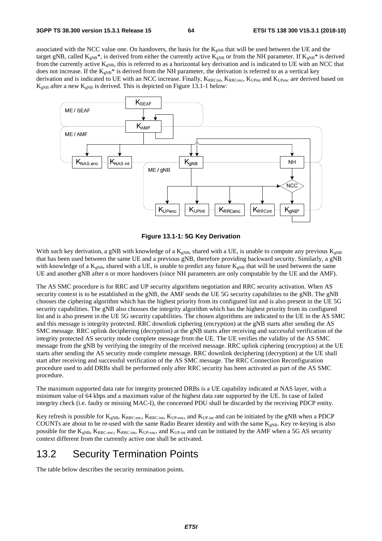associated with the NCC value one. On handovers, the basis for the  $K_{gNB}$  that will be used between the UE and the target gNB, called  $K_{gNB}$ <sup>\*</sup>, is derived from either the currently active  $K_{gNB}$  or from the NH parameter. If  $K_{gNB}$ <sup>\*</sup> is derived from the currently active  $K_{gNB}$ , this is referred to as a horizontal key derivation and is indicated to UE with an NCC that does not increase. If the  $K_{gNB}^*$  is derived from the NH parameter, the derivation is referred to as a vertical key derivation and is indicated to UE with an NCC increase. Finally, KRRCint, KRRCenc, KUPint and KUPenc are derived based on  $K_{\rm gNB}$  after a new  $K_{\rm gNB}$  is derived. This is depicted on Figure 13.1-1 below:



**Figure 13.1-1: 5G Key Derivation** 

With such key derivation, a gNB with knowledge of a  $K_{gNB}$ , shared with a UE, is unable to compute any previous  $K_{gNB}$ that has been used between the same UE and a previous gNB, therefore providing backward security. Similarly, a gNB with knowledge of a  $K_{\text{eNB}}$ , shared with a UE, is unable to predict any future  $K_{\text{eNB}}$  that will be used between the same UE and another gNB after n or more handovers (since NH parameters are only computable by the UE and the AMF).

The AS SMC procedure is for RRC and UP security algorithms negotiation and RRC security activation. When AS security context is to be established in the gNB, the AMF sends the UE 5G security capabilities to the gNB. The gNB chooses the ciphering algorithm which has the highest priority from its configured list and is also present in the UE 5G security capabilities. The gNB also chooses the integrity algorithm which has the highest priority from its configured list and is also present in the UE 5G security capabilities. The chosen algorithms are indicated to the UE in the AS SMC and this message is integrity protected. RRC downlink ciphering (encryption) at the gNB starts after sending the AS SMC message. RRC uplink deciphering (decryption) at the gNB starts after receiving and successful verification of the integrity protected AS security mode complete message from the UE. The UE verifies the validity of the AS SMC message from the gNB by verifying the integrity of the received message. RRC uplink ciphering (encryption) at the UE starts after sending the AS security mode complete message. RRC downlink deciphering (decryption) at the UE shall start after receiving and successful verification of the AS SMC message. The RRC Connection Reconfiguration procedure used to add DRBs shall be performed only after RRC security has been activated as part of the AS SMC procedure.

The maximum supported data rate for integrity protected DRBs is a UE capability indicated at NAS layer, with a minimum value of 64 kbps and a maximum value of the highest data rate supported by the UE. In case of failed integrity check (i.e. faulty or missing MAC-I), the concerned PDU shall be discarded by the receiving PDCP entity.

Key refresh is possible for  $K_{gNB}$ ,  $K_{RRC-enc}$ ,  $K_{RRC-int}$ ,  $K_{UP-enc}$ , and  $K_{UP-int}$  and can be initiated by the gNB when a PDCP COUNTs are about to be re-used with the same Radio Bearer identity and with the same  $K_{gNB}$ . Key re-keying is also possible for the  $K_{gNB}$ ,  $K_{RRC-enc}$ ,  $K_{RRC-int}$ ,  $K_{UP-enc}$ , and  $K_{UP-int}$  and can be initiated by the AMF when a 5G AS security context different from the currently active one shall be activated.

# 13.2 Security Termination Points

The table below describes the security termination points.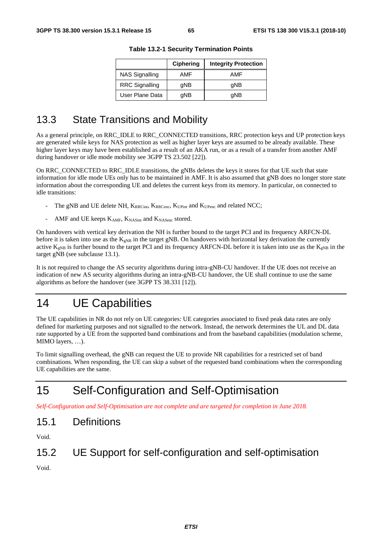|                       | <b>Ciphering</b> | <b>Integrity Protection</b> |  |
|-----------------------|------------------|-----------------------------|--|
| <b>NAS Signalling</b> | AMF              | AMF                         |  |
| <b>RRC</b> Signalling | qNB              | qNB                         |  |
| User Plane Data       | qNB              | qNB                         |  |

**Table 13.2-1 Security Termination Points** 

# 13.3 State Transitions and Mobility

As a general principle, on RRC\_IDLE to RRC\_CONNECTED transitions, RRC protection keys and UP protection keys are generated while keys for NAS protection as well as higher layer keys are assumed to be already available. These higher layer keys may have been established as a result of an AKA run, or as a result of a transfer from another AMF during handover or idle mode mobility see 3GPP TS 23.502 [22]).

On RRC\_CONNECTED to RRC\_IDLE transitions, the gNBs deletes the keys it stores for that UE such that state information for idle mode UEs only has to be maintained in AMF. It is also assumed that gNB does no longer store state information about the corresponding UE and deletes the current keys from its memory. In particular, on connected to idle transitions:

- The gNB and UE delete NH, KRRCint, KRRCenc, KUPint and KUPenc and related NCC;
- AMF and UE keeps KAMF, KNASint and KNASenc stored.

On handovers with vertical key derivation the NH is further bound to the target PCI and its frequency ARFCN-DL before it is taken into use as the  $K_{eNB}$  in the target gNB. On handovers with horizontal key derivation the currently active  $K_{gNB}$  is further bound to the target PCI and its frequency ARFCN-DL before it is taken into use as the  $K_{gNB}$  in the target gNB (see subclause 13.1).

It is not required to change the AS security algorithms during intra-gNB-CU handover. If the UE does not receive an indication of new AS security algorithms during an intra-gNB-CU handover, the UE shall continue to use the same algorithms as before the handover (see 3GPP TS 38.331 [12]).

# 14 UE Capabilities

The UE capabilities in NR do not rely on UE categories: UE categories associated to fixed peak data rates are only defined for marketing purposes and not signalled to the network. Instead, the network determines the UL and DL data rate supported by a UE from the supported band combinations and from the baseband capabilities (modulation scheme, MIMO layers, …).

To limit signalling overhead, the gNB can request the UE to provide NR capabilities for a restricted set of band combinations. When responding, the UE can skip a subset of the requested band combinations when the corresponding UE capabilities are the same.

# 15 Self-Configuration and Self-Optimisation

*Self-Configuration and Self-Optimisation are not complete and are targeted for completion in June 2018.* 

# 15.1 Definitions

Void.

# 15.2 UE Support for self-configuration and self-optimisation

Void.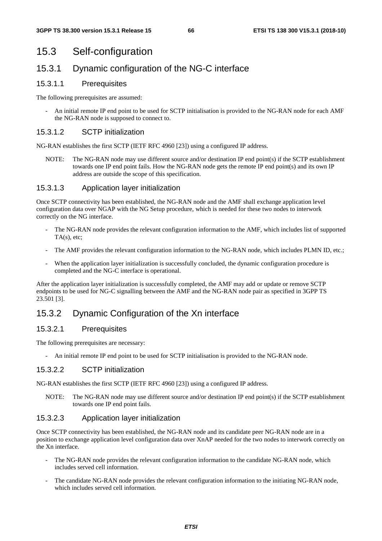# 15.3 Self-configuration

## 15.3.1 Dynamic configuration of the NG-C interface

### 15.3.1.1 Prerequisites

The following prerequisites are assumed:

- An initial remote IP end point to be used for SCTP initialisation is provided to the NG-RAN node for each AMF the NG-RAN node is supposed to connect to.

### 15.3.1.2 SCTP initialization

NG-RAN establishes the first SCTP (IETF RFC 4960 [23]) using a configured IP address.

NOTE: The NG-RAN node may use different source and/or destination IP end point(s) if the SCTP establishment towards one IP end point fails. How the NG-RAN node gets the remote IP end point(s) and its own IP address are outside the scope of this specification.

### 15.3.1.3 Application layer initialization

Once SCTP connectivity has been established, the NG-RAN node and the AMF shall exchange application level configuration data over NGAP with the NG Setup procedure, which is needed for these two nodes to interwork correctly on the NG interface.

- The NG-RAN node provides the relevant configuration information to the AMF, which includes list of supported  $TA(s)$ , etc;
- The AMF provides the relevant configuration information to the NG-RAN node, which includes PLMN ID, etc.;
- When the application layer initialization is successfully concluded, the dynamic configuration procedure is completed and the NG-C interface is operational.

After the application layer initialization is successfully completed, the AMF may add or update or remove SCTP endpoints to be used for NG-C signalling between the AMF and the NG-RAN node pair as specified in 3GPP TS 23.501 [3].

## 15.3.2 Dynamic Configuration of the Xn interface

### 15.3.2.1 Prerequisites

The following prerequisites are necessary:

- An initial remote IP end point to be used for SCTP initialisation is provided to the NG-RAN node.

### 15.3.2.2 SCTP initialization

NG-RAN establishes the first SCTP (IETF RFC 4960 [23]) using a configured IP address.

NOTE: The NG-RAN node may use different source and/or destination IP end point(s) if the SCTP establishment towards one IP end point fails.

### 15.3.2.3 Application layer initialization

Once SCTP connectivity has been established, the NG-RAN node and its candidate peer NG-RAN node are in a position to exchange application level configuration data over XnAP needed for the two nodes to interwork correctly on the Xn interface.

- The NG-RAN node provides the relevant configuration information to the candidate NG-RAN node, which includes served cell information.
- The candidate NG-RAN node provides the relevant configuration information to the initiating NG-RAN node, which includes served cell information.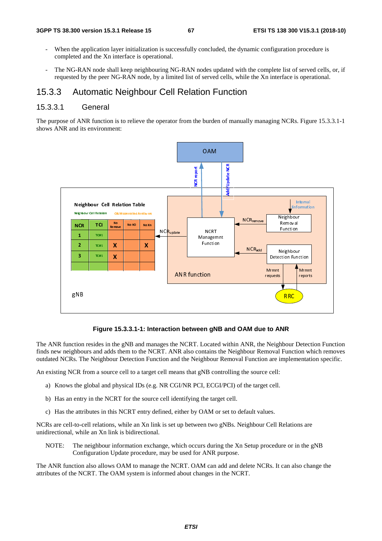- When the application layer initialization is successfully concluded, the dynamic configuration procedure is completed and the Xn interface is operational.
- The NG-RAN node shall keep neighbouring NG-RAN nodes updated with the complete list of served cells, or, if requested by the peer NG-RAN node, by a limited list of served cells, while the Xn interface is operational.

### 15.3.3 Automatic Neighbour Cell Relation Function

### 15.3.3.1 General

The purpose of ANR function is to relieve the operator from the burden of manually managing NCRs. Figure 15.3.3.1-1 shows ANR and its environment:



#### **Figure 15.3.3.1-1: Interaction between gNB and OAM due to ANR**

The ANR function resides in the gNB and manages the NCRT. Located within ANR, the Neighbour Detection Function finds new neighbours and adds them to the NCRT. ANR also contains the Neighbour Removal Function which removes outdated NCRs. The Neighbour Detection Function and the Neighbour Removal Function are implementation specific.

An existing NCR from a source cell to a target cell means that gNB controlling the source cell:

- a) Knows the global and physical IDs (e.g. NR CGI/NR PCI, ECGI/PCI) of the target cell.
- b) Has an entry in the NCRT for the source cell identifying the target cell.
- c) Has the attributes in this NCRT entry defined, either by OAM or set to default values.

NCRs are cell-to-cell relations, while an Xn link is set up between two gNBs. Neighbour Cell Relations are unidirectional, while an Xn link is bidirectional.

NOTE: The neighbour information exchange, which occurs during the Xn Setup procedure or in the gNB Configuration Update procedure, may be used for ANR purpose.

The ANR function also allows OAM to manage the NCRT. OAM can add and delete NCRs. It can also change the attributes of the NCRT. The OAM system is informed about changes in the NCRT.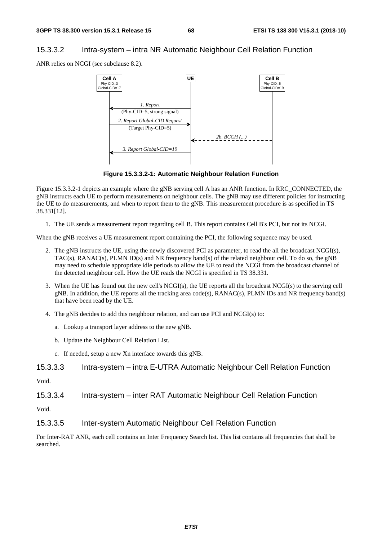### 15.3.3.2 Intra-system – intra NR Automatic Neighbour Cell Relation Function

ANR relies on NCGI (see subclause 8.2).



**Figure 15.3.3.2-1: Automatic Neighbour Relation Function** 

Figure 15.3.3.2-1 depicts an example where the gNB serving cell A has an ANR function. In RRC\_CONNECTED, the gNB instructs each UE to perform measurements on neighbour cells. The gNB may use different policies for instructing the UE to do measurements, and when to report them to the gNB. This measurement procedure is as specified in TS 38.331[12].

1. The UE sends a measurement report regarding cell B. This report contains Cell B's PCI, but not its NCGI.

When the gNB receives a UE measurement report containing the PCI, the following sequence may be used.

- 2. The gNB instructs the UE, using the newly discovered PCI as parameter, to read the all the broadcast NCGI(s), TAC(s), RANAC(s), PLMN ID(s) and NR frequency band(s) of the related neighbour cell. To do so, the gNB may need to schedule appropriate idle periods to allow the UE to read the NCGI from the broadcast channel of the detected neighbour cell. How the UE reads the NCGI is specified in TS 38.331.
- 3. When the UE has found out the new cell's NCGI(s), the UE reports all the broadcast NCGI(s) to the serving cell gNB. In addition, the UE reports all the tracking area code(s), RANAC(s), PLMN IDs and NR frequency band(s) that have been read by the UE.
- 4. The gNB decides to add this neighbour relation, and can use PCI and NCGI(s) to:
	- a. Lookup a transport layer address to the new gNB.
	- b. Update the Neighbour Cell Relation List.
	- c. If needed, setup a new Xn interface towards this gNB.

| 15.3.3.3 |  |  |  | Intra-system – intra E-UTRA Automatic Neighbour Cell Relation Function |
|----------|--|--|--|------------------------------------------------------------------------|
|----------|--|--|--|------------------------------------------------------------------------|

Void.

15.3.3.4 Intra-system – inter RAT Automatic Neighbour Cell Relation Function

Void.

15.3.3.5 Inter-system Automatic Neighbour Cell Relation Function

For Inter-RAT ANR, each cell contains an Inter Frequency Search list. This list contains all frequencies that shall be searched.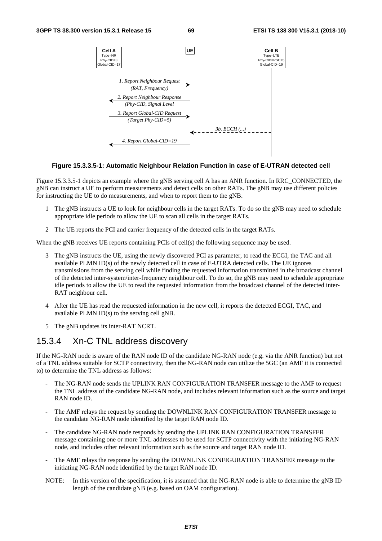

#### **Figure 15.3.3.5-1: Automatic Neighbour Relation Function in case of E-UTRAN detected cell**

Figure 15.3.3.5-1 depicts an example where the gNB serving cell A has an ANR function. In RRC\_CONNECTED, the gNB can instruct a UE to perform measurements and detect cells on other RATs. The gNB may use different policies for instructing the UE to do measurements, and when to report them to the gNB.

- 1 The gNB instructs a UE to look for neighbour cells in the target RATs. To do so the gNB may need to schedule appropriate idle periods to allow the UE to scan all cells in the target RATs.
- 2 The UE reports the PCI and carrier frequency of the detected cells in the target RATs.

When the gNB receives UE reports containing PCIs of cell(s) the following sequence may be used.

- 3 The gNB instructs the UE, using the newly discovered PCI as parameter, to read the ECGI, the TAC and all available PLMN ID(s) of the newly detected cell in case of E-UTRA detected cells. The UE ignores transmissions from the serving cell while finding the requested information transmitted in the broadcast channel of the detected inter-system/inter-frequency neighbour cell. To do so, the gNB may need to schedule appropriate idle periods to allow the UE to read the requested information from the broadcast channel of the detected inter-RAT neighbour cell.
- 4 After the UE has read the requested information in the new cell, it reports the detected ECGI, TAC, and available PLMN ID(s) to the serving cell gNB.
- 5 The gNB updates its inter-RAT NCRT.

## 15.3.4 Xn-C TNL address discovery

If the NG-RAN node is aware of the RAN node ID of the candidate NG-RAN node (e.g. via the ANR function) but not of a TNL address suitable for SCTP connectivity, then the NG-RAN node can utilize the 5GC (an AMF it is connected to) to determine the TNL address as follows:

- The NG-RAN node sends the UPLINK RAN CONFIGURATION TRANSFER message to the AMF to request the TNL address of the candidate NG-RAN node, and includes relevant information such as the source and target RAN node ID.
- The AMF relays the request by sending the DOWNLINK RAN CONFIGURATION TRANSFER message to the candidate NG-RAN node identified by the target RAN node ID.
- The candidate NG-RAN node responds by sending the UPLINK RAN CONFIGURATION TRANSFER message containing one or more TNL addresses to be used for SCTP connectivity with the initiating NG-RAN node, and includes other relevant information such as the source and target RAN node ID.
- The AMF relays the response by sending the DOWNLINK CONFIGURATION TRANSFER message to the initiating NG-RAN node identified by the target RAN node ID.
- NOTE: In this version of the specification, it is assumed that the NG-RAN node is able to determine the gNB ID length of the candidate gNB (e.g. based on OAM configuration).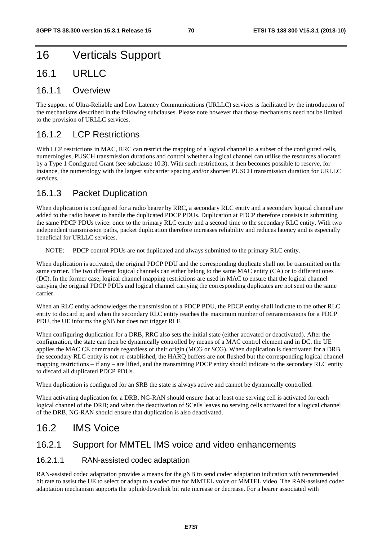# 16 Verticals Support

## 16.1 URLLC

### 16.1.1 Overview

The support of Ultra-Reliable and Low Latency Communications (URLLC) services is facilitated by the introduction of the mechanisms described in the following subclauses. Please note however that those mechanisms need not be limited to the provision of URLLC services.

## 16.1.2 LCP Restrictions

With LCP restrictions in MAC, RRC can restrict the mapping of a logical channel to a subset of the configured cells, numerologies, PUSCH transmission durations and control whether a logical channel can utilise the resources allocated by a Type 1 Configured Grant (see subclause 10.3). With such restrictions, it then becomes possible to reserve, for instance, the numerology with the largest subcarrier spacing and/or shortest PUSCH transmission duration for URLLC services.

## 16.1.3 Packet Duplication

When duplication is configured for a radio bearer by RRC, a secondary RLC entity and a secondary logical channel are added to the radio bearer to handle the duplicated PDCP PDUs. Duplication at PDCP therefore consists in submitting the same PDCP PDUs twice: once to the primary RLC entity and a second time to the secondary RLC entity. With two independent transmission paths, packet duplication therefore increases reliability and reduces latency and is especially beneficial for URLLC services.

NOTE: PDCP control PDUs are not duplicated and always submitted to the primary RLC entity.

When duplication is activated, the original PDCP PDU and the corresponding duplicate shall not be transmitted on the same carrier. The two different logical channels can either belong to the same MAC entity (CA) or to different ones (DC). In the former case, logical channel mapping restrictions are used in MAC to ensure that the logical channel carrying the original PDCP PDUs and logical channel carrying the corresponding duplicates are not sent on the same carrier.

When an RLC entity acknowledges the transmission of a PDCP PDU, the PDCP entity shall indicate to the other RLC entity to discard it; and when the secondary RLC entity reaches the maximum number of retransmissions for a PDCP PDU, the UE informs the gNB but does not trigger RLF.

When configuring duplication for a DRB, RRC also sets the initial state (either activated or deactivated). After the configuration, the state can then be dynamically controlled by means of a MAC control element and in DC, the UE applies the MAC CE commands regardless of their origin (MCG or SCG). When duplication is deactivated for a DRB, the secondary RLC entity is not re-established, the HARQ buffers are not flushed but the corresponding logical channel mapping restrictions – if any – are lifted, and the transmitting PDCP entity should indicate to the secondary RLC entity to discard all duplicated PDCP PDUs.

When duplication is configured for an SRB the state is always active and cannot be dynamically controlled.

When activating duplication for a DRB, NG-RAN should ensure that at least one serving cell is activated for each logical channel of the DRB; and when the deactivation of SCells leaves no serving cells activated for a logical channel of the DRB, NG-RAN should ensure that duplication is also deactivated.

# 16.2 IMS Voice

### 16.2.1 Support for MMTEL IMS voice and video enhancements

### 16.2.1.1 RAN-assisted codec adaptation

RAN-assisted codec adaptation provides a means for the gNB to send codec adaptation indication with recommended bit rate to assist the UE to select or adapt to a codec rate for MMTEL voice or MMTEL video. The RAN-assisted codec adaptation mechanism supports the uplink/downlink bit rate increase or decrease. For a bearer associated with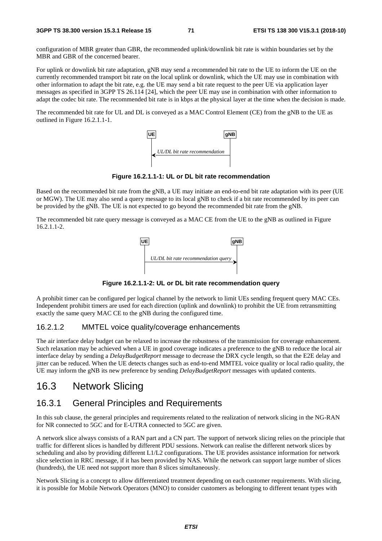configuration of MBR greater than GBR, the recommended uplink/downlink bit rate is within boundaries set by the MBR and GBR of the concerned bearer.

For uplink or downlink bit rate adaptation, gNB may send a recommended bit rate to the UE to inform the UE on the currently recommended transport bit rate on the local uplink or downlink, which the UE may use in combination with other information to adapt the bit rate, e.g. the UE may send a bit rate request to the peer UE via application layer messages as specified in 3GPP TS 26.114 [24], which the peer UE may use in combination with other information to adapt the codec bit rate. The recommended bit rate is in kbps at the physical layer at the time when the decision is made.

The recommended bit rate for UL and DL is conveyed as a MAC Control Element (CE) from the gNB to the UE as outlined in Figure 16.2.1.1-1.



**Figure 16.2.1.1-1: UL or DL bit rate recommendation** 

Based on the recommended bit rate from the gNB, a UE may initiate an end-to-end bit rate adaptation with its peer (UE or MGW). The UE may also send a query message to its local gNB to check if a bit rate recommended by its peer can be provided by the gNB. The UE is not expected to go beyond the recommended bit rate from the gNB.

The recommended bit rate query message is conveyed as a MAC CE from the UE to the gNB as outlined in Figure 16.2.1.1-2.



**Figure 16.2.1.1-2: UL or DL bit rate recommendation query** 

A prohibit timer can be configured per logical channel by the network to limit UEs sending frequent query MAC CEs. Independent prohibit timers are used for each direction (uplink and downlink) to prohibit the UE from retransmitting exactly the same query MAC CE to the gNB during the configured time.

### 16.2.1.2 MMTEL voice quality/coverage enhancements

The air interface delay budget can be relaxed to increase the robustness of the transmission for coverage enhancement. Such relaxation may be achieved when a UE in good coverage indicates a preference to the gNB to reduce the local air interface delay by sending a *DelayBudgetReport* message to decrease the DRX cycle length, so that the E2E delay and jitter can be reduced. When the UE detects changes such as end-to-end MMTEL voice quality or local radio quality, the UE may inform the gNB its new preference by sending *DelayBudgetReport* messages with updated contents.

# 16.3 Network Slicing

### 16.3.1 General Principles and Requirements

In this sub clause, the general principles and requirements related to the realization of network slicing in the NG-RAN for NR connected to 5GC and for E-UTRA connected to 5GC are given.

A network slice always consists of a RAN part and a CN part. The support of network slicing relies on the principle that traffic for different slices is handled by different PDU sessions. Network can realise the different network slices by scheduling and also by providing different L1/L2 configurations. The UE provides assistance information for network slice selection in RRC message, if it has been provided by NAS. While the network can support large number of slices (hundreds), the UE need not support more than 8 slices simultaneously.

Network Slicing is a concept to allow differentiated treatment depending on each customer requirements. With slicing, it is possible for Mobile Network Operators (MNO) to consider customers as belonging to different tenant types with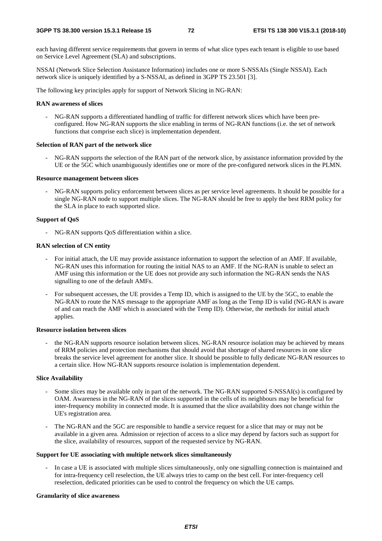each having different service requirements that govern in terms of what slice types each tenant is eligible to use based on Service Level Agreement (SLA) and subscriptions.

NSSAI (Network Slice Selection Assistance Information) includes one or more S-NSSAIs (Single NSSAI). Each network slice is uniquely identified by a S-NSSAI, as defined in 3GPP TS 23.501 [3].

The following key principles apply for support of Network Slicing in NG-RAN:

#### **RAN awareness of slices**

- NG-RAN supports a differentiated handling of traffic for different network slices which have been preconfigured. How NG-RAN supports the slice enabling in terms of NG-RAN functions (i.e. the set of network functions that comprise each slice) is implementation dependent.

#### **Selection of RAN part of the network slice**

NG-RAN supports the selection of the RAN part of the network slice, by assistance information provided by the UE or the 5GC which unambiguously identifies one or more of the pre-configured network slices in the PLMN.

### **Resource management between slices**

NG-RAN supports policy enforcement between slices as per service level agreements. It should be possible for a single NG-RAN node to support multiple slices. The NG-RAN should be free to apply the best RRM policy for the SLA in place to each supported slice.

#### **Support of QoS**

- NG-RAN supports QoS differentiation within a slice.

#### **RAN selection of CN entity**

- For initial attach, the UE may provide assistance information to support the selection of an AMF. If available, NG-RAN uses this information for routing the initial NAS to an AMF. If the NG-RAN is unable to select an AMF using this information or the UE does not provide any such information the NG-RAN sends the NAS signalling to one of the default AMFs.
- For subsequent accesses, the UE provides a Temp ID, which is assigned to the UE by the 5GC, to enable the NG-RAN to route the NAS message to the appropriate AMF as long as the Temp ID is valid (NG-RAN is aware of and can reach the AMF which is associated with the Temp ID). Otherwise, the methods for initial attach applies.

#### **Resource isolation between slices**

the NG-RAN supports resource isolation between slices. NG-RAN resource isolation may be achieved by means of RRM policies and protection mechanisms that should avoid that shortage of shared resources in one slice breaks the service level agreement for another slice. It should be possible to fully dedicate NG-RAN resources to a certain slice. How NG-RAN supports resource isolation is implementation dependent.

#### **Slice Availability**

- Some slices may be available only in part of the network. The NG-RAN supported S-NSSAI(s) is configured by OAM. Awareness in the NG-RAN of the slices supported in the cells of its neighbours may be beneficial for inter-frequency mobility in connected mode. It is assumed that the slice availability does not change within the UE's registration area.
- The NG-RAN and the 5GC are responsible to handle a service request for a slice that may or may not be available in a given area. Admission or rejection of access to a slice may depend by factors such as support for the slice, availability of resources, support of the requested service by NG-RAN.

#### **Support for UE associating with multiple network slices simultaneously**

In case a UE is associated with multiple slices simultaneously, only one signalling connection is maintained and for intra-frequency cell reselection, the UE always tries to camp on the best cell. For inter-frequency cell reselection, dedicated priorities can be used to control the frequency on which the UE camps.

### **Granularity of slice awareness**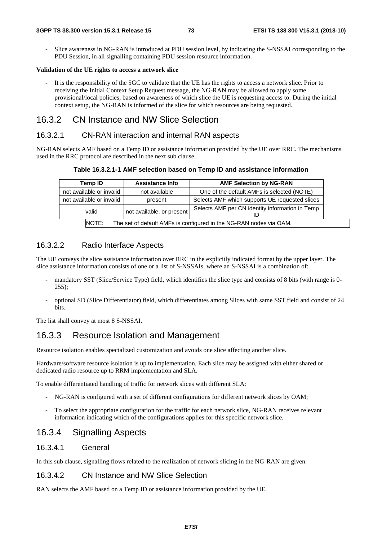- Slice awareness in NG-RAN is introduced at PDU session level, by indicating the S-NSSAI corresponding to the PDU Session, in all signalling containing PDU session resource information.

### **Validation of the UE rights to access a network slice**

It is the responsibility of the 5GC to validate that the UE has the rights to access a network slice. Prior to receiving the Initial Context Setup Request message, the NG-RAN may be allowed to apply some provisional/local policies, based on awareness of which slice the UE is requesting access to. During the initial context setup, the NG-RAN is informed of the slice for which resources are being requested.

## 16.3.2 CN Instance and NW Slice Selection

### 16.3.2.1 CN-RAN interaction and internal RAN aspects

NG-RAN selects AMF based on a Temp ID or assistance information provided by the UE over RRC. The mechanisms used in the RRC protocol are described in the next sub clause.

**Table 16.3.2.1-1 AMF selection based on Temp ID and assistance information** 

| Temp ID                  | <b>Assistance Info</b>                                             | <b>AMF Selection by NG-RAN</b>                  |  |  |  |  |  |
|--------------------------|--------------------------------------------------------------------|-------------------------------------------------|--|--|--|--|--|
| not available or invalid | not available                                                      | One of the default AMFs is selected (NOTE)      |  |  |  |  |  |
| not available or invalid | present                                                            | Selects AMF which supports UE requested slices  |  |  |  |  |  |
| valid                    | not available, or present                                          | Selects AMF per CN identity information in Temp |  |  |  |  |  |
| NOTE:                    | The set of default AMFs is configured in the NG-RAN nodes via OAM. |                                                 |  |  |  |  |  |

### 16.3.2.2 Radio Interface Aspects

The UE conveys the slice assistance information over RRC in the explicitly indicated format by the upper layer. The slice assistance information consists of one or a list of S-NSSAIs, where an S-NSSAI is a combination of:

- mandatory SST (Slice/Service Type) field, which identifies the slice type and consists of 8 bits (with range is 0-255);
- optional SD (Slice Differentiator) field, which differentiates among Slices with same SST field and consist of 24 **bits**.

The list shall convey at most 8 S-NSSAI.

## 16.3.3 Resource Isolation and Management

Resource isolation enables specialized customization and avoids one slice affecting another slice.

Hardware/software resource isolation is up to implementation. Each slice may be assigned with either shared or dedicated radio resource up to RRM implementation and SLA.

To enable differentiated handling of traffic for network slices with different SLA:

- NG-RAN is configured with a set of different configurations for different network slices by OAM;
- To select the appropriate configuration for the traffic for each network slice, NG-RAN receives relevant information indicating which of the configurations applies for this specific network slice.

## 16.3.4 Signalling Aspects

### 16.3.4.1 General

In this sub clause, signalling flows related to the realization of network slicing in the NG-RAN are given.

### 16.3.4.2 CN Instance and NW Slice Selection

RAN selects the AMF based on a Temp ID or assistance information provided by the UE.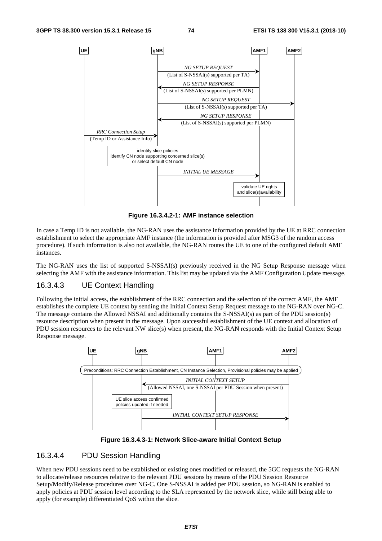

**Figure 16.3.4.2-1: AMF instance selection**

In case a Temp ID is not available, the NG-RAN uses the assistance information provided by the UE at RRC connection establishment to select the appropriate AMF instance (the information is provided after MSG3 of the random access procedure). If such information is also not available, the NG-RAN routes the UE to one of the configured default AMF instances.

The NG-RAN uses the list of supported S-NSSAI(s) previously received in the NG Setup Response message when selecting the AMF with the assistance information. This list may be updated via the AMF Configuration Update message.

### 16.3.4.3 UE Context Handling

Following the initial access, the establishment of the RRC connection and the selection of the correct AMF, the AMF establishes the complete UE context by sending the Initial Context Setup Request message to the NG-RAN over NG-C. The message contains the Allowed NSSAI and additionally contains the S-NSSAI(s) as part of the PDU session(s) resource description when present in the message. Upon successful establishment of the UE context and allocation of PDU session resources to the relevant NW slice(s) when present, the NG-RAN responds with the Initial Context Setup Response message.



**Figure 16.3.4.3-1: Network Slice-aware Initial Context Setup**

### 16.3.4.4 PDU Session Handling

When new PDU sessions need to be established or existing ones modified or released, the 5GC requests the NG-RAN to allocate/release resources relative to the relevant PDU sessions by means of the PDU Session Resource Setup/Modify/Release procedures over NG-C. One S-NSSAI is added per PDU session, so NG-RAN is enabled to apply policies at PDU session level according to the SLA represented by the network slice, while still being able to apply (for example) differentiated QoS within the slice.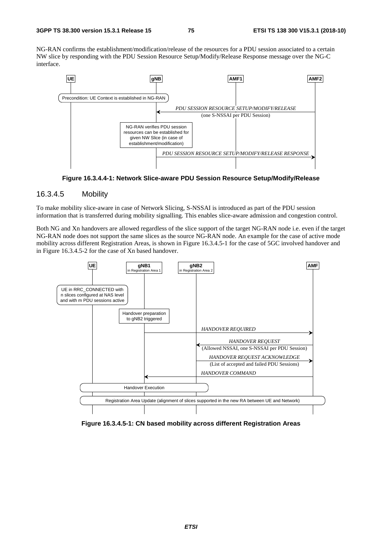NG-RAN confirms the establishment/modification/release of the resources for a PDU session associated to a certain NW slice by responding with the PDU Session Resource Setup/Modify/Release Response message over the NG-C interface.





### 16.3.4.5 Mobility

To make mobility slice-aware in case of Network Slicing, S-NSSAI is introduced as part of the PDU session information that is transferred during mobility signalling. This enables slice-aware admission and congestion control.

Both NG and Xn handovers are allowed regardless of the slice support of the target NG-RAN node i.e. even if the target NG-RAN node does not support the same slices as the source NG-RAN node. An example for the case of active mode mobility across different Registration Areas, is shown in Figure 16.3.4.5-1 for the case of 5GC involved handover and in Figure 16.3.4.5-2 for the case of Xn based handover.



**Figure 16.3.4.5-1: CN based mobility across different Registration Areas**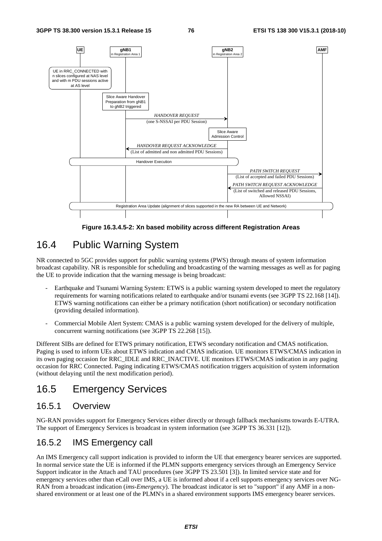

**Figure 16.3.4.5-2: Xn based mobility across different Registration Areas** 

## 16.4 Public Warning System

NR connected to 5GC provides support for public warning systems (PWS) through means of system information broadcast capability. NR is responsible for scheduling and broadcasting of the warning messages as well as for paging the UE to provide indication that the warning message is being broadcast:

- Earthquake and Tsunami Warning System: ETWS is a public warning system developed to meet the regulatory requirements for warning notifications related to earthquake and/or tsunami events (see 3GPP TS 22.168 [14]). ETWS warning notifications can either be a primary notification (short notification) or secondary notification (providing detailed information).
- Commercial Mobile Alert System: CMAS is a public warning system developed for the delivery of multiple, concurrent warning notifications (see 3GPP TS 22.268 [15]).

Different SIBs are defined for ETWS primary notification, ETWS secondary notification and CMAS notification. Paging is used to inform UEs about ETWS indication and CMAS indication. UE monitors ETWS/CMAS indication in its own paging occasion for RRC\_IDLE and RRC\_INACTIVE. UE monitors ETWS/CMAS indication in any paging occasion for RRC Connected. Paging indicating ETWS/CMAS notification triggers acquisition of system information (without delaying until the next modification period).

## 16.5 Emergency Services

## 16.5.1 Overview

NG-RAN provides support for Emergency Services either directly or through fallback mechanisms towards E-UTRA. The support of Emergency Services is broadcast in system information (see 3GPP TS 36.331 [12]).

## 16.5.2 IMS Emergency call

An IMS Emergency call support indication is provided to inform the UE that emergency bearer services are supported. In normal service state the UE is informed if the PLMN supports emergency services through an Emergency Service Support indicator in the Attach and TAU procedures (see 3GPP TS 23.501 [3]). In limited service state and for emergency services other than eCall over IMS, a UE is informed about if a cell supports emergency services over NG-RAN from a broadcast indication (*ims-Emergency*). The broadcast indicator is set to "support" if any AMF in a nonshared environment or at least one of the PLMN's in a shared environment supports IMS emergency bearer services.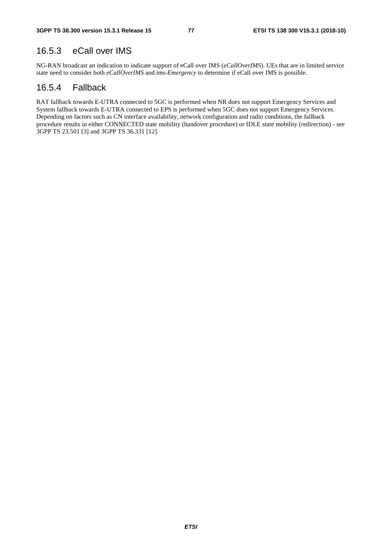## 16.5.3 eCall over IMS

NG-RAN broadcast an indication to indicate support of eCall over IMS (*eCallOverIMS*). UEs that are in limited service state need to consider both *eCallOverIMS* and *ims-Emergency* to determine if eCall over IMS is possible.

## 16.5.4 Fallback

RAT fallback towards E-UTRA connected to 5GC is performed when NR does not support Emergency Services and System fallback towards E-UTRA connected to EPS is performed when 5GC does not support Emergency Services. Depending on factors such as CN interface availability, network configuration and radio conditions, the fallback procedure results in either CONNECTED state mobility (handover procedure) or IDLE state mobility (redirection) - see 3GPP TS 23.501 [3] and 3GPP TS 36.331 [12].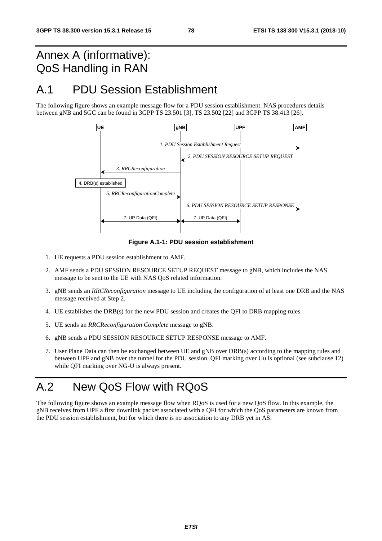# Annex A (informative): QoS Handling in RAN

## A.1 PDU Session Establishment

The following figure shows an example message flow for a PDU session establishment. NAS procedures details between gNB and 5GC can be found in 3GPP TS 23.501 [3], TS 23.502 [22] and 3GPP TS 38.413 [26].



**Figure A.1-1: PDU session establishment** 

- 1. UE requests a PDU session establishment to AMF.
- 2. AMF sends a PDU SESSION RESOURCE SETUP REQUEST message to gNB, which includes the NAS message to be sent to the UE with NAS QoS related information.
- 3. gNB sends an *RRCReconfiguration* message to UE including the configuration of at least one DRB and the NAS message received at Step 2.
- 4. UE establishes the DRB(s) for the new PDU session and creates the QFI to DRB mapping rules.
- 5. UE sends an *RRCReconfiguration Complete* message to gNB.
- 6. gNB sends a PDU SESSION RESOURCE SETUP RESPONSE message to AMF.
- 7. User Plane Data can then be exchanged between UE and gNB over DRB(s) according to the mapping rules and between UPF and gNB over the tunnel for the PDU session. QFI marking over Uu is optional (see subclause 12) while QFI marking over NG-U is always present.

# A.2 New QoS Flow with RQoS

The following figure shows an example message flow when RQoS is used for a new QoS flow. In this example, the gNB receives from UPF a first downlink packet associated with a QFI for which the QoS parameters are known from the PDU session establishment, but for which there is no association to any DRB yet in AS.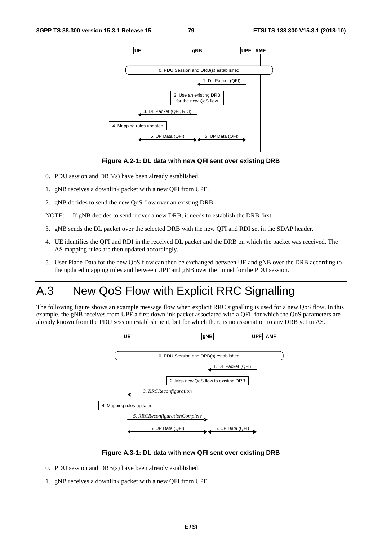



- 0. PDU session and DRB(s) have been already established.
- 1. gNB receives a downlink packet with a new QFI from UPF.
- 2. gNB decides to send the new QoS flow over an existing DRB.

NOTE: If gNB decides to send it over a new DRB, it needs to establish the DRB first.

- 3. gNB sends the DL packet over the selected DRB with the new QFI and RDI set in the SDAP header.
- 4. UE identifies the QFI and RDI in the received DL packet and the DRB on which the packet was received. The AS mapping rules are then updated accordingly.
- 5. User Plane Data for the new QoS flow can then be exchanged between UE and gNB over the DRB according to the updated mapping rules and between UPF and gNB over the tunnel for the PDU session.

# A.3 New QoS Flow with Explicit RRC Signalling

The following figure shows an example message flow when explicit RRC signalling is used for a new QoS flow. In this example, the gNB receives from UPF a first downlink packet associated with a QFI, for which the QoS parameters are already known from the PDU session establishment, but for which there is no association to any DRB yet in AS.



**Figure A.3-1: DL data with new QFI sent over existing DRB** 

- 0. PDU session and DRB(s) have been already established.
- 1. gNB receives a downlink packet with a new QFI from UPF.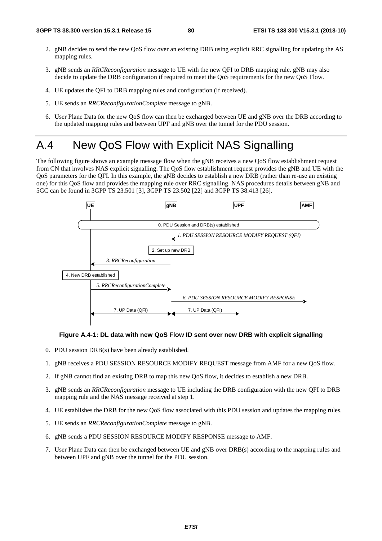- 2. gNB decides to send the new QoS flow over an existing DRB using explicit RRC signalling for updating the AS mapping rules.
- 3. gNB sends an *RRCReconfiguration* message to UE with the new QFI to DRB mapping rule. gNB may also decide to update the DRB configuration if required to meet the QoS requirements for the new QoS Flow.
- 4. UE updates the QFI to DRB mapping rules and configuration (if received).
- 5. UE sends an *RRCReconfigurationComplete* message to gNB.
- 6. User Plane Data for the new QoS flow can then be exchanged between UE and gNB over the DRB according to the updated mapping rules and between UPF and gNB over the tunnel for the PDU session.

## A.4 New QoS Flow with Explicit NAS Signalling

The following figure shows an example message flow when the gNB receives a new QoS flow establishment request from CN that involves NAS explicit signalling. The QoS flow establishment request provides the gNB and UE with the QoS parameters for the QFI. In this example, the gNB decides to establish a new DRB (rather than re-use an existing one) for this QoS flow and provides the mapping rule over RRC signalling. NAS procedures details between gNB and 5GC can be found in 3GPP TS 23.501 [3], 3GPP TS 23.502 [22] and 3GPP TS 38.413 [26].



### **Figure A.4-1: DL data with new QoS Flow ID sent over new DRB with explicit signalling**

- 0. PDU session DRB(s) have been already established.
- 1. gNB receives a PDU SESSION RESOURCE MODIFY REQUEST message from AMF for a new QoS flow.
- 2. If gNB cannot find an existing DRB to map this new QoS flow, it decides to establish a new DRB.
- 3. gNB sends an *RRCReconfiguration* message to UE including the DRB configuration with the new QFI to DRB mapping rule and the NAS message received at step 1.
- 4. UE establishes the DRB for the new QoS flow associated with this PDU session and updates the mapping rules.
- 5. UE sends an *RRCReconfigurationComplete* message to gNB.
- 6. gNB sends a PDU SESSION RESOURCE MODIFY RESPONSE message to AMF.
- 7. User Plane Data can then be exchanged between UE and gNB over DRB(s) according to the mapping rules and between UPF and gNB over the tunnel for the PDU session.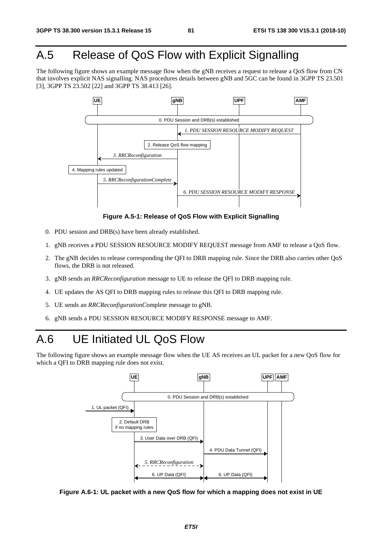# A.5 Release of QoS Flow with Explicit Signalling

The following figure shows an example message flow when the gNB receives a request to release a QoS flow from CN that involves explicit NAS signalling. NAS procedures details between gNB and 5GC can be found in 3GPP TS 23.501 [3], 3GPP TS 23.502 [22] and 3GPP TS 38.413 [26].



**Figure A.5-1: Release of QoS Flow with Explicit Signalling** 

- 0. PDU session and DRB(s) have been already established.
- 1. gNB receives a PDU SESSION RESOURCE MODIFY REQUEST message from AMF to release a QoS flow.
- 2. The gNB decides to release corresponding the QFI to DRB mapping rule. Since the DRB also carries other QoS flows, the DRB is not released.
- 3. gNB sends an *RRCReconfiguration* message to UE to release the QFI to DRB mapping rule.
- 4. UE updates the AS QFI to DRB mapping rules to release this QFI to DRB mapping rule.
- 5. UE sends an *RRCReconfigurationC*omplete message to gNB.
- 6. gNB sends a PDU SESSION RESOURCE MODIFY RESPONSE message to AMF.

# A.6 UE Initiated UL QoS Flow

The following figure shows an example message flow when the UE AS receives an UL packet for a new QoS flow for which a QFI to DRB mapping rule does not exist.



**Figure A.6-1: UL packet with a new QoS flow for which a mapping does not exist in UE**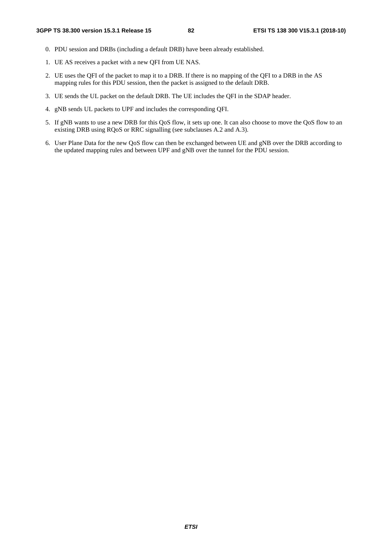- 0. PDU session and DRBs (including a default DRB) have been already established.
- 1. UE AS receives a packet with a new QFI from UE NAS.
- 2. UE uses the QFI of the packet to map it to a DRB. If there is no mapping of the QFI to a DRB in the AS mapping rules for this PDU session, then the packet is assigned to the default DRB.
- 3. UE sends the UL packet on the default DRB. The UE includes the QFI in the SDAP header.
- 4. gNB sends UL packets to UPF and includes the corresponding QFI.
- 5. If gNB wants to use a new DRB for this QoS flow, it sets up one. It can also choose to move the QoS flow to an existing DRB using RQoS or RRC signalling (see subclauses A.2 and A.3).
- 6. User Plane Data for the new QoS flow can then be exchanged between UE and gNB over the DRB according to the updated mapping rules and between UPF and gNB over the tunnel for the PDU session.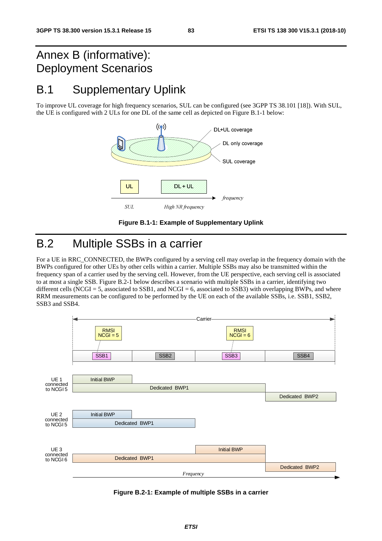# Annex B (informative): Deployment Scenarios

# B.1 Supplementary Uplink

To improve UL coverage for high frequency scenarios, SUL can be configured (see 3GPP TS 38.101 [18]). With SUL, the UE is configured with 2 ULs for one DL of the same cell as depicted on Figure B.1-1 below:





# B.2 Multiple SSBs in a carrier

For a UE in RRC\_CONNECTED, the BWPs configured by a serving cell may overlap in the frequency domain with the BWPs configured for other UEs by other cells within a carrier. Multiple SSBs may also be transmitted within the frequency span of a carrier used by the serving cell. However, from the UE perspective, each serving cell is associated to at most a single SSB. Figure B.2-1 below describes a scenario with multiple SSBs in a carrier, identifying two different cells (NCGI = 5, associated to SSB1, and NCGI = 6, associated to SSB3) with overlapping BWPs, and where RRM measurements can be configured to be performed by the UE on each of the available SSBs, i.e. SSB1, SSB2, SSB3 and SSB4.



**Figure B.2-1: Example of multiple SSBs in a carrier**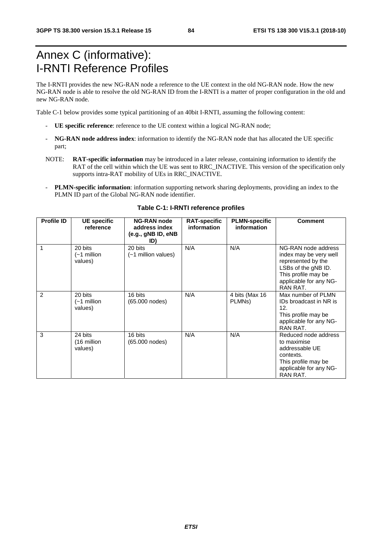# Annex C (informative): I-RNTI Reference Profiles

The I-RNTI provides the new NG-RAN node a reference to the UE context in the old NG-RAN node. How the new NG-RAN node is able to resolve the old NG-RAN ID from the I-RNTI is a matter of proper configuration in the old and new NG-RAN node.

Table C-1 below provides some typical partitioning of an 40bit I-RNTI, assuming the following content:

- **UE specific reference**: reference to the UE context within a logical NG-RAN node;
- **NG-RAN node address index**: information to identify the NG-RAN node that has allocated the UE specific part;
- NOTE: **RAT-specific information** may be introduced in a later release, containing information to identify the RAT of the cell within which the UE was sent to RRC\_INACTIVE. This version of the specification only supports intra-RAT mobility of UEs in RRC\_INACTIVE.
- **PLMN-specific information**: information supporting network sharing deployments, providing an index to the PLMN ID part of the Global NG-RAN node identifier.

| <b>Profile ID</b> | <b>UE</b> specific                | <b>NG-RAN node</b>                         | <b>RAT-specific</b> | <b>PLMN-specific</b>                  | <b>Comment</b>                                                                                                                                          |
|-------------------|-----------------------------------|--------------------------------------------|---------------------|---------------------------------------|---------------------------------------------------------------------------------------------------------------------------------------------------------|
|                   | reference                         | address index<br>(e.g., gNB ID, eNB<br>ID) | information         | information                           |                                                                                                                                                         |
| 1                 | 20 bits<br>(∼1 million<br>values) | 20 bits<br>(~1 million values)             | N/A                 | N/A                                   | NG-RAN node address<br>index may be very well<br>represented by the<br>LSBs of the gNB ID.<br>This profile may be<br>applicable for any NG-<br>RAN RAT. |
| 2                 | 20 bits<br>(~1 million<br>values) | 16 bits<br>(65.000 nodes)                  | N/A                 | 4 bits (Max 16<br>PLMN <sub>s</sub> ) | Max number of PLMN<br>IDs broadcast in NR is<br>12.<br>This profile may be<br>applicable for any NG-<br>RAN RAT.                                        |
| 3                 | 24 bits<br>(16 million<br>values) | 16 bits<br>(65.000 nodes)                  | N/A                 | N/A                                   | Reduced node address<br>to maximise<br>addressable UE<br>contexts.<br>This profile may be<br>applicable for any NG-<br>RAN RAT.                         |

### **Table C-1: I-RNTI reference profiles**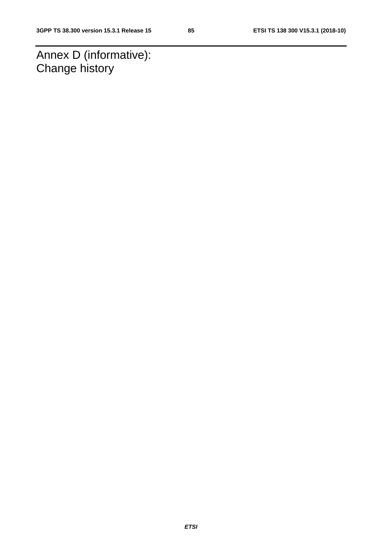Annex D (informative): Change history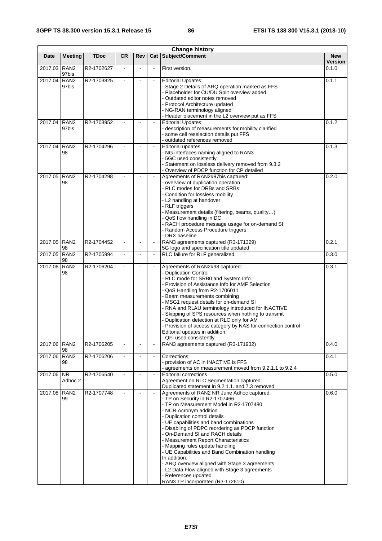| <b>Change history</b> |                           |             |                |                |                |                                                                                                                                                                                                                                                                                                                                                                                                                                                                                                                                                                                                                             |                       |
|-----------------------|---------------------------|-------------|----------------|----------------|----------------|-----------------------------------------------------------------------------------------------------------------------------------------------------------------------------------------------------------------------------------------------------------------------------------------------------------------------------------------------------------------------------------------------------------------------------------------------------------------------------------------------------------------------------------------------------------------------------------------------------------------------------|-----------------------|
| Date                  | <b>Meeting</b>            | <b>TDoc</b> | <b>CR</b>      | Rev            | Cat            | Subject/Comment                                                                                                                                                                                                                                                                                                                                                                                                                                                                                                                                                                                                             | <b>New</b><br>Version |
| 2017.03               | RAN <sub>2</sub><br>97bis | R2-1702627  |                |                |                | First version.                                                                                                                                                                                                                                                                                                                                                                                                                                                                                                                                                                                                              | 0.1.0                 |
| 2017.04               | RAN <sub>2</sub><br>97bis | R2-1703825  |                | $\blacksquare$ | $\blacksquare$ | <b>Editorial Updates:</b><br>- Stage 2 Details of ARQ operation marked as FFS<br>Placeholder for CU/DU Split overview added<br>Outdated editor notes removed<br>- Protocol Architecture updated<br>- NG-RAN terminology aligned<br>- Header placement in the L2 overview put as FFS                                                                                                                                                                                                                                                                                                                                         | 0.1.1                 |
| 2017.04               | RAN <sub>2</sub><br>97bis | R2-1703952  |                |                |                | <b>Editorial Updates:</b><br>- description of measurements for mobility clarified<br>- some cell reselection details put FFS<br>outdated references removed                                                                                                                                                                                                                                                                                                                                                                                                                                                                 | 0.1.2                 |
| 2017.04               | RAN <sub>2</sub><br>98    | R2-1704296  |                |                |                | Editorial updates:<br>- NG interfaces naming aligned to RAN3<br>- 5GC used consistently<br>Statement on lossless delivery removed from 9.3.2<br>- Overview of PDCP function for CP detailed                                                                                                                                                                                                                                                                                                                                                                                                                                 | 0.1.3                 |
| 2017.05               | RAN <sub>2</sub><br>98    | R2-1704298  |                |                |                | Agreements of RAN2#97bis captured:<br>- overview of duplication operation<br>- RLC modes for DRBs and SRBs<br>Condition for lossless mobility<br>- L2 handling at handover<br>- RLF triggers<br>- Measurement details (filtering, beams, quality)<br>- QoS flow handling in DC<br>RACH procedure message usage for on-demand SI<br>- Random Access Procedure triggers<br>- DRX baseline                                                                                                                                                                                                                                     | 0.2.0                 |
| 2017.05 RAN2          | 98                        | R2-1704452  |                |                | $\blacksquare$ | RAN3 agreements captured (R3-171329)<br>5G logo and specification title updated                                                                                                                                                                                                                                                                                                                                                                                                                                                                                                                                             | 0.2.1                 |
| 2017.05               | RAN <sub>2</sub><br>98    | R2-1705994  |                |                | $\blacksquare$ | RLC failure for RLF generalized.                                                                                                                                                                                                                                                                                                                                                                                                                                                                                                                                                                                            | 0.3.0                 |
| 2017.06               | RAN <sub>2</sub><br>98    | R2-1706204  |                |                | $\blacksquare$ | Agreements of RAN2#98 captured:<br>- Duplication Control<br>- RLC mode for SRB0 and System Info<br>Provision of Assistance Info for AMF Selection<br>- QoS Handling from R2-1706011<br>Beam measurements combining<br>MSG1 request details for on-demand SI<br>RNA and RLAU terminology introduced for INACTIVE<br>Skipping of SPS resources when nothing to transmit<br>Duplication detection at RLC only for AM<br>- Provision of access category by NAS for connection control<br>Editorial updates in addition:<br>- QFI used consistently                                                                              | 0.3.1                 |
| 2017.06               | RAN <sub>2</sub><br>98    | R2-1706205  |                |                | $\blacksquare$ | RAN3 agreements captured (R3-171932)                                                                                                                                                                                                                                                                                                                                                                                                                                                                                                                                                                                        | 0.4.0                 |
| 2017.06               | RAN <sub>2</sub><br>98    | R2-1706206  | $\blacksquare$ | $\blacksquare$ | $\blacksquare$ | Corrections:<br>- provision of AC in INACTIVE is FFS<br>agreements on measurement moved from 9.2.1.1 to 9.2.4                                                                                                                                                                                                                                                                                                                                                                                                                                                                                                               | 0.4.1                 |
| 2017.06 NR            | Adhoc 2                   | R2-1706540  |                | $\blacksquare$ | $\blacksquare$ | <b>Editorial corrections</b><br>Agreement on RLC Segmentation captured<br>Duplicated statement in 9.2.1.1. and 7.3 removed                                                                                                                                                                                                                                                                                                                                                                                                                                                                                                  | 0.5.0                 |
| 2017.08 RAN2          | 99                        | R2-1707748  |                |                |                | Agreements of RAN2 NR June Adhoc captured:<br>- TP on Security in R2-1707466<br>- TP on Measurement Model in R2-1707480<br>- NCR Acronym addition<br>Duplication control details<br>- UE capabilities and band combinations<br>Disabling of PDPC reordering as PDCP function<br>On-Demand SI and RACH details<br>- Measurement Report Characteristics<br>- Mapping rules update handling<br>- UE Capabilities and Band Combination handling<br>In addition:<br>- ARQ overview aligned with Stage 3 agreements<br>- L2 Data Flow aligned with Stage 3 agreements<br>- References updated<br>RAN3 TP incorporated (R3-172610) | 0.6.0                 |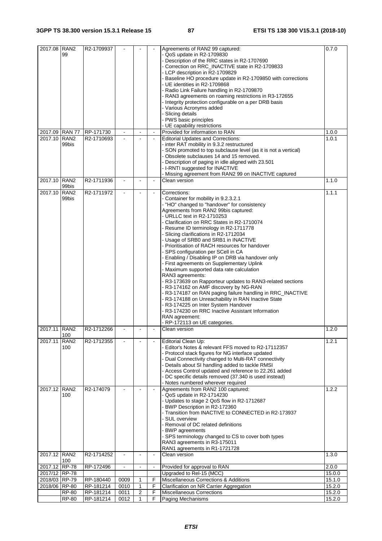| 2017.08 RAN2   |                  | R2-1709937 |                |                         |                          | Agreements of RAN2 99 captured:                                 | 0.7.0  |
|----------------|------------------|------------|----------------|-------------------------|--------------------------|-----------------------------------------------------------------|--------|
|                | 99               |            |                |                         |                          | - QoS update in R2-1709830                                      |        |
|                |                  |            |                |                         |                          | - Description of the RRC states in R2-1707690                   |        |
|                |                  |            |                |                         |                          | - Correction on RRC_INACTIVE state in R2-1709833                |        |
|                |                  |            |                |                         |                          | - LCP description in R2-1709829                                 |        |
|                |                  |            |                |                         |                          | - Baseline HO procedure update in R2-1709850 with corrections   |        |
|                |                  |            |                |                         |                          | - UE identities in R2-1709868                                   |        |
|                |                  |            |                |                         |                          | - Radio Link Failure handling in R2-1709870                     |        |
|                |                  |            |                |                         |                          | - RAN3 agreements on roaming restrictions in R3-172655          |        |
|                |                  |            |                |                         |                          | - Integrity protection configurable on a per DRB basis          |        |
|                |                  |            |                |                         |                          | - Various Acronyms added                                        |        |
|                |                  |            |                |                         |                          | - Slicing details                                               |        |
|                |                  |            |                |                         |                          | - PWS basic principles                                          |        |
|                |                  |            |                |                         |                          | - UE capability restrictions                                    |        |
| 2017.09 RAN 77 |                  | RP-171730  |                |                         |                          | Provided for information to RAN                                 | 1.0.0  |
| 2017.10        | RAN <sub>2</sub> | R2-1710693 |                |                         | $\mathbf{r}$             | <b>Editorial Updates and Corrections:</b>                       | 1.0.1  |
|                | 99bis            |            |                |                         |                          | - inter RAT mobility in 9.3.2 restructured                      |        |
|                |                  |            |                |                         |                          | - SON promoted to top subclause level (as it is not a vertical) |        |
|                |                  |            |                |                         |                          | - Obsolete subclauses 14 and 15 removed.                        |        |
|                |                  |            |                |                         |                          | - Description of paging in idle aligned with 23.501             |        |
|                |                  |            |                |                         |                          | - I-RNTI suggested for INACTIVE                                 |        |
|                |                  |            |                |                         |                          | - Missing agreement from RAN2 99 on INACTIVE captured           |        |
| 2017.10 RAN2   |                  | R2-1711936 |                |                         | $\overline{\phantom{a}}$ | Clean version                                                   | 1.1.0  |
|                | 99bis            |            |                |                         |                          |                                                                 |        |
| 2017.10        | RAN <sub>2</sub> | R2-1711972 | $\mathbf{r}$   |                         | $\blacksquare$           | Corrections:                                                    | 1.1.1  |
|                | 99bis            |            |                |                         |                          | - Container for mobility in 9.2.3.2.1                           |        |
|                |                  |            |                |                         |                          | - "HO" changed to "handover" for consistency                    |        |
|                |                  |            |                |                         |                          | Agreements from RAN2 99bis captured:                            |        |
|                |                  |            |                |                         |                          | - URLLC text in R2-1710253                                      |        |
|                |                  |            |                |                         |                          | - Clarification on RRC States in R2-1710074                     |        |
|                |                  |            |                |                         |                          | - Resume ID terminology in R2-1711778                           |        |
|                |                  |            |                |                         |                          | - Slicing clarifications in R2-1712034                          |        |
|                |                  |            |                |                         |                          | - Usage of SRB0 and SRB1 in INACTIVE                            |        |
|                |                  |            |                |                         |                          | - Prioritisation of RACH resources for handover                 |        |
|                |                  |            |                |                         |                          | - SPS configuration per SCell in CA                             |        |
|                |                  |            |                |                         |                          | - Enabling / Disabling IP on DRB via handover only              |        |
|                |                  |            |                |                         |                          | - First agreements on Supplementary Uplink                      |        |
|                |                  |            |                |                         |                          | - Maximum supported data rate calculation                       |        |
|                |                  |            |                |                         |                          | RAN3 agreements:                                                |        |
|                |                  |            |                |                         |                          |                                                                 |        |
|                |                  |            |                |                         |                          | - R3-173639 on Rapporteur updates to RAN3-related sections      |        |
|                |                  |            |                |                         |                          | - R3-174162 on AMF discovery by NG-RAN                          |        |
|                |                  |            |                |                         |                          | - R3-174187 on RAN paging failure handling in RRC INACTIVE      |        |
|                |                  |            |                |                         |                          | - R3-174188 on Unreachability in RAN Inactive State             |        |
|                |                  |            |                |                         |                          | - R3-174225 on Inter System Handover                            |        |
|                |                  |            |                |                         |                          | - R3-174230 on RRC Inactive Assistant Information               |        |
|                |                  |            |                |                         |                          | RAN agreement:                                                  |        |
|                |                  |            |                |                         |                          | - RP-172113 on UE categories.                                   |        |
| 2017.11 RAN2   | 100              | R2-1712266 |                |                         |                          | Clean version                                                   | 1.2.0  |
| 2017.11        | RAN <sub>2</sub> | R2-1712355 |                |                         |                          | Editorial Clean Up:                                             | 1.2.1  |
|                | 100              |            |                |                         |                          | - Editor's Notes & relevant FFS moved to R2-17112357            |        |
|                |                  |            |                |                         |                          | - Protocol stack figures for NG interface updated               |        |
|                |                  |            |                |                         |                          | - Dual Connectivity changed to Multi-RAT connectivity           |        |
|                |                  |            |                |                         |                          | - Details about SI handling added to tackle RMSI                |        |
|                |                  |            |                |                         |                          | - Access Control updated and reference to 22.261 added          |        |
|                |                  |            |                |                         |                          | - DC specific details removed (37.340 is used instead)          |        |
|                |                  |            |                |                         |                          | - Notes numbered wherever required                              |        |
| 2017.12 RAN2   |                  | R2-174079  |                |                         | $\mathbf{r}$             | Agreements from RAN2 100 captured:                              | 1.2.2  |
|                | 100              |            |                |                         |                          | - QoS update in R2-1714230                                      |        |
|                |                  |            |                |                         |                          | - Updates to stage 2 QoS flow in R2-1712687                     |        |
|                |                  |            |                |                         |                          | - BWP Description in R2-172360                                  |        |
|                |                  |            |                |                         |                          | - Transition from INACTIVE to CONNECTED in R2-173937            |        |
|                |                  |            |                |                         |                          | - SUL overview                                                  |        |
|                |                  |            |                |                         |                          |                                                                 |        |
|                |                  |            |                |                         |                          | - Removal of DC related definitions                             |        |
|                |                  |            |                |                         |                          | - BWP agreements                                                |        |
|                |                  |            |                |                         |                          | - SPS terminology changed to CS to cover both types             |        |
|                |                  |            |                |                         |                          | RAN3 agreements in R3-175011                                    |        |
|                |                  |            |                |                         |                          | RAN1 agreements in R1-1721728                                   |        |
| 2017.12 RAN2   |                  | R2-1714252 | $\blacksquare$ | $\overline{a}$          | $\blacksquare$           | Clean version                                                   | 1.3.0  |
| 2017.12 RP-78  | 100              |            |                |                         |                          |                                                                 |        |
|                |                  | RP-172496  |                |                         |                          | Provided for approval to RAN                                    | 2.0.0  |
| 2017/12 RP-78  |                  |            |                |                         |                          | Upgraded to Rel-15 (MCC)                                        | 15.0.0 |
| 2018/03 RP-79  |                  | RP-180440  | 0009           | 1                       | F                        | Miscellaneous Corrections & Additions                           | 15.1.0 |
| 2018/06 RP-80  |                  | RP-181214  | 0010           | $\mathbf{1}$            | F                        | Clarification on NR Carrier Aggregation                         | 15.2.0 |
|                | <b>RP-80</b>     | RP-181214  | 0011           | $\overline{\mathbf{c}}$ | F                        | <b>Miscellaneous Corrections</b>                                | 15.2.0 |
|                | <b>RP-80</b>     | RP-181214  | 0012           | 1                       | F                        | Paging Mechanisms                                               | 15.2.0 |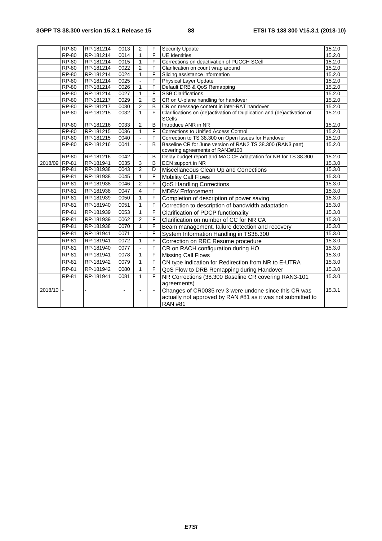|               | <b>RP-80</b> | RP-181214 | 0013 | $\overline{2}$ | F              | <b>Security Update</b>                                                                        | 15.2.0 |
|---------------|--------------|-----------|------|----------------|----------------|-----------------------------------------------------------------------------------------------|--------|
|               | <b>RP-80</b> | RP-181214 | 0014 | $\mathbf{1}$   | F              | <b>UE</b> Identities                                                                          | 15.2.0 |
|               | <b>RP-80</b> | RP-181214 | 0015 | $\mathbf{1}$   | F              | Corrections on deactivation of PUCCH SCell                                                    | 15.2.0 |
|               | <b>RP-80</b> | RP-181214 | 0022 | $\overline{2}$ | F              | Clarification on count wrap around                                                            | 15.2.0 |
|               | <b>RP-80</b> | RP-181214 | 0024 | 1              | F              | Slicing assistance information                                                                | 15.2.0 |
|               | RP-80        | RP-181214 | 0025 |                | F              | Physical Layer Update                                                                         | 15.2.0 |
|               | <b>RP-80</b> | RP-181214 | 0026 | 1              | $\overline{F}$ | Default DRB & QoS Remapping                                                                   | 15.2.0 |
|               | <b>RP-80</b> | RP-181214 | 0027 | $\mathbf{1}$   | F              | <b>SSB Clarifications</b>                                                                     | 15.2.0 |
|               | <b>RP-80</b> | RP-181217 | 0029 | $\overline{2}$ | B              | CR on U-plane handling for handover                                                           | 15.2.0 |
|               | $RP-80$      | RP-181217 | 0030 | $\overline{2}$ | B              | CR on message content in inter-RAT handover                                                   | 15.2.0 |
|               | <b>RP-80</b> | RP-181215 | 0032 | $\mathbf{1}$   | F              | Clarifications on (de)activation of Duplication and (de)activation of<br>SCells               | 15.2.0 |
|               | <b>RP-80</b> | RP-181216 | 0033 | $\overline{2}$ | B              | Introduce ANR in NR                                                                           | 15.2.0 |
|               | <b>RP-80</b> | RP-181215 | 0036 | $\mathbf{1}$   | F              | <b>Corrections to Unified Access Control</b>                                                  | 15.2.0 |
|               | $RP-80$      | RP-181215 | 0040 | $\mathbf{r}$   | F              | Correction to TS 38.300 on Open Issues for Handover                                           | 15.2.0 |
|               | <b>RP-80</b> | RP-181216 | 0041 |                | B              | Baseline CR for June version of RAN2 TS 38.300 (RAN3 part)<br>covering agreements of RAN3#100 | 15.2.0 |
|               | <b>RP-80</b> | RP-181216 | 0042 |                | B              | Delay budget report and MAC CE adaptation for NR for TS 38.300                                | 15.2.0 |
| 2018/09 RP-81 |              | RP-181941 | 0035 | $\overline{3}$ | B              | ECN support in NR                                                                             | 15.3.0 |
|               | RP-81        | RP-181938 | 0043 | $\overline{2}$ | D              | Miscellaneous Clean Up and Corrections                                                        | 15.3.0 |
|               | <b>RP-81</b> | RP-181938 | 0045 | $\mathbf{1}$   | F              | <b>Mobility Call Flows</b>                                                                    | 15.3.0 |
|               | <b>RP-81</b> | RP-181938 | 0046 | $\overline{2}$ | F              | QoS Handling Corrections                                                                      | 15.3.0 |
|               | <b>RP-81</b> | RP-181938 | 0047 | $\overline{4}$ | F              | <b>MDBV Enforcement</b>                                                                       | 15.3.0 |
|               | <b>RP-81</b> | RP-181939 | 0050 | $\mathbf{1}$   | F              | Completion of description of power saving                                                     | 15.3.0 |
|               | <b>RP-81</b> | RP-181940 | 0051 | $\mathbf{1}$   | F              | Correction to description of bandwidth adaptation                                             | 15.3.0 |
|               | <b>RP-81</b> | RP-181939 | 0053 | $\mathbf{1}$   | F              | <b>Clarification of PDCP functionality</b>                                                    | 15.3.0 |
|               | <b>RP-81</b> | RP-181939 | 0062 | $\overline{2}$ | F              | Clarification on number of CC for NR CA                                                       | 15.3.0 |
|               | <b>RP-81</b> | RP-181938 | 0070 | $\mathbf{1}$   | F              | Beam management, failure detection and recovery                                               | 15.3.0 |
|               | RP-81        | RP-181941 | 0071 |                | F              | System Information Handling in TS38.300                                                       | 15.3.0 |
|               | <b>RP-81</b> | RP-181941 | 0072 | $\mathbf{1}$   | F              | Correction on RRC Resume procedure                                                            | 15.3.0 |
|               | <b>RP-81</b> | RP-181940 | 0077 |                | F              | CR on RACH configuration during HO                                                            | 15.3.0 |
|               | <b>RP-81</b> | RP-181941 | 0078 | 1              | F              | <b>Missing Call Flows</b>                                                                     | 15.3.0 |
|               | <b>RP-81</b> | RP-181942 | 0079 | $\mathbf{1}$   | F              | CN type indication for Redirection from NR to E-UTRA                                          | 15.3.0 |
|               | <b>RP-81</b> | RP-181942 | 0080 | $\mathbf{1}$   | F              | QoS Flow to DRB Remapping during Handover                                                     | 15.3.0 |
|               | <b>RP-81</b> | RP-181941 | 0081 | 1              | F              | NR Corrections (38.300 Baseline CR covering RAN3-101<br>agreements)                           | 15.3.0 |
| 2018/10       |              |           |      |                |                | Changes of CR0035 rev 3 were undone since this CR was                                         | 15.3.1 |
|               |              |           |      |                |                | actually not approved by RAN #81 as it was not submitted to<br><b>RAN #81</b>                 |        |